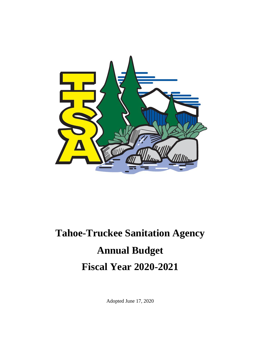

# **Tahoe-Truckee Sanitation Agency Annual Budget Fiscal Year 2020-2021**

Adopted June 17, 2020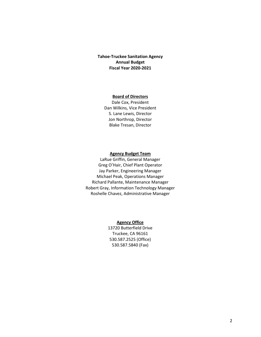#### **Tahoe-Truckee Sanitation Agency Annual Budget Fiscal Year 2020-2021**

#### **Board of Directors**

Dale Cox, President Dan Wilkins, Vice President S. Lane Lewis, Director Jon Northrop, Director Blake Tresan, Director

#### **Agency Budget Team**

LaRue Griffin, General Manager Greg O'Hair, Chief Plant Operator Jay Parker, Engineering Manager Michael Peak, Operations Manager Richard Pallante, Maintenance Manager Robert Gray, Information Technology Manager Roshelle Chavez, Administrative Manager

#### **Agency Office**

13720 Butterfield Drive Truckee, CA 96161 530.587.2525 (Office) 530.587.5840 (Fax)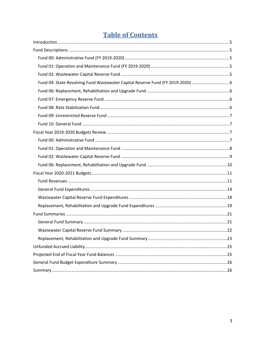# **Table of Contents**

| Fund 04: State Revolving Fund Wastewater Capital Reserve Fund (FY 2019-2020) 6 |  |
|--------------------------------------------------------------------------------|--|
|                                                                                |  |
|                                                                                |  |
|                                                                                |  |
|                                                                                |  |
|                                                                                |  |
|                                                                                |  |
|                                                                                |  |
|                                                                                |  |
|                                                                                |  |
|                                                                                |  |
|                                                                                |  |
|                                                                                |  |
|                                                                                |  |
|                                                                                |  |
|                                                                                |  |
|                                                                                |  |
|                                                                                |  |
|                                                                                |  |
|                                                                                |  |
|                                                                                |  |
|                                                                                |  |
|                                                                                |  |
|                                                                                |  |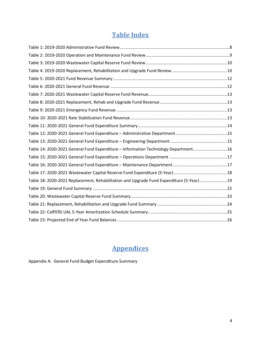# **Table Index**

| Table 14: 2020-2021 General Fund Expenditure - Information Technology Department16       |  |
|------------------------------------------------------------------------------------------|--|
|                                                                                          |  |
|                                                                                          |  |
|                                                                                          |  |
| Table 18: 2020-2021 Replacement, Rehabilitation and Upgrade Fund Expenditure (5-Year) 19 |  |
|                                                                                          |  |
|                                                                                          |  |
|                                                                                          |  |
|                                                                                          |  |
|                                                                                          |  |

# **Appendices**

Appendix A: General Fund Budget Expenditure Summary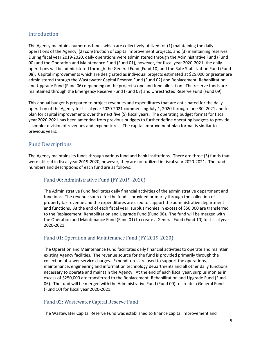# <span id="page-4-0"></span>**Introduction**

The Agency maintains numerous funds which are collectively utilized for (1) maintaining the daily operations of the Agency, (2) construction of capital improvement projects, and (3) maintaining reserves. During fiscal year 2019-2020, daily operations were administered through the Administrative Fund (Fund 00) and the Operation and Maintenance Fund (Fund 01), however, for fiscal year 2020-2021, the daily operations will be administered through the General Fund (Fund 10) and the Rate Stabilization Fund (Fund 08). Capital improvements which are designated as individual projects estimated at \$25,000 or greater are administered through the Wastewater Capital Reserve Fund (Fund 02) and Replacement, Rehabilitation and Upgrade Fund (Fund 06) depending on the project scope and fund allocation. The reserve funds are maintained through the Emergency Reserve Fund (Fund 07) and Unrestricted Reserve Fund (Fund 09).

This annual budget is prepared to project revenues and expenditures that are anticipated for the daily operation of the Agency for fiscal year 2020-2021 commencing July 1, 2020 through June 30, 2021 and to plan for capital improvements over the next five (5) fiscal years. The operating budget format for fiscal year 2020-2021 has been amended from previous budgets to further define operating budgets to provide a simpler division of revenues and expenditures. The capital improvement plan format is similar to previous years.

# <span id="page-4-1"></span>Fund Descriptions

The Agency maintains its funds through various fund and bank institutions. There are three (3) funds that were utilized in fiscal year 2019-2020, however, they are not utilized in fiscal year 2020-2021. The fund numbers and descriptions of each fund are as follows:

# <span id="page-4-2"></span>Fund 00: Administrative Fund (FY 2019-2020)

The Administrative Fund facilitates daily financial activities of the administrative department and functions. The revenue source for the fund is provided primarily through the collection of property tax revenue and the expenditures are used to support the administrative department and functions. At the end of each fiscal year, surplus monies in excess of \$50,000 are transferred to the Replacement, Rehabilitation and Upgrade Fund (Fund 06). The fund will be merged with the Operation and Maintenance Fund (Fund 01) to create a General Fund (Fund 10) for fiscal year 2020-2021.

# <span id="page-4-3"></span>Fund 01: Operation and Maintenance Fund (FY 2019-2020)

The Operation and Maintenance Fund facilitates daily financial activities to operate and maintain existing Agency facilities. The revenue source for the fund is provided primarily through the collection of sewer service charges. Expenditures are used to support the operations, maintenance, engineering and information technology departments and all other daily functions necessary to operate and maintain the Agency. At the end of each fiscal year, surplus monies in excess of \$250,000 are transferred to the Replacement, Rehabilitation and Upgrade Fund (Fund 06). The fund will be merged with the Administrative Fund (Fund 00) to create a General Fund (Fund 10) for fiscal year 2020-2021.

#### <span id="page-4-4"></span>Fund 02: Wastewater Capital Reserve Fund

The Wastewater Capital Reserve Fund was established to finance capital improvement and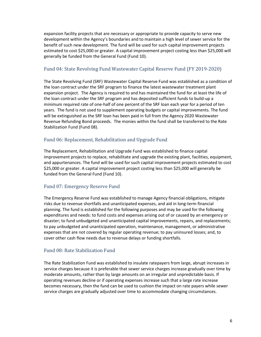expansion facility projects that are necessary or appropriate to provide capacity to serve new development within the Agency's boundaries and to maintain a high level of sewer service for the benefit of such new development. The fund will be used for such capital improvement projects estimated to cost \$25,000 or greater. A capital improvement project costing less than \$25,000 will generally be funded from the General Fund (Fund 10).

# <span id="page-5-0"></span>Fund 04: State Revolving Fund Wastewater Capital Reserve Fund (FY 2019-2020)

The State Revolving Fund (SRF) Wastewater Capital Reserve Fund was established as a condition of the loan contract under the SRF program to finance the latest wastewater treatment plant expansion project. The Agency is required to and has maintained the fund for at least the life of the loan contract under the SRF program and has deposited sufficient funds to build-up a minimum required rate of one-half of one percent of the SRF loan each year for a period of ten years. The fund is not used to supplement operating budgets or capital improvements. The fund will be extinguished as the SRF loan has been paid in full from the Agency 2020 Wastewater Revenue Refunding Bond proceeds. The monies within the fund shall be transferred to the Rate Stabilization Fund (Fund 08).

# <span id="page-5-1"></span>Fund 06: Replacement, Rehabilitation and Upgrade Fund

The Replacement, Rehabilitation and Upgrade Fund was established to finance capital improvement projects to replace, rehabilitate and upgrade the existing plant, facilities, equipment, and appurtenances. The fund will be used for such capital improvement projects estimated to cost \$25,000 or greater. A capital improvement project costing less than \$25,000 will generally be funded from the General Fund (Fund 10).

# <span id="page-5-2"></span>Fund 07: Emergency Reserve Fund

The Emergency Reserve Fund was established to manage Agency financial obligations, mitigate risks due to revenue shortfalls and unanticipated expenses, and aid in long-term financial planning. The fund is established for the following purposes and may be used for the following expenditures and needs: to fund costs and expenses arising out of or caused by an emergency or disaster; to fund unbudgeted and unanticipated capital improvements, repairs, and replacements; to pay unbudgeted and unanticipated operation, maintenance, management, or administrative expenses that are not covered by regular operating revenue; to pay uninsured losses; and, to cover other cash flow needs due to revenue delays or funding shortfalls.

# <span id="page-5-3"></span>Fund 08: Rate Stabilization Fund

The Rate Stabilization Fund was established to insulate ratepayers from large, abrupt increases in service charges because it is preferable that sewer service charges increase gradually over time by moderate amounts, rather than by large amounts on an irregular and unpredictable basis. If operating revenues decline or if operating expenses increase such that a large rate increase becomes necessary, then the fund can be used to cushion the impact on rate payers while sewer service charges are gradually adjusted over time to accommodate changing circumstances.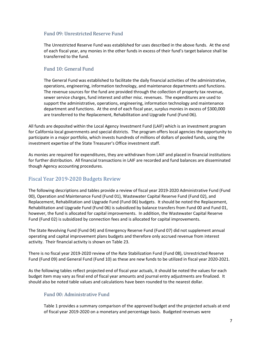## <span id="page-6-0"></span>Fund 09: Unrestricted Reserve Fund

The Unrestricted Reserve Fund was established for uses described in the above funds. At the end of each fiscal year, any monies in the other funds in excess of their fund's target balance shall be transferred to the fund.

# <span id="page-6-1"></span>Fund 10: General Fund

The General Fund was established to facilitate the daily financial activities of the administrative, operations, engineering, information technology, and maintenance departments and functions. The revenue sources for the fund are provided through the collection of property tax revenue, sewer service charges, fund interest and other misc. revenues. The expenditures are used to support the administrative, operations, engineering, information technology and maintenance department and functions. At the end of each fiscal year, surplus monies in excess of \$300,000 are transferred to the Replacement, Rehabilitation and Upgrade Fund (Fund 06).

All funds are deposited within the Local Agency Investment Fund (LAIF) which is an investment program for California local governments and special districts. The program offers local agencies the opportunity to participate in a major portfolio, which invests hundreds of millions of dollars of pooled funds, using the investment expertise of the State Treasurer's Office investment staff.

As monies are required for expenditures, they are withdrawn from LAIF and placed in financial institutions for further distribution. All financial transactions in LAIF are recorded and fund balances are disseminated though Agency accounting procedures.

# <span id="page-6-2"></span>Fiscal Year 2019-2020 Budgets Review

The following descriptions and tables provide a review of fiscal year 2019-2020 Administrative Fund (Fund 00), Operation and Maintenance Fund (Fund 01), Wastewater Capital Reserve Fund (Fund 02), and Replacement, Rehabilitation and Upgrade Fund (Fund 06) budgets. It should be noted the Replacement, Rehabilitation and Upgrade Fund (Fund 06) is subsidized by balance transfers from Fund 00 and Fund 01, however, the fund is allocated for capital improvements. In addition, the Wastewater Capital Reserve Fund (Fund 02) is subsidized by connection fees and is allocated for capital improvements.

The State Revolving Fund (Fund 04) and Emergency Reserve Fund (Fund 07) did not supplement annual operating and capital improvement plans budgets and therefore only accrued revenue from interest activity. Their financial activity is shown on Table 23.

There is no fiscal year 2019-2020 review of the Rate Stabilization Fund (Fund 08), Unrestricted Reserve Fund (Fund 09) and General Fund (Fund 10) as these are new funds to be utilized in fiscal year 2020-2021.

As the following tables reflect projected end of fiscal year actuals, it should be noted the values for each budget item may vary as final end of fiscal year amounts and journal entry adjustments are finalized. It should also be noted table values and calculations have been rounded to the nearest dollar.

# <span id="page-6-3"></span>Fund 00: Administrative Fund

Table 1 provides a summary comparison of the approved budget and the projected actuals at end of fiscal year 2019-2020 on a monetary and percentage basis. Budgeted revenues were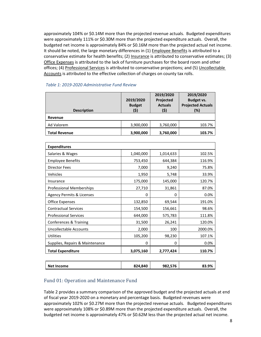approximately 104% or \$0.14M more than the projected revenue actuals. Budgeted expenditures were approximately 111% or \$0.30M more than the projected expenditure actuals. Overall, the budgeted net income is approximately 84% or \$0.16M more than the projected actual net income. It should be noted, the large monetary differences in (1) Employee Benefits is attributed to a conservative estimate for health benefits; (2) Insurance is attributed to conservative estimates; (3) Office Expenses is attributed to the lack of furniture purchases for the board room and other offices; (4) Professional Services is attributed to conservative projections; and (5) Uncollectable Accounts is attributed to the effective collection of charges on county tax rolls.

| <b>Description</b>   | 2019/2020<br><b>Budget</b><br>(\$) | 2019/2020<br>Projected<br><b>Actuals</b><br>(\$) | 2019/2020<br>Budget vs.<br><b>Projected Actuals</b><br>(%) |
|----------------------|------------------------------------|--------------------------------------------------|------------------------------------------------------------|
| Revenue              |                                    |                                                  |                                                            |
| Ad Valorem           | 3,900,000                          | 3,760,000                                        | 103.7%                                                     |
| <b>Total Revenue</b> | 3,900,000                          | 3,760,000                                        | 103.7%                                                     |

# <span id="page-7-1"></span>*Table 1: 2019-2020 Administrative Fund Review*

| <b>Expenditures</b>                  |           |           |         |
|--------------------------------------|-----------|-----------|---------|
| Salaries & Wages                     | 1,040,000 | 1,014,633 | 102.5%  |
| <b>Employee Benefits</b>             | 753,450   | 644,384   | 116.9%  |
| <b>Director Fees</b>                 | 7,000     | 9,240     | 75.8%   |
| Vehicles                             | 1,950     | 5,748     | 33.9%   |
| Insurance                            | 175,000   | 145,000   | 120.7%  |
| <b>Professional Memberships</b>      | 27,710    | 31,861    | 87.0%   |
| <b>Agency Permits &amp; Licenses</b> | 0         | 0         | 0.0%    |
| <b>Office Expenses</b>               | 132,850   | 69,544    | 191.0%  |
| <b>Contractual Services</b>          | 154,500   | 156,661   | 98.6%   |
| <b>Professional Services</b>         | 644,000   | 575,783   | 111.8%  |
| Conferences & Training               | 31,500    | 26,241    | 120.0%  |
| Uncollectable Accounts               | 2,000     | 100       | 2000.0% |
| <b>Utilities</b>                     | 105,200   | 98,230    | 107.1%  |
| Supplies, Repairs & Maintenance      | 0         | 0         | 0.0%    |
| <b>Total Expenditure</b>             | 3,075,160 | 2,777,424 | 110.7%  |

| Net<br>Income | 824,840 | 982,576 | 9%<br>$^{\circ}$ |
|---------------|---------|---------|------------------|
|               |         |         |                  |

# <span id="page-7-0"></span>Fund 01: Operation and Maintenance Fund

Table 2 provides a summary comparison of the approved budget and the projected actuals at end of fiscal year 2019-2020 on a monetary and percentage basis. Budgeted revenues were approximately 102% or \$0.27M more than the projected revenue actuals. Budgeted expenditures were approximately 108% or \$0.89M more than the projected expenditure actuals. Overall, the budgeted net income is approximately 47% or \$0.62M less than the projected actual net income.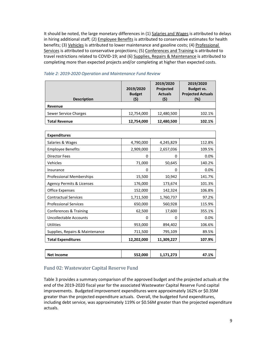It should be noted, the large monetary differences in (1) Salaries and Wages is attributed to delays in hiring additional staff; (2) *Employee Benefits* is attributed to conservative estimates for health benefits; (3) Vehicles is attributed to lower maintenance and gasoline costs; (4) Professional Services is attributed to conservative projections; (5) Conferences and Training is attributed to travel restrictions related to COVID-19; and (6) Supplies, Repairs & Maintenance is attributed to completing more than expected projects and/or completing at higher than expected costs.

| <b>Description</b>    | 2019/2020<br><b>Budget</b><br>(\$) | 2019/2020<br>Projected<br><b>Actuals</b><br>(\$) | 2019/2020<br>Budget vs.<br><b>Projected Actuals</b><br>(%) |
|-----------------------|------------------------------------|--------------------------------------------------|------------------------------------------------------------|
| Revenue               |                                    |                                                  |                                                            |
| Sewer Service Charges | 12,754,000                         | 12,480,500                                       | 102.1%                                                     |
| <b>Total Revenue</b>  | 12,754,000                         | 12,480,500                                       | 102.1%                                                     |

#### <span id="page-8-1"></span>*Table 2: 2019-2020 Operation and Maintenance Fund Review*

| <b>Expenditures</b>                  |            |            |        |
|--------------------------------------|------------|------------|--------|
| Salaries & Wages                     | 4,790,000  | 4,245,829  | 112.8% |
| <b>Employee Benefits</b>             | 2,909,000  | 2,657,036  | 109.5% |
| Director Fees                        | 0          | 0          | 0.0%   |
| Vehicles                             | 71,000     | 50,645     | 140.2% |
| Insurance                            | 0          | 0          | 0.0%   |
| <b>Professional Memberships</b>      | 15,500     | 10,942     | 141.7% |
| <b>Agency Permits &amp; Licenses</b> | 176,000    | 173,674    | 101.3% |
| Office Expenses                      | 152,000    | 142,324    | 106.8% |
| <b>Contractual Services</b>          | 1,711,500  | 1,760,737  | 97.2%  |
| <b>Professional Services</b>         | 650,000    | 560,928    | 115.9% |
| Conferences & Training               | 62,500     | 17,600     | 355.1% |
| Uncollectable Accounts               | 0          | 0          | 0.0%   |
| <b>Utilities</b>                     | 953,000    | 894,402    | 106.6% |
| Supplies, Repairs & Maintenance      | 711,500    | 795,109    | 89.5%  |
| <b>Total Expenditures</b>            | 12,202,000 | 11,309,227 | 107.9% |
|                                      |            |            |        |

| <b>Net Income</b> | 552,000 | 171.272<br>1,1/1,2/J | $.1\%$<br>47 |
|-------------------|---------|----------------------|--------------|
|                   |         |                      |              |

#### <span id="page-8-0"></span>Fund 02: Wastewater Capital Reserve Fund

Table 3 provides a summary comparison of the approved budget and the projected actuals at the end of the 2019-2020 fiscal year for the associated Wastewater Capital Reserve Fund capital improvements. Budgeted improvement expenditures were approximately 162% or \$0.35M greater than the projected expenditure actuals. Overall, the budgeted fund expenditures, including debt service, was approximately 119% or \$0.56M greater than the projected expenditure actuals.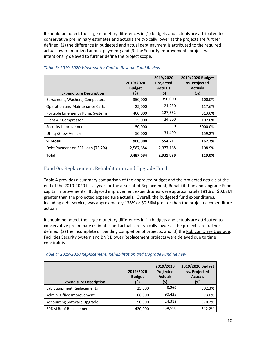It should be noted, the large monetary differences in (1) budgets and actuals are attributed to conservative preliminary estimates and actuals are typically lower as the projects are further defined; (2) the difference in budgeted and actual debt payment is attributed to the required actual lower amortized annual payment; and (3) the Security Improvements project was intentionally delayed to further define the project scope.

|                                        |               | 2019/2020      | 2019/2020 Budget |
|----------------------------------------|---------------|----------------|------------------|
|                                        | 2019/2020     | Projected      | vs. Projected    |
|                                        | <b>Budget</b> | <b>Actuals</b> | <b>Actuals</b>   |
| <b>Expenditure Description</b>         | (\$)          | (\$)           | (%)              |
| Barscreens, Washers, Compactors        | 350,000       | 350,000        | 100.0%           |
| <b>Operation and Maintenance Carts</b> | 25,000        | 21,250         | 117.6%           |
| Portable Emergency Pump Systems        | 400,000       | 127,552        | 313.6%           |
| Plant Air Compressor                   | 25,000        | 24,500         | 102.0%           |
| Security Improvements                  | 50,000        | 0              | 5000.0%          |
| Utility/Snow Vehicle                   | 50,000        | 31,409         | 159.2%           |
| <b>Subtotal</b>                        | 900,000       | 554,711        | 162.2%           |
| Debt Payment on SRF Loan (73.2%)       | 2,587,684     | 2,377,168      | 108.9%           |
| Total                                  | 3,487,684     | 2,931,879      | 119.0%           |

#### <span id="page-9-1"></span>*Table 3: 2019-2020 Wastewater Capital Reserve Fund Review*

# <span id="page-9-0"></span>Fund 06: Replacement, Rehabilitation and Upgrade Fund

Table 4 provides a summary comparison of the approved budget and the projected actuals at the end of the 2019-2020 fiscal year for the associated Replacement, Rehabilitation and Upgrade Fund capital improvements. Budgeted improvement expenditures were approximately 181% or \$0.62M greater than the projected expenditure actuals. Overall, the budgeted fund expenditures, including debt service, was approximately 138% or \$0.56M greater than the projected expenditure actuals.

It should be noted, the large monetary differences in (1) budgets and actuals are attributed to conservative preliminary estimates and actuals are typically lower as the projects are further defined; (2) the incomplete or pending completion of projects; and (3) the Robicon Drive Upgrade, Facilities Security System and BNR Blower Replacement projects were delayed due to time constraints.

| <b>Expenditure Description</b>     | 2019/2020<br><b>Budget</b><br>(\$) | 2019/2020<br>Projected<br><b>Actuals</b><br>(\$) | 2019/2020 Budget<br>vs. Projected<br><b>Actuals</b><br>(%) |
|------------------------------------|------------------------------------|--------------------------------------------------|------------------------------------------------------------|
| Lab Equipment Replacements         | 25,000                             | 8,269                                            | 302.3%                                                     |
| Admin. Office Improvement          | 66,000                             | 90,425                                           | 73.0%                                                      |
| <b>Accounting Software Upgrade</b> | 90,000                             | 24,313                                           | 370.2%                                                     |
| <b>EPDM Roof Replacement</b>       | 420,000                            | 134,550                                          | 312.2%                                                     |

#### <span id="page-9-2"></span>*Table 4: 2019-2020 Replacement, Rehabilitation and Upgrade Fund Review*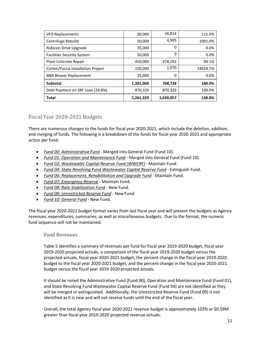| <b>VFD Replacements</b>            | 30,000    | 26,814    | 111.9%   |
|------------------------------------|-----------|-----------|----------|
| Centrifuge Rebuild                 | 50,000    | 4,995     | 1001.0%  |
| Robicon Drive Upgrade              | 35,000    | 0         | 0.0%     |
| <b>Facilities Security System</b>  | 50,000    | 0         | 0.0%     |
| Plant Concrete Repair              | 450,000   | 478,292   | 94.1%    |
| Corten/Fascia Installation Project | 150,000   | 1,070     | 14018.7% |
| <b>BNR Blower Replacement</b>      | 25,000    | 0         | 0.0%     |
| <b>Subtotal</b>                    | 1,391,000 | 768,728   | 180.9%   |
| Debt Payment on SRF Loan (26.8%)   | 870,329   | 870,329   | 100.0%   |
| <b>Total</b>                       | 2,261,329 | 1,639,057 | 138.0%   |

# <span id="page-10-0"></span>Fiscal Year 2020-2021 Budgets

There are numerous changes to the funds for fiscal year 2020-2021, which include the deletion, addition, and merging of funds. The following is a breakdown of the funds for fiscal year 2020-2021 and appropriate action per fund:

- *Fund 00: Administrative Fund* Merged into General Fund (Fund 10).
- *Fund 01: Operation and Maintenance Fund* Merged into General Fund (Fund 10).
- *Fund 02: Wastewater Capital Reserve Fund (WWCRF)* Maintain Fund.
- *Fund 04: State Revolving Fund Wastewater Capital Reserve Fund* Extinguish Fund.
- *Fund 06: Replacement, Rehabilitation and Upgrade Fund* Maintain Fund.
- *Fund 07: Emergency Reserve* Maintain Fund.
- *Fund 08: Rate Stabilization Fund* New Fund.
- *Fund 09: Unrestricted Reserve Fund* New Fund.
- *Fund 10: General Fund* New Fund.

The fiscal year 2020-2021 budget format varies from last fiscal year and will present the budgets as Agency revenues, expenditures, summaries, as well as miscellaneous budgets. Due to the format, the numeric fund sequence will not be maintained.

#### <span id="page-10-1"></span>Fund Revenues

Table 5 identifies a summary of revenues per fund for fiscal year 2019-2020 budget, fiscal year 2019-2020 projected actuals, a comparison of the fiscal year 2019-2020 budget versus the projected actuals, fiscal year 2020-2021 budget, the percent change in the fiscal year 2019-2020 budget to the fiscal year 2020-2021 budget, and the percent change in the fiscal year 2020-2021 budget versus the fiscal year 2019-2020 projected actuals.

It should be noted the Administrative Fund (Fund 00), Operation and Maintenance Fund (Fund 01), and State Revolving Fund Wastewater Capital Reserve Fund (Fund 04) are not identified as they will be merged or extinguished. Additionally, the Unrestricted Reserve Fund (Fund 09) is not identified as it is new and will not receive funds until the end of the fiscal year.

Overall, the total Agency fiscal year 2020-2021 revenue budget is approximately 103% or \$0.59M greater than fiscal year 2019-2020 projected revenue actuals.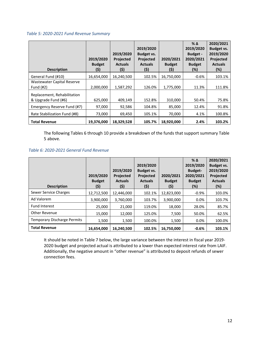#### <span id="page-11-0"></span>*Table 5: 2020-2021 Fund Revenue Summary*

| <b>Description</b>                                 | 2019/2020<br><b>Budget</b><br>(\$) | 2019/2020<br><b>Projected</b><br><b>Actuals</b><br>(\$) | 2019/2020<br>Budget vs.<br><b>Projected</b><br><b>Actuals</b><br>(\$) | 2020/2021<br><b>Budget</b><br>(\$) | $\%$ $\Delta$<br>2019/2020<br><b>Budget -</b><br>2020/2021<br><b>Budget</b><br>(%) | 2020/2021<br>Budget vs.<br>2019/2020<br><b>Projected</b><br><b>Actuals</b><br>$(\%)$ |
|----------------------------------------------------|------------------------------------|---------------------------------------------------------|-----------------------------------------------------------------------|------------------------------------|------------------------------------------------------------------------------------|--------------------------------------------------------------------------------------|
| General Fund (#10)                                 | 16,654,000                         | 16,240,500                                              | 102.5%                                                                | 16,750,000                         | $-0.6\%$                                                                           | 103.1%                                                                               |
| Wastewater Capital Reserve<br>Fund $(H2)$          | 2,000,000                          | 1,587,292                                               | 126.0%                                                                | 1,775,000                          | 11.3%                                                                              | 111.8%                                                                               |
| Replacement, Rehabilitation<br>& Upgrade Fund (#6) | 625,000                            | 409,149                                                 | 152.8%                                                                | 310,000                            | 50.4%                                                                              | 75.8%                                                                                |
| Emergency Reserve Fund (#7)                        | 97,000                             | 92,586                                                  | 104.8%                                                                | 85,000                             | 12.4%                                                                              | 91.8%                                                                                |
| Rate Stabilization Fund (#8)                       | 73,000                             | 69,450                                                  | 105.1%                                                                | 70,000                             | 4.1%                                                                               | 100.8%                                                                               |
| <b>Total Revenue</b>                               | 19,376,000                         | 18,329,528                                              | 105.7%                                                                | 18,920,000                         | 2.4%                                                                               | 103.2%                                                                               |

The following Tables 6 through 10 provide a breakdown of the funds that support summary Table 5 above.

#### <span id="page-11-1"></span>*Table 6: 2020-2021 General Fund Revenue*

| <b>Description</b>                 | 2019/2020<br><b>Budget</b><br>(\$) | 2019/2020<br><b>Projected</b><br><b>Actuals</b><br>(\$) | 2019/2020<br><b>Budget vs.</b><br>Projected<br><b>Actuals</b><br>(\$) | 2020/2021<br><b>Budget</b><br>(\$) | $%$ $\triangle$<br>2019/2020<br><b>Budget-</b><br>2020/2021<br><b>Budget</b><br>(%) | 2020/2021<br><b>Budget vs.</b><br>2019/2020<br><b>Projected</b><br><b>Actuals</b><br>$(\%)$ |
|------------------------------------|------------------------------------|---------------------------------------------------------|-----------------------------------------------------------------------|------------------------------------|-------------------------------------------------------------------------------------|---------------------------------------------------------------------------------------------|
| Sewer Service Charges              | 12,712,500                         | 12.446.000                                              | 102.1%                                                                | 12,823,000                         | $-0.9%$                                                                             | 103.0%                                                                                      |
| Ad Valorem                         | 3,900,000                          | 3,760,000                                               | 103.7%                                                                | 3,900,000                          | 0.0%                                                                                | 103.7%                                                                                      |
| <b>Fund Interest</b>               | 25,000                             | 21,000                                                  | 119.0%                                                                | 18,000                             | 28.0%                                                                               | 85.7%                                                                                       |
| Other Revenue                      | 15,000                             | 12,000                                                  | 125.0%                                                                | 7,500                              | 50.0%                                                                               | 62.5%                                                                                       |
| <b>Temporary Discharge Permits</b> | 1,500                              | 1,500                                                   | 100.0%                                                                | 1,500                              | 0.0%                                                                                | 100.0%                                                                                      |
| <b>Total Revenue</b>               | 16.654.000                         | 16.240.500                                              | 102.5%                                                                | 16,750,000                         | $-0.6%$                                                                             | 103.1%                                                                                      |

It should be noted in Table 7 below, the large variance between the interest in fiscal year 2019- 2020 budget and projected actual is attributed to a lower than expected interest rate from LAIF. Additionally, the negative amount in "other revenue" is attributed to deposit refunds of sewer connection fees.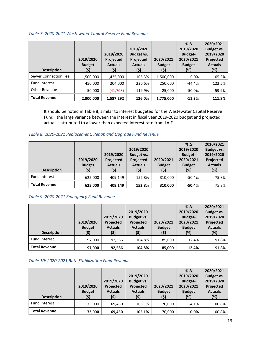#### <span id="page-12-0"></span>*Table 7: 2020-2021 Wastewater Capital Reserve Fund Revenue*

| <b>Description</b>   | 2019/2020<br><b>Budget</b><br>(\$) | 2019/2020<br>Projected<br><b>Actuals</b><br>(\$) | 2019/2020<br><b>Budget vs.</b><br><b>Projected</b><br><b>Actuals</b><br>(\$) | 2020/2021<br><b>Budget</b><br>(\$) | $\%$ $\Delta$<br>2019/2020<br><b>Budget-</b><br>2020/2021<br><b>Budget</b><br>(%) | 2020/2021<br><b>Budget vs.</b><br>2019/2020<br>Projected<br><b>Actuals</b><br>(%) |
|----------------------|------------------------------------|--------------------------------------------------|------------------------------------------------------------------------------|------------------------------------|-----------------------------------------------------------------------------------|-----------------------------------------------------------------------------------|
| Sewer Connection Fee | 1,500,000                          | 1,425,000                                        | 105.3%                                                                       | 1,500,000                          | 0.0%                                                                              | 105.3%                                                                            |
| <b>Fund Interest</b> | 450,000                            | 204,000                                          | 220.6%                                                                       | 250,000                            | $-44.4%$                                                                          | 122.5%                                                                            |
| Other Revenue        | 50,000                             | (41, 708)                                        | $-119.9%$                                                                    | 25,000                             | $-50.0\%$                                                                         | $-59.9%$                                                                          |
| <b>Total Revenue</b> | 2,000,000                          | 1,587,292                                        | 126.0%                                                                       | 1,775,000                          | $-11.3%$                                                                          | 111.8%                                                                            |

It should be noted in Table 8, similar to interest budgeted for the Wastewater Capital Reserve Fund, the large variance between the interest in fiscal year 2019-2020 budget and projected actual is attributed to a lower than expected interest rate from LAIF.

## <span id="page-12-1"></span>*Table 8: 2020-2021 Replacement, Rehab and Upgrade Fund Revenue*

| <b>Description</b>   | 2019/2020<br><b>Budget</b><br>(\$) | 2019/2020<br>Projected<br><b>Actuals</b><br>(\$) | 2019/2020<br><b>Budget vs.</b><br>Projected<br><b>Actuals</b><br>(\$) | 2020/2021<br><b>Budget</b><br>(5) | $\%$ $\Delta$<br>2019/2020<br><b>Budget-</b><br>2020/2021<br><b>Budget</b><br>(%) | 2020/2021<br>Budget vs.<br>2019/2020<br>Projected<br><b>Actuals</b><br>(%) |
|----------------------|------------------------------------|--------------------------------------------------|-----------------------------------------------------------------------|-----------------------------------|-----------------------------------------------------------------------------------|----------------------------------------------------------------------------|
| <b>Fund Interest</b> | 625,000                            | 409,149                                          | 152.8%                                                                | 310,000                           | $-50.4%$                                                                          | 75.8%                                                                      |
| <b>Total Revenue</b> | 625,000                            | 409,149                                          | 152.8%                                                                | 310,000                           | $-50.4%$                                                                          | 75.8%                                                                      |

#### <span id="page-12-2"></span>*Table 9: 2020-2021 Emergency Fund Revenue*

| <b>Description</b>   | 2019/2020<br><b>Budget</b><br>(\$) | 2019/2020<br>Projected<br><b>Actuals</b><br>(\$) | 2019/2020<br><b>Budget vs.</b><br>Projected<br><b>Actuals</b><br>(\$) | 2020/2021<br><b>Budget</b><br>(5) | $%$ $\Delta$<br>2019/2020<br><b>Budget-</b><br>2020/2021<br><b>Budget</b><br>(%) | 2020/2021<br><b>Budget vs.</b><br>2019/2020<br>Projected<br><b>Actuals</b><br>(%) |
|----------------------|------------------------------------|--------------------------------------------------|-----------------------------------------------------------------------|-----------------------------------|----------------------------------------------------------------------------------|-----------------------------------------------------------------------------------|
| <b>Fund Interest</b> | 97,000                             | 92,586                                           | 104.8%                                                                | 85,000                            | 12.4%                                                                            | 91.8%                                                                             |
| <b>Total Revenue</b> | 97,000                             | 92,586                                           | 104.8%                                                                | 85,000                            | 12.4%                                                                            | 91.8%                                                                             |

#### <span id="page-12-3"></span>*Table 10: 2020-2021 Rate Stabilization Fund Revenue*

| <b>Description</b>   | 2019/2020<br><b>Budget</b><br>(\$) | 2019/2020<br>Projected<br><b>Actuals</b><br>(\$) | 2019/2020<br>Budget vs.<br>Projected<br><b>Actuals</b><br>(\$) | 2020/2021<br><b>Budget</b><br>(\$) | $\%$ $\Delta$<br>2019/2020<br><b>Budget-</b><br>2020/2021<br><b>Budget</b><br>(%) | 2020/2021<br><b>Budget vs.</b><br>2019/2020<br>Projected<br><b>Actuals</b><br>(%) |
|----------------------|------------------------------------|--------------------------------------------------|----------------------------------------------------------------|------------------------------------|-----------------------------------------------------------------------------------|-----------------------------------------------------------------------------------|
| <b>Fund Interest</b> | 73,000                             | 69,450                                           | 105.1%                                                         | 70,000                             | $-4.1%$                                                                           | 100.8%                                                                            |
| <b>Total Revenue</b> | 73,000                             | 69,450                                           | 105.1%                                                         | 70,000                             | 0.0%                                                                              | 100.8%                                                                            |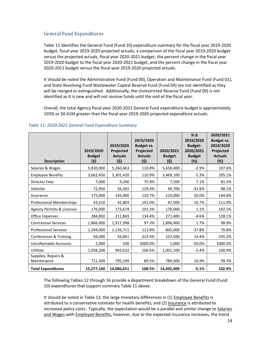## <span id="page-13-0"></span>General Fund Expenditures

Table 11 identifies the General Fund (Fund 10) expenditure summary for the fiscal year 2019-2020 budget, fiscal year 2019-2020 projected actuals, a comparison of the fiscal year 2019-2020 budget versus the projected actuals, fiscal year 2020-2021 budget, the percent change in the fiscal year 2019-2020 budget to the fiscal year 2020-2021 budget, and the percent change in the fiscal year 2020-2021 budget versus the fiscal year 2019-2020 projected actuals.

It should be noted the Administrative Fund (Fund 00), Operation and Maintenance Fund (Fund 01), and State Revolving Fund Wastewater Capital Reserve Fund (Fund 04) are not identified as they will be merged or extinguished. Additionally, the Unrestricted Reserve Fund (Fund 09) is not identified as it is new and will not receive funds until the end of the fiscal year.

Overall, the total Agency fiscal year 2020-2021 General Fund expenditure budget is approximately 103% or \$0.41M greater than the fiscal year 2019-2020 projected expenditure actuals.

| <b>Description</b>                 | 2019/2020<br><b>Budget</b><br>(\$) | 2019/2020<br>Projected<br><b>Actuals</b><br>(5) | 2019/2020<br><b>Budget vs.</b><br>Projected<br><b>Actuals</b><br>(\$) | 2020/2021<br><b>Budget</b><br>(\$) | $%$ $\triangle$<br>2019/2020<br><b>Budget-</b><br>2020/2021<br><b>Budget</b><br>(%) | 2020/2021<br><b>Budget vs.</b><br>2019/2020<br>Projected<br><b>Actuals</b><br>(%) |
|------------------------------------|------------------------------------|-------------------------------------------------|-----------------------------------------------------------------------|------------------------------------|-------------------------------------------------------------------------------------|-----------------------------------------------------------------------------------|
| Salaries & Wages                   | 5,830,000                          | 5,260,463                                       | 110.8%                                                                | 5,658,400                          | $-2.9%$                                                                             | 107.6%                                                                            |
| <b>Employee Benefits</b>           | 3,662,450                          | 3,301,420                                       | 110.9%                                                                | 3,469,100                          | $-5.3%$                                                                             | 105.1%                                                                            |
| <b>Director Fees</b>               | 7,000                              | 9,240                                           | 75.8%                                                                 | 7,500                              | 7.1%                                                                                | 81.2%                                                                             |
| Vehicles                           | 72,950                             | 56,392                                          | 129.4%                                                                | 49,700                             | $-31.8%$                                                                            | 88.1%                                                                             |
| Insurance                          | 175,000                            | 145,000                                         | 120.7%                                                                | 210,000                            | 20.0%                                                                               | 144.8%                                                                            |
| <b>Professional Memberships</b>    | 43,210                             | 42,803                                          | 101.0%                                                                | 47,500                             | 10.7%                                                                               | 111.0%                                                                            |
| Agency Permits & Licenses          | 176,000                            | 173,674                                         | 101.3%                                                                | 178,000                            | 1.1%                                                                                | 102.5%                                                                            |
| <b>Office Expenses</b>             | 284,850                            | 211,869                                         | 134.4%                                                                | 271,400                            | $-4.6%$                                                                             | 128.1%                                                                            |
| <b>Contractual Services</b>        | 1,866,000                          | 1,917,398                                       | 97.3%                                                                 | 1,896,900                          | 1.7%                                                                                | 98.9%                                                                             |
| <b>Professional Services</b>       | 1,294,000                          | 1,136,711                                       | 113.8%                                                                | 805,000                            | $-37.8%$                                                                            | 70.8%                                                                             |
| Conferences & Training             | 94,000                             | 43,841                                          | 214.4%                                                                | 107,500                            | 14.4%                                                                               | 245.2%                                                                            |
| <b>Uncollectable Accounts</b>      | 2,000                              | 100                                             | 2000.0%                                                               | 1,000                              | $-50.0%$                                                                            | 1000.0%                                                                           |
| <b>Utilities</b>                   | 1,058,200                          | 992,632                                         | 106.6%                                                                | 1,001,100                          | $-5.4%$                                                                             | 100.9%                                                                            |
| Supplies, Repairs &<br>Maintenance | 711,500                            | 795,109                                         | 89.5%                                                                 | 789,300                            | 10.9%                                                                               | 99.3%                                                                             |
| <b>Total Expenditures</b>          | 15,277,160                         | 14,086,651                                      | 108.5%                                                                | 14,492,400                         | $-5.1%$                                                                             | 102.9%                                                                            |

#### <span id="page-13-1"></span>*Table 11: 2020-2021 General Fund Expenditure Summary*

The following Tables 12 through 16 provide a department breakdown of the General Fund (Fund 10) expenditures that support summary Table 11 above.

It should be noted in Table 12, the large monetary differences in (1) Employee Benefits is attributed to a conservative estimate for health benefits; and (2) Insurance is attributed to increased policy costs. Typically, the expectation would be a parallel and similar change to Salaries and Wages with Employee Benefits, however, due to the expected insurance increases, the trend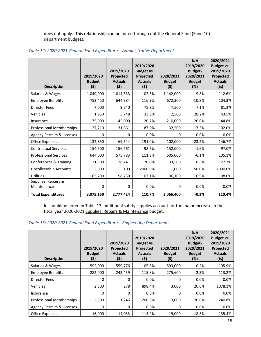does not apply. This relationship can be noted through out the General Fund (Fund 10) department budgets.

| <b>Description</b>                 | 2019/2020<br><b>Budget</b><br>(5) | 2019/2020<br>Projected<br><b>Actuals</b><br>(5) | 2019/2020<br><b>Budget vs.</b><br>Projected<br><b>Actuals</b><br>(5) | 2020/2021<br><b>Budget</b><br>(\$) | $%$ $\triangle$<br>2019/2020<br><b>Budget-</b><br>2020/2021<br><b>Budget</b><br>(%) | 2020/2021<br><b>Budget vs.</b><br>2019/2020<br>Projected<br><b>Actuals</b><br>(%) |
|------------------------------------|-----------------------------------|-------------------------------------------------|----------------------------------------------------------------------|------------------------------------|-------------------------------------------------------------------------------------|-----------------------------------------------------------------------------------|
| Salaries & Wages                   | 1,040,000                         | 1,014,633                                       | 102.5%                                                               | 1,142,000                          | 9.8%                                                                                | 112.6%                                                                            |
| <b>Employee Benefits</b>           | 753,450                           | 644,384                                         | 116.9%                                                               | 672,300                            | $-10.8%$                                                                            | 104.3%                                                                            |
| <b>Director Fees</b>               | 7,000                             | 9,240                                           | 75.8%                                                                | 7,500                              | 7.1%                                                                                | 81.2%                                                                             |
| Vehicles                           | 1,950                             | 5,748                                           | 33.9%                                                                | 2,500                              | 28.2%                                                                               | 43.5%                                                                             |
| Insurance                          | 175,000                           | 145,000                                         | 120.7%                                                               | 210,000                            | 20.0%                                                                               | 144.8%                                                                            |
| <b>Professional Memberships</b>    | 27,710                            | 31,861                                          | 87.0%                                                                | 32,500                             | 17.3%                                                                               | 102.0%                                                                            |
| Agency Permits & Licenses          | 0                                 | 0                                               | 0.0%                                                                 | 0                                  | 0.0%                                                                                | 0.0%                                                                              |
| <b>Office Expenses</b>             | 132,850                           | 69,544                                          | 191.0%                                                               | 102,000                            | $-23.2%$                                                                            | 146.7%                                                                            |
| <b>Contractual Services</b>        | 154,500                           | 156,661                                         | 98.6%                                                                | 152,000                            | $-1.6%$                                                                             | 97.0%                                                                             |
| <b>Professional Services</b>       | 644,000                           | 575,783                                         | 111.8%                                                               | 605,000                            | $-6.1%$                                                                             | 105.1%                                                                            |
| Conferences & Training             | 31,500                            | 26,241                                          | 120.0%                                                               | 33,500                             | 6.3%                                                                                | 127.7%                                                                            |
| <b>Uncollectable Accounts</b>      | 2,000                             | 100                                             | 2000.0%                                                              | 1,000                              | $-50.0%$                                                                            | 1000.0%                                                                           |
| Utilities                          | 105,200                           | 98,230                                          | 107.1%                                                               | 106,100                            | 0.9%                                                                                | 108.0%                                                                            |
| Supplies, Repairs &<br>Maintenance | 0                                 | 0                                               | 0.0%                                                                 | 0                                  | 0.0%                                                                                | 0.0%                                                                              |
| <b>Total Expenditures</b>          | 3,075,160                         | 2,777,424                                       | 110.7%                                                               | 3,066,400                          | $-0.3%$                                                                             | 110.4%                                                                            |

#### <span id="page-14-0"></span>*Table 12: 2020-2021 General Fund Expenditure – Administrative Department*

In should be noted in Table 13, additional safety supplies account for the major increase in the fiscal year 2020-2021 Supplies, Repairs & Maintenance budget.

#### <span id="page-14-1"></span>*Table 13: 2020-2021 General Fund Expenditure – Engineering Department*

| <b>Description</b>              | 2019/2020<br><b>Budget</b><br>(\$) | 2019/2020<br><b>Projected</b><br><b>Actuals</b><br>(\$) | 2019/2020<br><b>Budget vs.</b><br><b>Projected</b><br><b>Actuals</b><br>(\$) | 2020/2021<br><b>Budget</b><br>(\$) | $\%$ $\Delta$<br>2019/2020<br><b>Budget-</b><br>2020/2021<br><b>Budget</b><br>(%) | 2020/2021<br>Budget vs.<br>2019/2020<br>Projected<br><b>Actuals</b><br>(%) |
|---------------------------------|------------------------------------|---------------------------------------------------------|------------------------------------------------------------------------------|------------------------------------|-----------------------------------------------------------------------------------|----------------------------------------------------------------------------|
| Salaries & Wages                | 592,000                            | 559,776                                                 | 105.8%                                                                       | 593,000                            | 0.2%                                                                              | 105.9%                                                                     |
| <b>Employee Benefits</b>        | 282,000                            | 243,459                                                 | 115.8%                                                                       | 275,600                            | $-2.3%$                                                                           | 113.2%                                                                     |
| Director Fees                   | 0                                  | 0                                                       | 0.0%                                                                         | 0                                  | $0.0\%$                                                                           | 0.0%                                                                       |
| Vehicles                        | 2,500                              | 278                                                     | 898.4%                                                                       | 3,000                              | 20.0%                                                                             | 1078.1%                                                                    |
| Insurance                       | 0                                  | 0                                                       | 0.0%                                                                         | 0                                  | $0.0\%$                                                                           | 0.0%                                                                       |
| <b>Professional Memberships</b> | 2,500                              | 1,246                                                   | 200.6%                                                                       | 3,000                              | 20.0%                                                                             | 240.8%                                                                     |
| Agency Permits & Licenses       | 0                                  | 0                                                       | 0.0%                                                                         | 0                                  | $0.0\%$                                                                           | 0.0%                                                                       |
| Office Expenses                 | 16,000                             | 14,033                                                  | 114.0%                                                                       | 19,000                             | 18.8%                                                                             | 135.4%                                                                     |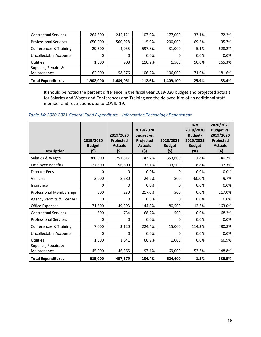| <b>Contractual Services</b>  | 264.500   | 245,121   | 107.9% | 177.000   | $-33.1%$ | 72.2%  |
|------------------------------|-----------|-----------|--------|-----------|----------|--------|
| <b>Professional Services</b> | 650,000   | 560,928   | 115.9% | 200,000   | $-69.2%$ | 35.7%  |
| Conferences & Training       | 29,500    | 4,935     | 597.8% | 31,000    | 5.1%     | 628.2% |
| Uncollectable Accounts       | 0         | 0         | 0.0%   | 0         | 0.0%     | 0.0%   |
| <b>Utilities</b>             | 1,000     | 908       | 110.2% | 1,500     | 50.0%    | 165.3% |
| Supplies, Repairs &          |           |           |        |           |          |        |
| Maintenance                  | 62,000    | 58,376    | 106.2% | 106,000   | 71.0%    | 181.6% |
| <b>Total Expenditures</b>    | 1,902,000 | 1,689,061 | 112.6% | 1,409,100 | $-25.9%$ | 83.4%  |

It should be noted the percent difference in the fiscal year 2019-020 budget and projected actuals for Salaries and Wages and Conferences and Training are the delayed hire of an additional staff member and restrictions due to COVID-19.

<span id="page-15-0"></span>*Table 14: 2020-2021 General Fund Expenditure – Information Technology Department*

| <b>Description</b>                 | 2019/2020<br><b>Budget</b><br>(\$) | 2019/2020<br><b>Projected</b><br><b>Actuals</b><br>(5) | 2019/2020<br><b>Budget vs.</b><br>Projected<br><b>Actuals</b><br>(5) | 2020/2021<br><b>Budget</b><br>(\$) | $%$ $\triangle$<br>2019/2020<br><b>Budget-</b><br>2020/2021<br><b>Budget</b><br>(%) | 2020/2021<br><b>Budget vs.</b><br>2019/2020<br>Projected<br><b>Actuals</b><br>(%) |
|------------------------------------|------------------------------------|--------------------------------------------------------|----------------------------------------------------------------------|------------------------------------|-------------------------------------------------------------------------------------|-----------------------------------------------------------------------------------|
| Salaries & Wages                   | 360,000                            | 251,317                                                | 143.2%                                                               | 353,600                            | $-1.8%$                                                                             | 140.7%                                                                            |
| <b>Employee Benefits</b>           | 127,500                            | 96,500                                                 | 132.1%                                                               | 103,500                            | $-18.8%$                                                                            | 107.3%                                                                            |
| <b>Director Fees</b>               | 0                                  | 0                                                      | 0.0%                                                                 | 0                                  | 0.0%                                                                                | 0.0%                                                                              |
| Vehicles                           | 2,000                              | 8,280                                                  | 24.2%                                                                | 800                                | $-60.0%$                                                                            | 9.7%                                                                              |
| Insurance                          | 0                                  | 0                                                      | 0.0%                                                                 | 0                                  | 0.0%                                                                                | 0.0%                                                                              |
| <b>Professional Memberships</b>    | 500                                | 230                                                    | 217.0%                                                               | 500                                | 0.0%                                                                                | 217.0%                                                                            |
| Agency Permits & Licenses          | $\Omega$                           | 0                                                      | 0.0%                                                                 | $\Omega$                           | 0.0%                                                                                | 0.0%                                                                              |
| <b>Office Expenses</b>             | 71,500                             | 49,393                                                 | 144.8%                                                               | 80,500                             | 12.6%                                                                               | 163.0%                                                                            |
| <b>Contractual Services</b>        | 500                                | 734                                                    | 68.2%                                                                | 500                                | 0.0%                                                                                | 68.2%                                                                             |
| <b>Professional Services</b>       | 0                                  | 0                                                      | 0.0%                                                                 | 0                                  | 0.0%                                                                                | 0.0%                                                                              |
| Conferences & Training             | 7,000                              | 3,120                                                  | 224.4%                                                               | 15,000                             | 114.3%                                                                              | 480.8%                                                                            |
| <b>Uncollectable Accounts</b>      | $\Omega$                           | 0                                                      | 0.0%                                                                 | $\Omega$                           | 0.0%                                                                                | 0.0%                                                                              |
| Utilities                          | 1,000                              | 1,641                                                  | 60.9%                                                                | 1,000                              | 0.0%                                                                                | 60.9%                                                                             |
| Supplies, Repairs &<br>Maintenance | 45,000                             | 46,365                                                 | 97.1%                                                                | 69,000                             | 53.3%                                                                               | 148.8%                                                                            |
| <b>Total Expenditures</b>          | 615,000                            | 457,579                                                | 134.4%                                                               | 624,400                            | 1.5%                                                                                | 136.5%                                                                            |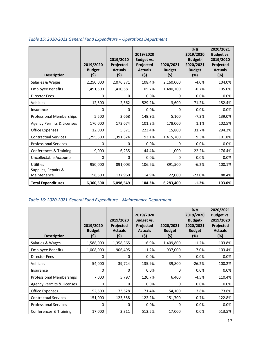| <b>Description</b>                 | 2019/2020<br><b>Budget</b><br>(\$) | 2019/2020<br>Projected<br><b>Actuals</b><br>(5) | 2019/2020<br><b>Budget vs.</b><br>Projected<br><b>Actuals</b><br>(5) | 2020/2021<br><b>Budget</b><br>(\$) | $%$ $\triangle$<br>2019/2020<br><b>Budget-</b><br>2020/2021<br><b>Budget</b><br>$(\%)$ | 2020/2021<br>Budget vs.<br>2019/2020<br>Projected<br><b>Actuals</b><br>(%) |
|------------------------------------|------------------------------------|-------------------------------------------------|----------------------------------------------------------------------|------------------------------------|----------------------------------------------------------------------------------------|----------------------------------------------------------------------------|
| Salaries & Wages                   | 2,250,000                          | 2,076,371                                       | 108.4%                                                               | 2,160,000                          | $-4.0%$                                                                                | 104.0%                                                                     |
| <b>Employee Benefits</b>           | 1,491,500                          | 1,410,581                                       | 105.7%                                                               | 1,480,700                          | $-0.7%$                                                                                | 105.0%                                                                     |
| <b>Director Fees</b>               | 0                                  | 0                                               | 0.0%                                                                 | $\Omega$                           | 0.0%                                                                                   | 0.0%                                                                       |
| Vehicles                           | 12,500                             | 2,362                                           | 529.2%                                                               | 3,600                              | $-71.2%$                                                                               | 152.4%                                                                     |
| Insurance                          | 0                                  | 0                                               | 0.0%                                                                 | 0                                  | 0.0%                                                                                   | 0.0%                                                                       |
| <b>Professional Memberships</b>    | 5,500                              | 3,668                                           | 149.9%                                                               | 5,100                              | $-7.3%$                                                                                | 139.0%                                                                     |
| Agency Permits & Licenses          | 176,000                            | 173,674                                         | 101.3%                                                               | 178,000                            | 1.1%                                                                                   | 102.5%                                                                     |
| <b>Office Expenses</b>             | 12,000                             | 5,371                                           | 223.4%                                                               | 15,800                             | 31.7%                                                                                  | 294.2%                                                                     |
| <b>Contractual Services</b>        | 1,295,500                          | 1,391,324                                       | 93.1%                                                                | 1,415,700                          | 9.3%                                                                                   | 101.8%                                                                     |
| <b>Professional Services</b>       | 0                                  | $\Omega$                                        | 0.0%                                                                 | 0                                  | 0.0%                                                                                   | 0.0%                                                                       |
| Conferences & Training             | 9,000                              | 6,235                                           | 144.4%                                                               | 11,000                             | 22.2%                                                                                  | 176.4%                                                                     |
| <b>Uncollectable Accounts</b>      | 0                                  | 0                                               | 0.0%                                                                 | 0                                  | 0.0%                                                                                   | 0.0%                                                                       |
| Utilities                          | 950,000                            | 891,003                                         | 106.6%                                                               | 891,500                            | $-6.2%$                                                                                | 100.1%                                                                     |
| Supplies, Repairs &<br>Maintenance | 158,500                            | 137,960                                         | 114.9%                                                               | 122,000                            | $-23.0%$                                                                               | 88.4%                                                                      |
| <b>Total Expenditures</b>          | 6,360,500                          | 6,098,549                                       | 104.3%                                                               | 6,283,400                          | $-1.2%$                                                                                | 103.0%                                                                     |

# <span id="page-16-0"></span>*Table 15: 2020-2021 General Fund Expenditure – Operations Department*

# <span id="page-16-1"></span>*Table 16: 2020-2021 General Fund Expenditure – Maintenance Department*

| <b>Description</b>                   | 2019/2020<br><b>Budget</b><br>(\$) | 2019/2020<br>Projected<br><b>Actuals</b><br>(5) | 2019/2020<br>Budget vs.<br>Projected<br><b>Actuals</b><br>(5) | 2020/2021<br><b>Budget</b><br>(\$) | $%$ $\Delta$<br>2019/2020<br><b>Budget-</b><br>2020/2021<br><b>Budget</b><br>(%) | 2020/2021<br>Budget vs.<br>2019/2020<br>Projected<br><b>Actuals</b><br>(%) |
|--------------------------------------|------------------------------------|-------------------------------------------------|---------------------------------------------------------------|------------------------------------|----------------------------------------------------------------------------------|----------------------------------------------------------------------------|
| Salaries & Wages                     | 1,588,000                          | 1,358,365                                       | 116.9%                                                        | 1,409,800                          | $-11.2%$                                                                         | 103.8%                                                                     |
| <b>Employee Benefits</b>             | 1,008,000                          | 906,495                                         | 111.2%                                                        | 937,000                            | $-7.0%$                                                                          | 103.4%                                                                     |
| <b>Director Fees</b>                 | 0                                  | 0                                               | 0.0%                                                          | $\Omega$                           | 0.0%                                                                             | 0.0%                                                                       |
| <b>Vehicles</b>                      | 54,000                             | 39,724                                          | 135.9%                                                        | 39,800                             | $-26.2%$                                                                         | 100.2%                                                                     |
| Insurance                            | 0                                  | 0                                               | 0.0%                                                          | 0                                  | 0.0%                                                                             | 0.0%                                                                       |
| Professional Memberships             | 7,000                              | 5,797                                           | 120.7%                                                        | 6,400                              | $-4.5%$                                                                          | 110.4%                                                                     |
| <b>Agency Permits &amp; Licenses</b> | 0                                  | 0                                               | 0.0%                                                          | 0                                  | 0.0%                                                                             | 0.0%                                                                       |
| Office Expenses                      | 52,500                             | 73,528                                          | 71.4%                                                         | 54,100                             | 3.8%                                                                             | 73.6%                                                                      |
| <b>Contractual Services</b>          | 151,000                            | 123,558                                         | 122.2%                                                        | 151,700                            | 0.7%                                                                             | 122.8%                                                                     |
| <b>Professional Services</b>         | 0                                  | 0                                               | 0.0%                                                          | 0                                  | 0.0%                                                                             | 0.0%                                                                       |
| Conferences & Training               | 17,000                             | 3,311                                           | 513.5%                                                        | 17,000                             | 0.0%                                                                             | 513.5%                                                                     |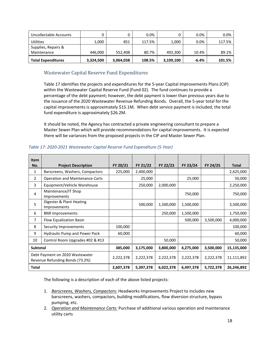| Uncollectable Accounts    |           |           | 0.0%   |           | $0.0\%$ | 0.0%   |
|---------------------------|-----------|-----------|--------|-----------|---------|--------|
| <b>Utilities</b>          | 1,000     | 851       | 117.5% | 1,000     | $0.0\%$ | 117.5% |
| Supplies, Repairs &       |           |           |        |           |         |        |
| Maintenance               | 446,000   | 552,408   | 80.7%  | 492.300   | 10.4%   | 89.1%  |
| <b>Total Expenditures</b> | 3,324,500 | 3,064,038 | 108.5% | 3,109,100 | $-6.4%$ | 101.5% |

# <span id="page-17-0"></span>Wastewater Capital Reserve Fund Expenditures

Table 17 identifies the projects and expenditures for the 5-year Capital Improvements Plans (CIP) within the Wastewater Capital Reserve Fund (Fund 02). The fund continues to provide a percentage of the debt payment; however, the debt payment is lower than previous years due to the issuance of the 2020 Wastewater Revenue Refunding Bonds. Overall, the 5-year total for the capital improvements is approximately \$15.1M. When debt service payment is included, the total fund expenditure is approximately \$26.2M.

It should be noted, the Agency has contracted a private engineering consultant to prepare a Master Sewer Plan which will provide recommendations for capital improvements. It is expected there will be variances from the proposed projects in the CIP and Master Sewer Plan.

| <b>Item</b>     |                                                                    |           |           |           |           |           |            |
|-----------------|--------------------------------------------------------------------|-----------|-----------|-----------|-----------|-----------|------------|
| No.             | <b>Project Description</b>                                         | FY 20/21  | FY 21/22  | FY 22/23  | FY 23/24  | FY 24/25  | Total      |
| 1               | Barscreens, Washers, Compactors                                    | 225,000   | 2,400,000 |           |           |           | 2,625,000  |
| 2               | <b>Operation and Maintenance Carts</b>                             |           | 25,000    |           | 25,000    |           | 50,000     |
| 3               | Equipment/Vehicle Warehouse                                        |           | 250,000   | 2,000,000 |           |           | 2,250,000  |
| $\overline{4}$  | Maintenance/IT Shop<br>Improvements                                |           |           |           | 750,000   |           | 750,000    |
| 5               | Digester & Plant Heating<br>Improvements                           |           | 500,000   | 1,500,000 | 1,500,000 |           | 3,500,000  |
| 6               | <b>BNR Improvements</b>                                            |           |           | 250,000   | 1,500,000 |           | 1,750,000  |
| 7               | Flow Equalization Basin                                            |           |           |           | 500,000   | 3,500,000 | 4,000,000  |
| 8               | Security Improvements                                              | 100,000   |           |           |           |           | 100,000    |
| 9               | Hydraulic Pump and Power Pack                                      | 60,000    |           |           |           |           | 60,000     |
| 10              | Control Room Upgrades #02 & #13                                    |           |           | 50,000    |           |           | 50,000     |
| <b>Subtotal</b> |                                                                    | 385,000   | 3,175,000 | 3,800,000 | 4,275,000 | 3,500,000 | 15,135,000 |
|                 | Debt Payment on 2020 Wastewater<br>Revenue Refunding Bonds (73.2%) | 2,222,378 | 2,222,378 | 2,222,378 | 2,222,378 | 2,222,378 | 11,111,892 |
| <b>Total</b>    |                                                                    | 2,607,378 | 5,397,378 | 6,022,378 | 6,497,378 | 5,722,378 | 26,246,892 |

#### <span id="page-17-1"></span>*Table 17: 2020-2021 Wastewater Capital Reserve Fund Expenditure (5-Year)*

The following is a description of each of the above listed projects:

- 1. *Barscreens, Washers, Compactors:* Headworks Improvements Project to includes new barscreens, washers, compactors, building modifications, flow diversion structure, bypass pumping, etc.
- 2. *Operation and Maintenance Carts:* Purchase of additional various operation and maintenance utility carts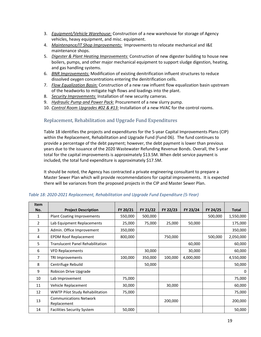- 3. *Equipment/Vehicle Warehouse:* Construction of a new warehouse for storage of Agency vehicles, heavy equipment, and misc. equipment.
- 4. *Maintenance/IT Shop Improvements:* Improvements to relocate mechanical and I&E maintenance shops.
- 5. *Digester & Plant Heating Improvements:* Construction of new digester building to house new boilers, pumps, and other major mechanical equipment to support sludge digestion, heating, and gas handling systems.
- 6. *BNR Improvements:* Modification of existing denitrification influent structures to reduce dissolved oxygen concentrations entering the denitrification cells.
- 7. *Flow Equalization Basin:* Construction of a new raw influent flow equalization basin upstream of the headworks to mitigate high flows and loadings into the plant.
- 8. *Security Improvements:* Installation of new security cameras.
- 9. *Hydraulic Pump and Power Pack:* Procurement of a new slurry pump.
- 10. *Control Room Upgrades #02 & #13:* Installation of a new HVAC for the control rooms.

# <span id="page-18-0"></span>Replacement, Rehabilitation and Upgrade Fund Expenditures

Table 18 identifies the projects and expenditures for the 5-year Capital Improvements Plans (CIP) within the Replacement, Rehabilitation and Upgrade Fund (Fund 06). The fund continues to provide a percentage of the debt payment; however, the debt payment is lower than previous years due to the issuance of the 2020 Wastewater Refunding Revenue Bonds. Overall, the 5-year total for the capital improvements is approximately \$13.5M. When debt service payment is included, the total fund expenditure is approximately \$17.5M.

It should be noted, the Agency has contracted a private engineering consultant to prepare a Master Sewer Plan which will provide recommendations for capital improvements. It is expected there will be variances from the proposed projects in the CIP and Master Sewer Plan.

| <b>Item</b> |                                              |          |          |          |           |          |              |
|-------------|----------------------------------------------|----------|----------|----------|-----------|----------|--------------|
| No.         | <b>Project Description</b>                   | FY 20/21 | FY 21/22 | FY 22/23 | FY 23/24  | FY 24/25 | <b>Total</b> |
| 1           | <b>Plant Coating Improvements</b>            | 550,000  | 500,000  |          |           | 500,000  | 1,550,000    |
| 2           | Lab Equipment Replacements                   | 25,000   | 75,000   | 25,000   | 50,000    |          | 175,000      |
| 3           | Admin. Office Improvement                    | 350,000  |          |          |           |          | 350,000      |
| 4           | <b>EPDM Roof Replacement</b>                 | 800,000  |          | 750,000  |           | 500,000  | 2,050,000    |
| 5           | <b>Translucent Panel Rehabilitation</b>      |          |          |          | 60,000    |          | 60,000       |
| 6           | <b>VFD Replacements</b>                      |          | 30,000   |          | 30,000    |          | 60,000       |
| 7           | TRI Improvements                             | 100,000  | 350,000  | 100,000  | 4,000,000 |          | 4,550,000    |
| 8           | Centrifuge Rebuild                           |          | 50,000   |          |           |          | 50,000       |
| 9           | Robicon Drive Upgrade                        |          |          |          |           |          | $\Omega$     |
| 10          | Lab Improvement                              | 75,000   |          |          |           |          | 75,000       |
| 11          | Vehicle Replacement                          | 30,000   |          | 30,000   |           |          | 60,000       |
| 12          | <b>WWTP Pilot Study Rehabilitation</b>       | 75,000   |          |          |           |          | 75,000       |
| 13          | <b>Communications Network</b><br>Replacement |          |          | 200,000  |           |          | 200,000      |
| 14          | <b>Facilities Security System</b>            | 50,000   |          |          |           |          | 50,000       |

#### <span id="page-18-1"></span>*Table 18: 2020-2021 Replacement, Rehabilitation and Upgrade Fund Expenditure (5-Year)*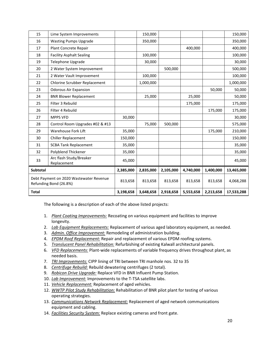| 15           | Lime System Improvements                                          |           | 150,000   |           |           |           | 150,000    |
|--------------|-------------------------------------------------------------------|-----------|-----------|-----------|-----------|-----------|------------|
| 16           | <b>Wasting Pumps Upgrade</b>                                      |           | 350,000   |           |           |           | 350,000    |
| 17           | Plant Concrete Repair                                             |           |           |           | 400,000   |           | 400,000    |
| 18           | <b>Facility Asphalt Sealing</b>                                   |           | 100,000   |           |           |           | 100,000    |
| 19           | Telephone Upgrade                                                 |           | 30,000    |           |           |           | 30,000     |
| 20           | 2 Water System Improvement                                        |           |           | 500,000   |           |           | 500,000    |
| 21           | 2 Water Vault Improvement                                         |           | 100,000   |           |           |           | 100,000    |
| 22           | Chlorine Scrubber Replacement                                     |           | 1,000,000 |           |           |           | 1,000,000  |
| 23           | <b>Odorous Air Expansion</b>                                      |           |           |           |           | 50,000    | 50,000     |
| 24           | <b>BNR Blower Replacement</b>                                     |           | 25,000    |           | 25,000    |           | 50,000     |
| 25           | Filter 3 Rebuild                                                  |           |           |           | 175,000   |           | 175,000    |
| 26           | Filter 4 Rebuild                                                  |           |           |           |           | 175,000   | 175,000    |
| 27           | MPPS VFD                                                          | 30,000    |           |           |           |           | 30,000     |
| 28           | Control Room Upgrades #02 & #13                                   |           | 75,000    | 500,000   |           |           | 575,000    |
| 29           | Warehouse Fork Lift                                               | 35,000    |           |           |           | 175,000   | 210,000    |
| 30           | <b>Chiller Replacement</b>                                        | 150,000   |           |           |           |           | 150,000    |
| 31           | <b>SCBA Tank Replacement</b>                                      | 35,000    |           |           |           |           | 35,000     |
| 32           | Polyblend Thickener                                               | 35,000    |           |           |           |           | 35,000     |
| 33           | Arc flash Study/Breaker<br>Replacement                            | 45,000    |           |           |           |           | 45,000     |
| Subtotal     |                                                                   | 2,385,000 | 2,835,000 | 2,105,000 | 4,740,000 | 1,400,000 | 13,465,000 |
|              | Debt Payment on 2020 Wastewater Revenue<br>Refunding Bond (26.8%) | 813,658   | 813,658   | 813,658   | 813,658   | 813,658   | 4,068,288  |
| <b>Total</b> |                                                                   | 3,198,658 | 3,648,658 | 2,918,658 | 5,553,658 | 2,213,658 | 17,533,288 |

The following is a description of each of the above listed projects:

- 1. *Plant Coating Improvements:* Recoating on various equipment and facilities to improve longevity.
- 2. *Lab Equipment Replacements:* Replacement of various aged laboratory equipment, as needed.
- 3. *Admin. Office Improvement:* Remodeling of administration building.
- 4. *EPDM Roof Replacement:* Repair and replacement of various EPDM roofing systems.
- 5. *Translucent Panel Rehabilitation:* Refurbishing of existing Kalwall architectural panels.
- 6. *VFD Replacements:* Plant-wide replacements of variable frequency drives throughout plant, as needed basis.
- 7. *TRI Improvements:* CIPP lining of TRI between TRI manhole nos. 32 to 35
- 8. *Centrifuge Rebuild:* Rebuild dewatering centrifuges (2 total).
- 9. *Robicon Drive Upgrade:* Replace VFD in BNR Influent Pump Station.
- 10. *Lab Improvement:* Improvements to the T-TSA satellite labs.
- 11. *Vehicle Replacement:* Replacement of aged vehicles.
- 12. *WWTP Pilot Study Rehabilitation:* Rehabilitation of BNR pilot plant for testing of various operating strategies.
- 13. *Communications Network Replacement:* Replacement of aged network communications equipment and cabling.
- 14. *Facilities Security System:* Replace existing cameras and front gate.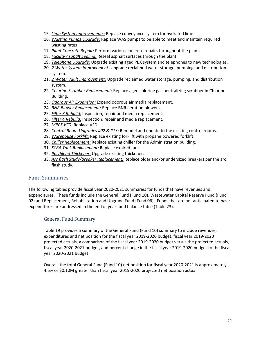- 15. *Lime System Improvements:* Replace conveyance system for hydrated lime.
- 16. *Wasting Pumps Upgrade:* Replace WAS pumps to be able to meet and maintain required wasting rates
- 17. *Plant Concrete Repair:* Perform various concrete repairs throughout the plant.
- 18. *Facility Asphalt Sealing:* Reseal asphalt surfaces through the plant
- 19. *Telephone Upgrade:* Upgrade existing aged PBX system and telephones to new technologies.
- 20. *2 Water System Improvement:* Upgrade reclaimed water storage, pumping, and distribution system.
- 21. *2 Water Vault Improvement:* Upgrade reclaimed water storage, pumping, and distribution system.
- 22. *Chlorine Scrubber Replacement:* Replace aged chlorine gas neutralizing scrubber in Chlorine Building.
- 23. *Odorous Air Expansion:* Expand odorous air media replacement.
- 24. *BNR Blower Replacement:* Replace BNR aeration blowers.
- 25. *Filter 3 Rebuild:* Inspection, repair and media replacement.
- 26. *Filter 4 Rebuild:* Inspection, repair and media replacement.
- 27. *MPPS VFD:* Replace VFD
- 28. *Control Room Upgrades #02 & #13:* Remodel and update to the existing control rooms.
- 29. *Warehouse Forklift:* Replace existing forklift with propane powered forklift.
- 30. *Chiller Replacement:* Replace existing chiller for the Administration building.
- 31. *SCBA Tank Replacement:* Replace expired tanks.
- 32. *Polyblend Thickener:* Upgrade existing thickener.
- 33. *Arc flash Study/Breaker Replacement:* Replace older and/or undersized breakers per the arc flash study.

# <span id="page-20-0"></span>Fund Summaries

The following tables provide fiscal year 2020-2021 summaries for funds that have revenues and expenditures. These funds include the General Fund (Fund 10), Wastewater Capital Reserve Fund (Fund 02) and Replacement, Rehabilitation and Upgrade Fund (Fund 06). Funds that are not anticipated to have expenditures are addressed in the end of year fund balance table (Table 23).

# <span id="page-20-1"></span>General Fund Summary

Table 19 provides a summary of the General Fund (Fund 10) summary to include revenues, expenditures and net position for the fiscal year 2019-2020 budget, fiscal year 2019-2020 projected actuals, a comparison of the fiscal year 2019-2020 budget versus the projected actuals, fiscal year 2020-2021 budget, and percent change in the fiscal year 2019-2020 budget to the fiscal year 2020-2021 budget.

Overall, the total General Fund (Fund 10) net position for fiscal year 2020-2021 is approximately 4.6% or \$0.10M greater than fiscal year 2019-2020 projected net position actual.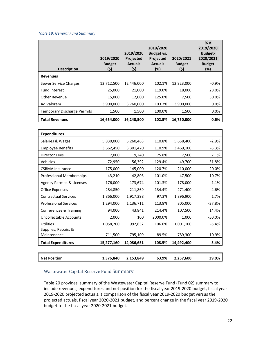#### <span id="page-21-1"></span>*Table 19: General Fund Summary*

| <b>Description</b>                 | 2019/2020<br><b>Budget</b><br>(\$) | 2019/2020<br>Projected<br><b>Actuals</b><br>(\$) | 2019/2020<br>Budget vs.<br><b>Projected</b><br><b>Actuals</b><br>(%) | 2020/2021<br><b>Budget</b><br>(\$) | $%$ $\Delta$<br>2019/2020<br><b>Budget-</b><br>2020/2021<br><b>Budget</b><br>(%) |
|------------------------------------|------------------------------------|--------------------------------------------------|----------------------------------------------------------------------|------------------------------------|----------------------------------------------------------------------------------|
| <b>Revenues</b>                    |                                    |                                                  |                                                                      |                                    |                                                                                  |
| Sewer Service Charges              | 12,712,500                         | 12.446.000                                       | 102.1%                                                               | 12,823,000                         | $-0.9%$                                                                          |
| <b>Fund Interest</b>               | 25,000                             | 21,000                                           | 119.0%                                                               | 18,000                             | 28.0%                                                                            |
| <b>Other Revenue</b>               | 15,000                             | 12,000                                           | 125.0%                                                               | 7,500                              | 50.0%                                                                            |
| Ad Valorem                         | 3,900,000                          | 3,760,000                                        | 103.7%                                                               | 3,900,000                          | 0.0%                                                                             |
| <b>Temporary Discharge Permits</b> | 1,500                              | 1,500                                            | 100.0%                                                               | 1,500                              | 0.0%                                                                             |
| <b>Total Revenues</b>              | 16,654,000                         | 16,240,500                                       | 102.5%                                                               | 16,750,000                         | 0.6%                                                                             |

| <b>Expenditures</b>                  |            |            |         |            |           |
|--------------------------------------|------------|------------|---------|------------|-----------|
| Salaries & Wages                     | 5,830,000  | 5,260,463  | 110.8%  | 5,658,400  | $-2.9%$   |
| <b>Employee Benefits</b>             | 3,662,450  | 3,301,420  | 110.9%  | 3,469,100  | $-5.3%$   |
| <b>Director Fees</b>                 | 7,000      | 9,240      | 75.8%   | 7,500      | 7.1%      |
| Vehicles                             | 72,950     | 56,392     | 129.4%  | 49,700     | $-31.8%$  |
| <b>CSRMA</b> Insurance               | 175,000    | 145,000    | 120.7%  | 210,000    | 20.0%     |
| <b>Professional Memberships</b>      | 43,210     | 42,803     | 101.0%  | 47,500     | 10.7%     |
| <b>Agency Permits &amp; Licenses</b> | 176,000    | 173,674    | 101.3%  | 178,000    | 1.1%      |
| <b>Office Expenses</b>               | 284,850    | 211,869    | 134.4%  | 271,400    | $-4.6%$   |
| <b>Contractual Services</b>          | 1,866,000  | 1,917,398  | 97.3%   | 1,896,900  | 1.7%      |
| <b>Professional Services</b>         | 1,294,000  | 1,136,711  | 113.8%  | 805,000    | $-37.8%$  |
| Conferences & Training               | 94,000     | 43,841     | 214.4%  | 107,500    | 14.4%     |
| Uncollectable Accounts               | 2,000      | 100        | 2000.0% | 1,000      | $-50.0\%$ |
| Utilities                            | 1,058,200  | 992,632    | 106.6%  | 1,001,100  | $-5.4%$   |
| Supplies, Repairs &                  |            |            |         |            |           |
| Maintenance                          | 711,500    | 795,109    | 89.5%   | 789,300    | 10.9%     |
| <b>Total Expenditures</b>            | 15,277,160 | 14,086,651 | 108.5%  | 14,492,400 | -5.4%     |

|--|

#### <span id="page-21-0"></span>Wastewater Capital Reserve Fund Summary

Table 20 provides summary of the Wastewater Capital Reserve Fund (Fund 02) summary to include revenues, expenditures and net position for the fiscal year 2019-2020 budget, fiscal year 2019-2020 projected actuals, a comparison of the fiscal year 2019-2020 budget versus the projected actuals, fiscal year 2020-2021 budget, and percent change in the fiscal year 2019-2020 budget to the fiscal year 2020-2021 budget.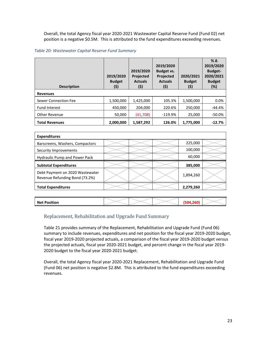Overall, the total Agency fiscal year 2020-2021 Wastewater Capital Reserve Fund (Fund 02) net position is a negative \$0.5M. This is attributed to the fund expenditures exceeding revenues.

#### <span id="page-22-1"></span>*Table 20: Wastewater Capital Reserve Fund Summary*

| <b>Description</b>          | 2019/2020<br><b>Budget</b><br>(\$) | 2019/2020<br><b>Projected</b><br><b>Actuals</b><br>(\$) | 2019/2020<br>Budget vs.<br><b>Projected</b><br><b>Actuals</b><br>(\$) | 2020/2021<br><b>Budget</b><br>(\$) | $%$ $\Delta$<br>2019/2020<br><b>Budget-</b><br>2020/2021<br><b>Budget</b><br>(%) |
|-----------------------------|------------------------------------|---------------------------------------------------------|-----------------------------------------------------------------------|------------------------------------|----------------------------------------------------------------------------------|
| <b>Revenues</b>             |                                    |                                                         |                                                                       |                                    |                                                                                  |
| <b>Sewer Connection Fee</b> | 1,500,000                          | 1,425,000                                               | 105.3%                                                                | 1,500,000                          | 0.0%                                                                             |
| <b>Fund Interest</b>        | 450.000                            | 204.000                                                 | 220.6%                                                                | 250.000                            | $-44.4%$                                                                         |
| Other Revenue               | 50,000                             | (41,708)                                                | $-119.9%$                                                             | 25,000                             | $-50.0\%$                                                                        |
| <b>Total Revenues</b>       | 2,000,000                          | 1,587,292                                               | 126.0%                                                                | 1,775,000                          | $-12.7%$                                                                         |

| <b>Expenditures</b>                                               |  |           |  |
|-------------------------------------------------------------------|--|-----------|--|
| Barscreens, Washers, Compactors                                   |  | 225,000   |  |
| Security Improvements                                             |  | 100,000   |  |
| Hydraulic Pump and Power Pack                                     |  | 60,000    |  |
| <b>Subtotal Expenditures</b>                                      |  | 385,000   |  |
| Debt Payment on 2020 Wastewater<br>Revenue Refunding Bond (73.2%) |  | 1,894,260 |  |
| <b>Total Expenditures</b>                                         |  | 2,279,260 |  |

| <b>Net Position</b> |  |
|---------------------|--|
|                     |  |

#### <span id="page-22-0"></span>Replacement, Rehabilitation and Upgrade Fund Summary

Table 21 provides summary of the Replacement, Rehabilitation and Upgrade Fund (Fund 06) summary to include revenues, expenditures and net position for the fiscal year 2019-2020 budget, fiscal year 2019-2020 projected actuals, a comparison of the fiscal year 2019-2020 budget versus the projected actuals, fiscal year 2020-2021 budget, and percent change in the fiscal year 2019- 2020 budget to the fiscal year 2020-2021 budget.

Overall, the total Agency fiscal year 2020-2021 Replacement, Rehabilitation and Upgrade Fund (Fund 06) net position is negative \$2.8M. This is attributed to the fund expenditures exceeding revenues.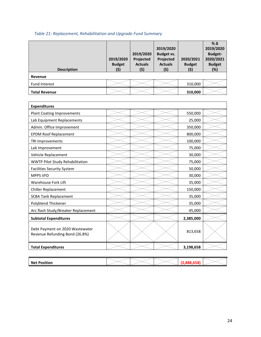<span id="page-23-0"></span>

|  |  | Table 21: Replacement, Rehabilitation and Upgrade Fund Summary |
|--|--|----------------------------------------------------------------|
|--|--|----------------------------------------------------------------|

| <b>Description</b>   | 2019/2020<br><b>Budget</b><br>(\$) | 2019/2020<br>Projected<br><b>Actuals</b><br>(5) | 2019/2020<br>Budget vs.<br>Projected<br><b>Actuals</b><br>(5) | 2020/2021<br><b>Budget</b><br>(\$) | $\%$ $\Delta$<br>2019/2020<br><b>Budget-</b><br>2020/2021<br><b>Budget</b><br>(%) |
|----------------------|------------------------------------|-------------------------------------------------|---------------------------------------------------------------|------------------------------------|-----------------------------------------------------------------------------------|
| Revenue              |                                    |                                                 |                                                               |                                    |                                                                                   |
| Fund Interest        |                                    |                                                 |                                                               | 310,000                            |                                                                                   |
| <b>Total Revenue</b> |                                    |                                                 |                                                               | 310,000                            |                                                                                   |

| <b>Expenditures</b>                                               |  |           |  |
|-------------------------------------------------------------------|--|-----------|--|
| <b>Plant Coating Improvements</b>                                 |  | 550,000   |  |
| Lab Equipment Replacements                                        |  | 25,000    |  |
| Admin. Office Improvement                                         |  | 350,000   |  |
| <b>EPDM Roof Replacement</b>                                      |  | 800,000   |  |
| <b>TRI Improvements</b>                                           |  | 100,000   |  |
| Lab Improvement                                                   |  | 75,000    |  |
| Vehicle Replacement                                               |  | 30,000    |  |
| <b>WWTP Pilot Study Rehabilitation</b>                            |  | 75,000    |  |
| <b>Facilities Security System</b>                                 |  | 50,000    |  |
| <b>MPPS VFD</b>                                                   |  | 30,000    |  |
| <b>Warehouse Fork Lift</b>                                        |  | 35,000    |  |
| <b>Chiller Replacement</b>                                        |  | 150,000   |  |
| <b>SCBA Tank Replacement</b>                                      |  | 35,000    |  |
| Polyblend Thickener                                               |  | 35,000    |  |
| Arc flash Study/Breaker Replacement                               |  | 45,000    |  |
| <b>Subtotal Expenditures</b>                                      |  | 2,385,000 |  |
| Debt Payment on 2020 Wastewater<br>Revenue Refunding Bond (26.8%) |  | 813,658   |  |
| <b>Total Expenditures</b>                                         |  | 3,198,658 |  |

| <b>Net Position</b> |  |
|---------------------|--|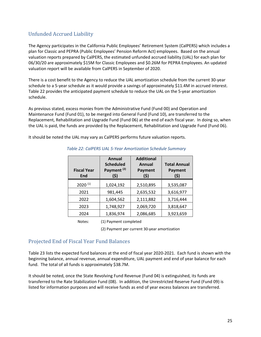# <span id="page-24-0"></span>Unfunded Accrued Liability

The Agency participates in the California Public Employees' Retirement System (CalPERS) which includes a plan for Classic and PEPRA (Public Employees' Pension Reform Act) employees. Based on the annual valuation reports prepared by CalPERS, the estimated unfunded accrued liability (UAL) for each plan for 06/30/20 are approximately \$15M for Classic Employees and \$0.26M for PEPRA Employees. An updated valuation report will be available from CalPERS in September of 2020.

There is a cost benefit to the Agency to reduce the UAL amortization schedule from the current 30-year schedule to a 5-year schedule as it would provide a savings of approximately \$11.4M in accrued interest. Table 22 provides the anticipated payment schedule to reduce the UAL on the 5-year amortization schedule.

As previous stated, excess monies from the Administrative Fund (Fund 00) and Operation and Maintenance Fund (Fund 01), to be merged into General Fund (Fund 10), are transferred to the Replacement, Rehabilitation and Upgrade Fund (Fund 06) at the end of each fiscal year. In doing so, when the UAL is paid, the funds are provided by the Replacement, Rehabilitation and Upgrade Fund (Fund 06).

<span id="page-24-2"></span>It should be noted the UAL may vary as CalPERS performs future valuation reports.

| <b>Fiscal Year</b><br><b>End</b> | Annual<br><b>Scheduled</b><br>Payment <sup>(2)</sup><br>(\$) | <b>Additional</b><br><b>Annual</b><br>Payment<br>(\$) | <b>Total Annual</b><br>Payment<br>(\$) |
|----------------------------------|--------------------------------------------------------------|-------------------------------------------------------|----------------------------------------|
| $2020^{(1)}$                     | 1,024,192                                                    | 2,510,895                                             | 3,535,087                              |
| 2021                             | 981,445                                                      | 2,635,532                                             | 3,616,977                              |
| 2022                             | 1,604,562                                                    | 2,111,882                                             | 3,716,444                              |
| 2023                             | 1,748,927                                                    | 2,069,720                                             | 3,818,647                              |
| 2024                             | 1,836,974                                                    | 2,086,685                                             | 3,923,659                              |

#### *Table 22: CalPERS UAL 5-Year Amortization Schedule Summary*

Notes: (1) Payment completed

(2) Payment per current 30-year amortization

# <span id="page-24-1"></span>Projected End of Fiscal Year Fund Balances

Table 23 lists the expected fund balances at the end of fiscal year 2020-2021. Each fund is shown with the beginning balance, annual revenue, annual expenditure, UAL payment and end of year balance for each fund. The total of all funds is approximately \$38.7M.

It should be noted, once the State Revolving Fund Revenue (Fund 04) is extinguished, its funds are transferred to the Rate Stabilization Fund (08). In addition, the Unrestricted Reserve Fund (Fund 09) is listed for information purposes and will receive funds as end of year excess balances are transferred.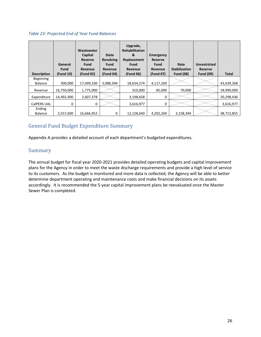#### <span id="page-25-2"></span>*Table 23: Projected End of Year Fund Balances*

| <b>Description</b>          | General<br><b>Fund</b><br>(Fund 10) | Wastewater<br>Capital<br><b>Reserve</b><br><b>Fund</b><br>Revenue<br>(Fund 02) | <b>State</b><br><b>Revolving</b><br><b>Fund</b><br>Revenue<br>(Fund 04) | Upgrade,<br><b>Rehabilitation</b><br>&<br>Replacement<br>Fund<br>Revenue<br>(Fund 06) | <b>Emergency</b><br>Reserve<br><b>Fund</b><br><b>Revenue</b><br>(Fund 07) | Rate<br><b>Stabilization</b><br><b>Fund (08)</b> | <b>Unrestricted</b><br>Reserve<br><b>Fund (09)</b> | <b>Total</b> |
|-----------------------------|-------------------------------------|--------------------------------------------------------------------------------|-------------------------------------------------------------------------|---------------------------------------------------------------------------------------|---------------------------------------------------------------------------|--------------------------------------------------|----------------------------------------------------|--------------|
| Beginning<br><b>Balance</b> | 300,000                             | 17,499,330                                                                     | 3,088,394                                                               | 18,634,274                                                                            | 4,117,269                                                                 |                                                  |                                                    | 43,639,268   |
| Revenue                     | 16,750,000                          | 1,775,000                                                                      |                                                                         | 310,000                                                                               | 85,000                                                                    | 70,000                                           |                                                    | 18,990,000   |
| Expenditure                 | 14,492,400                          | 2,607,378                                                                      |                                                                         | 3,198,658                                                                             | 0                                                                         |                                                  |                                                    | 20,298,436   |
| CalPERS UAL                 | 0                                   | 0                                                                              |                                                                         | 3,616,977                                                                             | 0                                                                         |                                                  |                                                    | 3,616,977    |
| Ending<br><b>Balance</b>    | 2,557,600                           | 16,666,952                                                                     | 0                                                                       | 12,128,640                                                                            | 4,202,269                                                                 | 3,158,394                                        |                                                    | 38,713,855   |

# <span id="page-25-0"></span>General Fund Budget Expenditure Summary

Appendix A provides a detailed account of each department's budgeted expenditures.

# <span id="page-25-1"></span>Summary

The annual budget for fiscal year 2020-2021 provides detailed operating budgets and capital improvement plans for the Agency in order to meet the waste discharge requirements and provide a high level of service to its customers. As the budget is monitored and more data is collected, the Agency will be able to better determine department operating and maintenance costs and make financial decisions on its assets accordingly. It is recommended the 5-year capital improvement plans be reevaluated once the Master Sewer Plan is completed.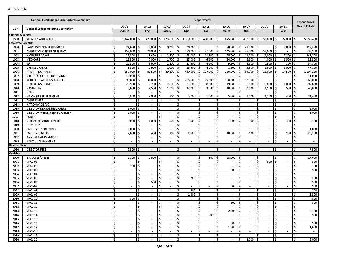|                          | <b>General Fund Budget Expenditures Summary</b> |                         |                          |                     |                          |                                   |                     |                             | Department                     |                   |                                                      |               |                             |                    |                          |                         |                          |     | <b>Expenditures</b> |
|--------------------------|-------------------------------------------------|-------------------------|--------------------------|---------------------|--------------------------|-----------------------------------|---------------------|-----------------------------|--------------------------------|-------------------|------------------------------------------------------|---------------|-----------------------------|--------------------|--------------------------|-------------------------|--------------------------|-----|---------------------|
| GL#                      | <b>General Ledger Account Description</b>       |                         | 10-01                    |                     | $10 - 02$                | $10 - 03$                         |                     | 10-04                       | $10 - 05$                      |                   | 10-06                                                |               | $10-07$                     |                    | 10-08                    |                         | $10 - 11$                |     | <b>Grand Totals</b> |
|                          |                                                 |                         | Admin                    |                     | Eng                      | Safety                            |                     | Ops                         | Lab                            |                   | <b>Maint</b>                                         |               | <b>1&amp;E</b>              |                    | IT                       |                         | <b>Whs</b>               |     |                     |
| Salaries & Wages         |                                                 |                         |                          |                     |                          |                                   |                     |                             |                                |                   |                                                      |               |                             |                    |                          |                         |                          |     |                     |
| 0500                     | SALARIES AND WAGES                              | Ŝ.                      | $1,142,000$ \$           |                     | 470,000                  | 123,000 \$<br>$\mathsf{S}$        |                     | 1,700,000 \$                | 460,000 \$                     |                   | 875,000                                              | $\zeta$       | 462,000                     | \$                 | 353,600 \$               |                         | 72,800                   | l\$ | 5,658,400           |
| <b>Employee Benefits</b> |                                                 |                         |                          |                     |                          |                                   |                     |                             |                                |                   |                                                      |               |                             |                    |                          |                         |                          |     |                     |
| 1000                     | CALPERS PEPRA RETIREMENT                        | \$.                     | 24,000                   | \$                  | 9,000                    | 8,200                             | -\$                 | 30,000                      | \$<br>$\overline{\phantom{a}}$ |                   | 20,000<br>l \$                                       | S             | 21,000                      | \$.                | $\sim$                   | \$                      | 5,000                    | \$  | 117,200             |
| 1001                     | <b>CALPERS CLASSIC RETIREMENT</b>               | \$                      | 152,000                  | Ŝ.                  | 71,000                   | <sup>\$</sup>                     | Ś.                  | 280,000                     | $97,500$ \$                    |                   | 145,000                                              | Ś             | 28,000                      | Ś                  | 57,000                   | l\$                     | ä,                       | \$  | 830,500             |
| 1002                     | <b>WORKER'S COMP</b>                            | \$                      | $25,500$ \$              |                     | 8,400                    | 2,800<br>-\$                      | -\$                 | 48,000                      | \$<br>$11,500$ \$              |                   | 25,000                                               | -\$           | 11,200                      | \$                 | $6,000$ \$               |                         | 2,800                    | \$  | 141,200             |
| 1003                     | <b>MEDICARE</b>                                 | \$                      | 15,500                   | \$                  | 7,000                    | 1,700<br>\$                       | \$                  | 25,000                      | \$                             | $6,600$ \$        | 14,000                                               | \$            | 6,500                       | \$                 | 4,000                    | ۱\$                     | 1,000                    | \$  | 81,300              |
| 1004                     | SDI                                             | \$                      | 10,500                   | $\sqrt{5}$          | 3,600                    | l \$<br>1,200                     | $\ddot{\mathsf{S}}$ | 17,500                      | \$                             | 4,600 \$          | 9,200                                                | \$            | 4,500                       | \$                 | 2,900                    | ۱\$                     | 800                      | \$  | 54,800              |
| 1005                     | LIFE INSURANCE                                  | \$                      | 8,500                    | \$                  | 2,900                    | 1,000                             | \$                  | 15,500                      | 4,000<br>Ś.                    |                   | $\mathsf{\hat{S}}$<br>8,500                          |               | 3,800                       |                    | 1,900                    | -\$                     | 1,000                    | Ś   | 47,100              |
| 1006                     | <b>HEALTH INSURANCE</b>                         | \$                      | 252,000                  | Ŝ.                  | 81,500                   | 29,200<br>Ŝ.                      | Ś                   | 430,000                     | \$<br>127,000                  |                   | l \$<br>250,000                                      | Ŝ             | 84,000                      |                    | 26,000                   | -\$                     | 14,500                   | \$  | 1,294,200           |
| 1007                     | DIRECTOR HEALTH INSURANCE                       | \$                      | $41,000$ \$              |                     | $\overline{\phantom{a}}$ | \$<br>$\sim$                      | \$                  | $\sim$                      | Ś<br>$\overline{\phantom{a}}$  |                   | \$                                                   | Ś             | $\sim$                      | Ŝ                  | $\sim$                   | Ŝ.                      | $\sim$                   | Ś   | 41,000              |
| 1008                     | RETIREE HEALTH INSURANCE                        | \$                      | 91,000                   | \$                  | 31,000                   | Ŝ.<br>$\sim$                      | \$                  | 285,000                     | 35,000<br>\$                   |                   | l \$<br>160,000                                      | Ŝ             | 63,000                      | Ś.                 | $\sim$                   | $\mathsf{\hat{S}}$      | $\sim$                   | \$  | 665,000             |
| 1009                     | DENTAL INSURANCE                                | \$                      | 20,500                   | \$                  | 6,200                    | 2,600<br>\$                       | \$                  | 31,000                      | 8,900<br>\$                    |                   | l \$<br>19,000                                       | Ŝ.            | 5,600                       | \$                 | 3,000                    | $\sqrt{5}$              | 1,000                    | \$  | 97,800              |
| 1010                     | <b>NAVIA HRA</b>                                | \$                      | 9,000                    | \$                  | 2,500                    | 1,000<br>Ŝ.                       | \$                  | 12,000                      | 3,500<br>\$                    |                   | l \$<br>10,000                                       | Ŝ.            | 3,000                       | Ś.                 | 1,500                    | -\$                     | 500                      | \$  | 43,000              |
| 1011                     | OPEB                                            | \$                      |                          | Ś                   | $\overline{\phantom{a}}$ | \$<br>$\sim$                      | \$                  |                             | Ś                              |                   | \$                                                   | Ŝ.            | $\sim$                      | Ś.                 |                          | \$                      | $\sim$                   | \$  |                     |
| 1012                     | VISION REIMBURSEMENT                            | \$                      | 5,800                    | Ŝ.                  | 2,000                    | 800<br>\$                         | \$                  | 3,000                       | 1,600<br>\$                    |                   | -\$<br>5,000                                         | \$            | 1,600                       | \$                 | 1,200                    | -\$                     | 400                      | \$  | 21,400              |
| 1013                     | CALPERS 457                                     | \$                      | $\sim$                   | \$                  | $\sim$                   | \$<br>$\sim$                      | \$                  | $\sim$                      | \$<br>$\sim$                   |                   | -\$<br>$\overline{\phantom{a}}$                      | \$            | $\sim$                      | \$                 | $\sim$                   | -\$                     | $\sim$                   | \$  | $\sim$              |
| 1014                     | NATIONWIDE 457                                  | \$                      | $\sim$                   | \$                  | ×.                       | \$                                | \$                  | $\sim$                      | \$<br>$\sim$                   |                   | \$                                                   | \$            | $\sim$                      | \$                 | $\sim$                   | \$                      | $\sim$                   | \$  | $\sim$              |
| 1015                     | DIRECTOR DENTAL INSURANCE                       | \$                      | 6,000                    | \$                  | $\overline{\phantom{a}}$ | \$<br>$\sim$                      | \$                  | $\sim$                      | \$<br>$\overline{\phantom{a}}$ |                   | $\zeta$<br>$\overline{\phantom{a}}$                  | \$            | $\sim$                      | \$                 | $\overline{\phantom{a}}$ | \$                      | $\sim$                   | \$  | 6,000               |
| 1016                     | DIRECTOR VISION REIMBURSEMENT                   | \$                      | 1,000                    | Ś                   | $\overline{\phantom{a}}$ | \$<br>$\sim$                      | \$                  | $\overline{\phantom{a}}$    | \$<br>$\sim$                   |                   | Ś                                                    | \$            | $\overline{\phantom{a}}$    | \$                 |                          | \$                      | $\sim$                   | \$  | 1,000               |
| 1017                     | <b>COBRA</b>                                    | \$                      | $\overline{\phantom{a}}$ | Ś                   | $\overline{\phantom{a}}$ | \$<br>$\sim$                      | \$                  | $\sim$                      | Ś.<br>$\sim$                   |                   | \$                                                   | \$            | $\sim$                      | Ś.                 | $\sim$                   | \$                      | $\sim$                   | Ś   | $\sim$              |
| 1018                     | DENTAL REIMBURSEMENT                            | \$                      | 2,000                    | Ś                   | 1,000                    | 500<br>Ŝ.                         | \$                  | 1,000                       | Ś.<br>$\sim$                   |                   | $\mathsf{\hat{S}}$<br>1,000                          | \$            | 500                         | Ŝ.                 | $\sim$                   | $\zeta$                 | 400                      | \$  | 6,400               |
| 1019                     | <b>JURY DUTY</b>                                | \$                      | $\sim$                   | Ś                   | ×.                       | \$<br>$\sim$                      | \$                  | ÷.                          | \$<br>$\sim$                   |                   | \$                                                   | \$            | ÷.                          | \$                 | ×.                       | $\ddot{\varsigma}$      | $\sim$                   | \$  | $\sim$              |
| 1020                     | <b>EMPLOYEE SCREENING</b>                       | \$                      | 1,000                    | \$                  | $\mathbf{r}$             | \$<br>$\sim$                      | s,                  | $\mathcal{L}_{\mathcal{A}}$ | Ś.<br>$\overline{\phantom{a}}$ |                   | $\overline{\mathcal{S}}$<br>$\overline{\phantom{a}}$ | \$            | $\omega$                    | \$                 | $\sim$                   | $\zeta$                 | $\omega$                 | \$  | 1,000               |
| 1021                     | <b>EMPLOYEE MISC.</b>                           | \$                      | 7,000                    | Ś                   | 400                      | Ś.<br>100                         | \$                  | 2,500                       | Ś.<br>$\sim$                   |                   | \$<br>10,000                                         | Ŝ.            | 100                         | \$                 |                          | \$                      | 100                      | Ś   | 20,200              |
| 1022                     | ANNUAL UAL PAYMENT                              | \$                      | $\overline{\phantom{a}}$ | Ŝ.                  | $\overline{\phantom{a}}$ | \$<br>$\sim$                      | \$                  | $\sim$                      | Ś.<br>$\overline{\phantom{a}}$ |                   | \$                                                   | \$            | $\sim$                      | Ś.                 | $\sim$                   | \$                      | $\sim$                   | Ś   | $\sim$              |
| 1023                     | ADDT'L UAL PAYMENT                              | Ŝ.                      | $\sim$                   | Ŝ.                  | $\sim$                   | \$<br>$\sim$                      | \$                  | $\sim$                      | Ś<br>$\sim$                    |                   | Ŝ.<br>$\sim$                                         | Ŝ.            | $\sim$                      | Ŝ.                 | $\sim$                   | $\mathsf{\hat{S}}$      | $\sim$                   | Ś.  | $\sim$              |
| <b>Director Fees</b>     |                                                 |                         |                          |                     |                          |                                   |                     |                             |                                |                   |                                                      |               |                             |                    |                          |                         |                          |     |                     |
| 1050                     | <b>DIRECTOR FEES</b>                            | \$                      | 7,500                    |                     | $\sim$                   | \$<br>$\sim$                      | \$                  | $\sim$                      | \$<br>$\sim$                   |                   | -\$<br>$\overline{\phantom{a}}$                      | \$            | $\sim$                      | \$                 | $\sim$                   | -\$                     | $\sim$                   | Ŝ.  | 7,500               |
| Vehicles                 |                                                 |                         |                          |                     |                          |                                   |                     |                             |                                |                   |                                                      |               |                             |                    |                          |                         |                          |     |                     |
| 2000                     | GASOLINE/DIESEL                                 | \$                      | 1,800                    | Ŝ.                  | 2,500                    | l\$<br>$\sim$                     | \$                  | $\sim$                      | \$                             | $300 \, \text{S}$ | 23,000                                               | \$            | $\sim$                      | \$                 | $\sim$                   | \$                      | $\sim$                   | \$  | 27,600              |
| 2001                     | VHCL-01                                         | \$                      | $\sim$                   | \$                  | $\sim$                   | \$<br>$\sim$                      | \$                  | $\sim$                      | \$<br>$\overline{\phantom{a}}$ |                   | $\mathsf{\hat{S}}$<br>$\overline{\phantom{a}}$       | \$            | $\sim$                      | \$                 | 800                      | $\overline{\mathsf{S}}$ | $\sim$                   | \$  | 800                 |
| 2002                     | VHCL-02                                         | \$                      | 100                      | $\ddot{\mathsf{S}}$ | ×.                       | \$                                | \$                  | $\sim$                      | \$<br>$\sim$                   |                   | $\ddot{\mathsf{S}}$                                  | \$            | $\sim$                      | \$                 |                          | \$                      | $\sim$                   | \$  | 100                 |
| 2003                     | VHCL-03                                         | \$                      | $\sim$                   | Ś                   | $\overline{\phantom{a}}$ | \$<br>$\sim$                      | \$                  | $\mathcal{L}_{\mathcal{A}}$ | \$<br>$\overline{\phantom{a}}$ |                   | $\overline{\mathcal{S}}$<br>500                      | Ŝ.            | $\sim$                      | \$                 | $\sim$                   | $\zeta$                 | $\overline{\phantom{a}}$ | \$  | 500                 |
| 2004                     | VHCL-04                                         | \$                      | $\overline{\phantom{a}}$ | Ś                   | $\overline{\phantom{a}}$ | \$                                | \$                  | $\sim$                      | \$                             |                   | \$                                                   | \$            | $\overline{\phantom{a}}$    | \$                 |                          | \$                      | $\sim$                   | \$  | $\sim$              |
| 2005                     | VHCL-05                                         | \$                      | $\overline{\phantom{a}}$ | Ś                   | $\overline{\phantom{a}}$ | \$<br>$\sim$                      | \$                  | 200                         | \$<br>$\sim$                   |                   | \$                                                   | \$            | $\sim$                      | \$                 | $\sim$                   | \$                      | $\sim$                   | Ś   | 200                 |
| 2006                     | VHCL-06                                         | \$                      | $\sim$                   | Ś                   | 500                      | Ŝ.<br>$\sim$                      | \$                  | $\sim$                      | \$<br>$\sim$                   |                   | $\mathsf{\hat{S}}$<br>$\sim$                         | \$            | $\sim$                      | \$                 | $\sim$                   | $\mathsf{\hat{S}}$      | $\sim$                   | \$  | 500                 |
| 2007                     | VHCL-07                                         | \$                      | $\overline{\phantom{a}}$ | \$                  | ×.                       | \$                                | \$                  | $\sim$                      | \$<br>$\sim$                   |                   | 500<br>\$                                            | Ŝ.            | $\sim$                      | \$                 |                          | $\ddot{\varsigma}$      | ÷.                       | \$  | 500                 |
| 2008                     | VHCL-08                                         | \$                      | $\sim$                   | \$                  | $\sim$                   | \$<br>$\sim$                      | \$                  | 200                         | Ś.<br>$\overline{\phantom{a}}$ |                   | $\overline{\mathcal{S}}$<br>$\sim$                   | \$            | $\mathcal{L}_{\mathcal{A}}$ | \$                 | $\sim$                   | $\zeta$                 | $\omega$                 | \$  | 200                 |
| 2009                     | VHCL-09                                         | \$                      |                          | Ś                   |                          | \$                                | \$                  | 1,300                       | Ś.                             |                   | \$                                                   | \$            | $\sim$                      | \$                 |                          | \$                      | $\sim$                   | \$  | 1,300               |
| 2010                     | VHCL-10                                         | \$                      | 300                      | Ŝ.                  | $\overline{\phantom{a}}$ | \$<br>$\sim$                      | \$                  | $\sim$                      | Ś.<br>$\overline{\phantom{a}}$ |                   | \$                                                   | \$            | $\sim$                      | \$                 | $\sim$                   | \$.                     | $\sim$                   | \$  | 300                 |
| 2011                     | VHCL-11                                         | Ś                       | $\sim$                   | \$                  | $\sim$                   | \$<br>$\sim$                      | \$                  | $\sim$                      | Ś.<br>$\sim$                   |                   | \$<br>500                                            | Ś             | $\sim$                      | \$                 | $\sim$                   | $\mathsf{\hat{S}}$      | $\sim$                   | Ś   | 500                 |
| 2012                     | VHCL-12                                         | Ş                       |                          | l >                 |                          | I Ş                               | $\Rightarrow$       |                             | $\rightarrow$<br>$\sim$        |                   | l >                                                  | $\Rightarrow$ |                             | $\Rightarrow$      |                          | $\Rightarrow$           |                          | l > |                     |
| 2013                     | VHCL-13                                         | $\overline{\mathsf{S}}$ | $\sim$                   | $\mathsf{S}$        | $\sim$                   | $\overline{\mathsf{s}}$<br>$\sim$ | \$                  | $\sim$                      | $\zeta$<br>$\sim$              |                   | l \$<br>2,700                                        | -\$           | $\sim$                      | $\mathsf{\hat{S}}$ | $\sim$                   | $\zeta$                 | $\sim$                   | \$  | 2,700               |
| 2014                     | VHCL-14                                         | \$                      | $\sim$                   | \$                  | $\sim$                   | \$<br>$\sim$                      | \$                  | $\sim$                      | \$                             | $500 \, \text{S}$ | $\sim$                                               | \$            | $\sim$                      | \$                 | $\sim$                   | \$                      | $\sim$                   | \$  | 500                 |
| 2015                     | VHCL-15                                         | \$                      | $\sim$                   | \$                  | $\sim$                   | \$<br>$\sim$                      | \$                  | $\sim$                      | \$<br>$\sim$                   |                   | \$<br>$\sim$                                         | \$            | $\sim$                      | \$                 | $\sim$                   | \$                      | $\sim$                   | \$  | $\sim$              |
| 2016                     | VHCL-16                                         | \$                      | $\sim$                   | \$                  | $\sim$                   | \$<br>$\sim$                      | \$                  | $\sim$                      | \$<br>$\sim$                   |                   | l \$<br>500                                          | \$            | $\sim$                      | \$                 | $\sim$                   | $\mathsf{S}$            | $\sim$                   | \$  | 500                 |
| 2017                     | VHCL-17                                         | \$                      | $\sim$                   | \$                  | $\sim$                   | \$                                | \$                  | $\sim$                      | \$<br>$\sim$                   |                   | $\ddot{\mathsf{S}}$<br>1,000                         | \$            | $\sim$                      | \$                 | $\sim$                   | $\ddot{\mathsf{S}}$     | $\sim$                   | \$  | 1,000               |
| 2018                     | $VHCL-18$                                       | \$                      | $\sim$                   | \$                  | $\sim$                   | $\mathsf{\hat{S}}$<br>$\sim$      | \$                  | $\sim$                      | $\zeta$<br>$\sim$              |                   | $\ddot{\mathsf{S}}$<br>$\sim$                        | \$            | $\sim$                      | \$                 | $\sim$                   | $\ddot{\mathsf{S}}$     | $\sim$                   | \$  | $\sim$              |
| 2019                     | VHCL-19                                         | \$                      | $\sim$                   | \$                  | $\sim$                   | \$<br>$\sim$                      | \$                  | $\sim$                      | \$<br>$\sim$                   |                   | \$<br>$\sim$                                         | \$            | $\sim$                      | \$                 | $\sim$                   | \$                      | $\sim$                   | \$  | $\sim$              |
| 2020                     | VHCL-20                                         | \$                      | $\sim$                   | \$                  | $\sim$                   | \$<br>$\sim$                      | \$                  | $\sim$                      | \$                             |                   | \$<br>$\sim$                                         | \$            | $2,000$ \$                  |                    | $\sim$                   | \$                      | $\sim$                   | \$  | 2,000               |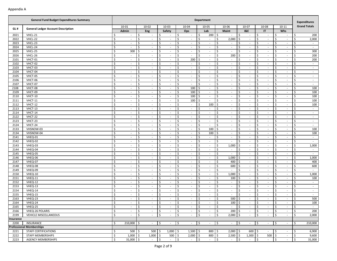| <b>Grand Totals</b><br>$10 - 01$<br>$10 - 02$<br>$10 - 03$<br>10-04<br>10-05<br>10-06<br>10-07<br>10-08<br>$10 - 11$<br><b>General Ledger Account Description</b><br>GL#<br>Admin<br>Lab<br><b>Maint</b><br><b>I&amp;E</b><br><b>IT</b><br><b>Whs</b><br>Eng<br>Safety<br>Ops<br>2021<br>VHCL-21<br>\$<br>\$<br>\$<br>\$<br>Ŝ.<br>$200 \, \text{S}$<br>\$<br>\$<br>\$<br>\$<br>200<br>$\sim$<br>$\sim$<br>$\sim$<br>$\sim$<br>$\overline{\phantom{a}}$<br>VHCL-22<br>\$<br>\$<br>\$<br>\$<br>\$<br>\$<br>2,000<br>\$<br>\$<br>\$<br>\$<br>2022<br>2,000<br>$\sim$<br>$\sim$<br>$\sim$<br>$\sim$<br>$\overline{\phantom{a}}$<br>$\sim$<br>$\sim$<br>$\overline{\phantom{a}}$<br>\$<br>$\zeta$<br>VHCL-23<br>\$<br>\$<br>\$<br>$\zeta$<br>2023<br>\$<br>\$<br>\$<br>\$<br>$\sim$<br>$\sim$<br>$\sim$<br>$\sim$<br>$\sim$<br>$\sim$<br>$\sim$<br>$\sim$<br>$\sim$<br>$\sim$<br>VHCL-24<br>\$<br>\$<br>2024<br>\$<br>Ś<br>\$<br>\$<br>\$<br>\$<br>\$<br>\$<br>$\sim$<br>$\sim$<br>$\sim$<br>$\sim$<br>$\sim$<br>$\sim$<br>$\sim$<br>$\sim$<br>$\sim$<br>$\sim$<br>\$<br>300<br>2025<br>VHCL-25<br>300<br>\$<br>\$<br>\$<br>\$<br>\$<br>\$<br>\$<br>\$<br>Ŝ.<br>$\sim$<br>$\sim$<br>$\overline{\phantom{a}}$<br>$\sim$<br>$\overline{\phantom{a}}$<br>$\sim$<br>$\sim$<br>$\overline{\phantom{a}}$<br>VHCL-26<br>\$<br>\$<br>Ŝ.<br>Ś.<br>\$<br>\$<br>$\mathsf{\hat{S}}$<br>\$<br>200<br>2026<br>Ś<br>200<br>Ŝ.<br>$\sim$<br>$\sim$<br>$\sim$<br>$\sim$<br>$\sim$<br>$\overline{\phantom{a}}$<br>$\overline{\phantom{a}}$<br>$\overline{\phantom{a}}$<br>VHCT-01<br>\$<br>\$<br>\$<br>\$<br>200<br>\$<br>\$<br>\$<br>\$<br>\$<br>\$<br>200<br>2101<br>$\sim$<br>$\sim$<br>$\sim$<br>$\sim$<br>$\sim$<br>$\overline{\phantom{a}}$<br>$\overline{\phantom{a}}$<br>$\sim$<br>2102<br>VHCT-02<br>\$<br>\$<br>$\zeta$<br>$\zeta$<br>\$<br>\$<br>\$<br>\$<br>\$<br>\$<br>$\sim$<br>$\sim$<br>$\sim$<br>$\sim$<br>$\sim$<br>$\overline{\phantom{a}}$<br>$\sim$<br>$\sim$<br>$\sim$<br>$\sim$<br>VHCT-03<br>\$<br>\$<br>2103<br>\$<br>Ś<br>\$<br>\$<br>\$<br>\$<br>\$<br>\$<br>$\sim$<br>$\sim$<br>$\sim$<br>$\overline{\phantom{a}}$<br>$\sim$<br>$\sim$<br>$\sim$<br>$\sim$<br>$\sim$<br>$\sim$<br>\$<br>\$<br>\$<br>\$<br>\$<br>\$<br>\$<br>2104<br>VHCT-04<br>\$<br>\$<br>\$<br>$\sim$<br>$\sim$<br>÷<br>$\sim$<br>$\sim$<br>$\sim$<br>$\overline{\phantom{a}}$<br>$\overline{\phantom{a}}$<br>$\sim$<br>$\overline{\phantom{a}}$<br>\$<br>\$<br>\$<br>Ś.<br>\$<br>\$<br>$\mathsf{\hat{S}}$<br>\$<br>2105<br>VHCT-05<br>\$<br>\$<br>$\sim$<br>$\sim$<br>$\sim$<br>$\sim$<br>$\overline{\phantom{a}}$<br>$\overline{\phantom{a}}$<br>$\overline{\phantom{a}}$<br>$\overline{\phantom{a}}$<br>VHCT-06<br>\$<br>\$<br>\$<br>\$<br>\$<br>\$<br>\$<br>\$<br>\$<br>\$<br>2106<br>$\sim$<br>$\sim$<br>$\sim$<br>$\sim$<br>$\overline{\phantom{a}}$<br>$\sim$<br>$\sim$<br>$\overline{\phantom{a}}$<br>$\sim$<br>$\overline{\phantom{a}}$<br>VHCT-07<br>\$<br>\$<br>$\zeta$<br>$\zeta$<br>2107<br>\$<br>\$<br>\$<br>\$<br>\$<br>\$<br>$\sim$<br>$\sim$<br>$\sim$<br>$\sim$<br>$\sim$<br>$\sim$<br>$\sim$<br>$\sim$<br>$\sim$<br>$\sim$<br>VHCT-08<br>\$<br>100<br>2108<br>\$<br>Ś<br>\$<br>100<br>Ŝ.<br>\$<br>\$<br>\$<br>\$<br>\$<br>$\sim$<br>$\sim$<br>$\sim$<br>$\sim$<br>$\sim$<br>$\sim$<br>$\sim$<br>$\sim$<br>\$<br>\$<br>$\mathsf{\hat{S}}$<br>2109<br>VHCT-09<br>Ś<br>\$<br>100<br>\$<br>\$<br>\$<br>\$<br>\$<br>100<br>$\sim$<br>$\sim$<br>$\overline{\phantom{a}}$<br>÷<br>$\overline{\phantom{a}}$<br>$\sim$<br>$\overline{\phantom{a}}$<br>$\overline{\phantom{a}}$<br>\$<br>\$<br>Ŝ.<br>100<br>Ŝ.<br>\$<br>\$<br>$\mathsf{\hat{S}}$<br>\$<br>100<br>2110<br>VHCT-10<br>\$<br>\$<br>$\sim$<br>$\sim$<br>$\sim$<br>$\overline{\phantom{a}}$<br>$\sim$<br>$\overline{\phantom{a}}$<br>VHCT-11<br>\$<br>\$<br>\$<br>\$<br>\$<br>\$<br>\$<br>\$<br>\$<br>\$<br>100<br>2111<br>100<br>$\sim$<br>$\sim$<br>$\overline{\phantom{a}}$<br>$\overline{\phantom{a}}$<br>$\sim$<br>$\sim$<br>$\sim$<br>$\overline{\phantom{a}}$<br>\$<br>VHCT-12<br>\$<br>\$<br>100<br>$\mathsf{\hat{S}}$<br>$\zeta$<br>100<br>2112<br>\$<br>\$<br>\$<br>\$<br>\$<br>$\sim$<br>$\sim$<br>$\sim$<br>$\sim$<br>$\sim$<br>$\sim$<br>$\overline{\phantom{a}}$<br>$\sim$<br>VHCT-13<br>\$<br>2113<br>\$<br>Ś<br>\$<br>\$<br>\$<br>\$<br>\$<br>\$<br>\$<br>$\sim$<br>$\sim$<br>$\sim$<br>$\sim$<br>$\sim$<br>$\overline{\phantom{a}}$<br>$\sim$<br>$\sim$<br>$\sim$<br>$\overline{\phantom{a}}$<br>\$<br>\$<br>\$<br>$\mathsf{\hat{S}}$<br>VHCT-14<br>\$<br>\$<br>\$<br>\$<br>\$<br>\$<br>2114<br>$\sim$<br>$\bar{\phantom{a}}$<br>$\sim$<br>$\overline{\phantom{a}}$<br>÷<br>$\sim$<br>$\sim$<br>$\sim$<br>$\sim$<br>$\overline{\phantom{a}}$<br>\$<br>\$<br>\$<br>\$<br>\$<br>$\mathsf{\hat{S}}$<br>\$<br>2122<br>VHCT-22<br>\$<br>\$<br>Ŝ.<br>$\sim$<br>$\sim$<br>$\sim$<br>$\sim$<br>$\overline{\phantom{a}}$<br>$\overline{\phantom{a}}$<br>$\overline{\phantom{a}}$<br>$\overline{\phantom{a}}$<br>VHCT-23<br>\$<br>\$<br>\$<br>\$<br>\$<br>\$<br>\$<br>\$<br>\$<br>\$<br>2123<br>$\sim$<br>$\sim$<br>$\sim$<br>$\sim$<br>$\overline{\phantom{a}}$<br>$\sim$<br>$\sim$<br>$\sim$<br>$\sim$<br>$\overline{\phantom{a}}$<br>VHCT-24<br>\$<br>\$<br>$\zeta$<br>$\zeta$<br>2124<br>\$<br>\$<br>\$<br>\$<br>\$<br>\$<br>$\sim$<br>$\sim$<br>$\sim$<br>$\sim$<br>$\sim$<br>$\sim$<br>$\sim$<br>$\sim$<br>$\sim$<br>$\sim$<br>\$<br>$\zeta$<br>100<br>100<br>2133<br>VHSNOW-03<br>\$<br>Ś<br>\$<br>l s<br>\$<br>\$<br>\$<br>\$<br>$\sim$<br>$\sim$<br>$\sim$<br>$\sim$<br>$\sim$<br>$\sim$<br>$\sim$<br>$\sim$<br>\$<br>\$<br>\$<br>\$<br>100<br>\$<br>2134<br>VHSNOW-04<br>\$<br>-\$<br>\$<br>\$<br>\$<br>100<br>÷<br>$\sim$<br>$\sim$<br>$\sim$<br>$\overline{\phantom{a}}$<br>$\overline{\phantom{a}}$<br>$\sim$<br>$\overline{\phantom{a}}$<br>\$<br>\$<br>\$<br>Ś.<br>\$<br>\$<br>\$<br>2141<br>VHEQ-01<br>\$<br>Ś<br>\$<br>$\sim$<br>$\sim$<br>$\sim$<br>$\overline{\phantom{a}}$<br>$\sim$<br>$\sim$<br>$\sim$<br>$\overline{\phantom{a}}$<br>2142<br>\$<br>\$<br>\$<br>\$<br>\$<br>\$<br>\$<br>\$<br>\$<br>\$<br>VHEQ-02<br>$\sim$<br>$\sim$<br>$\sim$<br>$\overline{\phantom{a}}$<br>$\sim$<br>$\sim$<br>$\overline{\phantom{a}}$<br>$\sim$<br>$\sim$<br>$\overline{\phantom{a}}$<br>VHEQ-03<br>\$<br>\$<br>\$<br>$\zeta$<br>1,000<br>$\zeta$<br>2143<br>\$<br>\$<br>\$<br>\$<br>\$<br>1,000<br>$\sim$<br>$\sim$<br>$\sim$<br>$\sim$<br>$\sim$<br>$\sim$<br>$\sim$<br>$\sim$<br>VHEQ-04<br>\$<br>\$<br>2144<br>\$<br>Ś<br>\$<br>\$<br>\$<br>\$<br>\$<br>\$<br>$\sim$<br>$\sim$<br>$\sim$<br>$\sim$<br>$\sim$<br>$\sim$<br>$\sim$<br>$\sim$<br>$\sim$<br>$\sim$<br>\$<br>2145<br>VHEQ-05<br>Ś<br>\$<br>\$<br>\$<br>\$<br>\$<br>\$<br>\$<br>\$<br>$\sim$<br>$\sim$<br>$\sim$<br>$\overline{\phantom{a}}$<br>÷<br>$\overline{\phantom{a}}$<br>$\sim$<br>$\sim$<br>$\sim$<br>$\overline{\phantom{a}}$<br>\$<br>\$<br>Ŝ.<br>Ś.<br>\$<br>1,000<br>\$<br>$\mathsf{\hat{S}}$<br>\$<br>1,000<br>2146<br>VHEQ-06<br>\$<br>\$<br>$\sim$<br>$\sim$<br>$\sim$<br>$\sim$<br>$\sim$<br>$\overline{\phantom{a}}$<br>$\overline{\phantom{a}}$<br>VHEQ-07<br>\$<br>\$<br>\$<br>\$<br>\$<br>\$<br>\$<br>\$<br>\$<br>\$<br>2147<br>400<br>400<br>$\sim$<br>$\sim$<br>$\sim$<br>$\sim$<br>$\overline{\phantom{a}}$<br>$\sim$<br>$\overline{\phantom{a}}$<br>$\sim$<br>600<br>600<br>VHEQ-08<br>\$<br>\$<br>$\zeta$<br>$\zeta$<br>2148<br>\$<br>\$<br>\$<br>\$<br>\$<br>\$<br>$\sim$<br>$\sim$<br>$\sim$<br>$\sim$<br>$\sim$<br>$\sim$<br>$\sim$<br>$\sim$<br>VHEQ-09<br>\$<br>\$<br>2149<br>\$<br>Ś<br>\$<br>\$<br>\$<br>\$<br>\$<br>\$<br>$\sim$<br>$\sim$<br>$\overline{\phantom{a}}$<br>$\sim$<br>$\sim$<br>$\sim$<br>$\sim$<br>$\sim$<br>$\sim$<br>$\sim$<br>\$<br>\$<br>\$<br>\$<br>\$<br>\$<br>2150<br>\$<br>1,000<br>\$<br>\$<br>\$<br>1,000<br>VHEQ-10<br>$\mathcal{L}$<br>$\sim$<br>$\overline{\phantom{a}}$<br>÷<br>$\sim$<br>$\sim$<br>$\sim$<br>$\sim$<br>\$<br>\$<br>\$<br>Ś.<br>\$<br>\$<br>$\mathsf{\hat{S}}$<br>\$<br>2151<br>VHEQ-11<br>\$<br>100<br>\$<br>100<br>$\sim$<br>$\sim$<br>$\sim$<br>$\sim$<br>$\overline{\phantom{a}}$<br>$\overline{\phantom{a}}$<br>$\overline{\phantom{a}}$<br>\$<br>\$<br>\$<br>\$<br>\$<br>\$<br>\$<br>\$<br>\$<br>2152<br>VHEQ-12<br>\$<br>$\sim$<br>$\sim$<br>$\sim$<br>$\sim$<br>$\overline{\phantom{a}}$<br>$\sim$<br>$\sim$<br>$\overline{\phantom{a}}$<br>$\overline{\phantom{a}}$<br>$\sim$<br>\$<br>\$<br>$\zeta$<br>$\zeta$<br>2153<br>VHEQ-13<br>\$<br>\$<br>\$<br>\$<br>\$<br>\$<br>$\sim$<br>$\sim$<br>$\sim$<br>$\sim$<br>$\sim$<br>$\sim$<br>$\sim$<br>$\sim$<br>$\sim$<br>$\sim$<br>2154<br>VHEQ-14<br>\$<br>\$<br>\$<br>\$<br>Ŝ.<br>\$<br>\$<br>\$<br>\$<br>\$<br>$\sim$<br>$\sim$<br>$\sim$<br>$\sim$<br>$\sim$<br>$\sim$<br>$\sim$<br>$\sim$<br>$\sim$<br>$\sim$<br>\$<br>\$<br>$\zeta$<br>2155<br>Ś<br>\$<br>\$<br>\$<br>\$<br>\$<br>\$<br>VHEQ-15<br>$\sim$<br>$\overline{\phantom{a}}$<br>÷<br>$\sim$<br>$\sim$<br>$\sim$<br>$\overline{\phantom{a}}$<br>$\sim$<br>$\sim$<br>$\overline{\phantom{a}}$<br>\$<br>Ś.<br>Ś.<br>\$<br>Ś.<br>500<br>2163<br>VHEQ-23<br>Ś<br>Ŝ.<br>500<br>Ś<br>Ŝ.<br>\$<br>$\sim$<br>$\sim$<br>$\sim$<br>$\sim$<br>$\overline{\phantom{a}}$<br>$\overline{\phantom{a}}$<br>$\overline{\phantom{a}}$<br>\$<br>\$<br>\$<br>\$<br>\$<br>\$<br>\$<br>\$<br>\$<br>100<br>2164<br>VHEQ-24<br>100<br>\$<br>$\sim$<br>$\sim$<br>$\sim$<br>$\sim$<br>$\sim$<br>$\overline{\phantom{a}}$<br>$\sim$<br>$\overline{\phantom{a}}$<br>2165<br>VHEQ-25<br>Ş<br>$\sim$<br>I Ş<br>$\sim$<br>I Ş<br>$\sim$<br>I Ş<br>$\sim$<br>IŞ.<br>$\sim$<br>$\mathsf{I}$<br>$\sim$<br>$\rightarrow$<br>$\sim$<br>I Ş<br>$\sim$<br>1 S<br>$\sim$<br>IŞ.<br>$\sim$<br>\$<br>$\ddot{s}$<br>$\zeta$<br>2166<br><b>S</b><br>\$<br>I\$<br>200<br>-\$<br>\$<br>I\$<br>$\ddot{\mathsf{S}}$<br>200<br>VHEQ-26 POLARIS<br>$\sim$<br>$\sim$<br>$\sim$<br>$\sim$<br>$\sim$<br>$\sim$<br>$\sim$<br>$\sim$<br>2199<br>VEHICLE MISCELLANEOUS<br>\$<br><b>\$</b><br>\$<br>\$<br>\$<br>$2,000$ \$<br>\$<br>2,000<br>\$<br>\$<br>\$<br>$\sim$<br>$\sim$<br>$\sim$<br>$\sim$<br>$\sim$<br>$\sim$<br>Insurance<br>$210,000$ \$<br>\$<br>$\ddot{\varsigma}$<br>$\ddot{\mathsf{S}}$<br>$\vert \mathfrak{s}$<br>$\sqrt{5}$<br>2200<br>INSURANCE<br>\$<br>\$<br>\$<br>\$<br>210,000<br>$\sim$<br>$\sim$<br>$\sim$<br>$\sim$<br>$\sim$<br>$\sim$<br>$\sim$<br>$\sim$<br><b>Professional Memberships</b><br>$1,000$ \$<br>2221<br>STAFF CERTIFICATIONS<br>\$<br>$500 \pm 5$<br>$500 \pm 5$<br>1,500<br>800 \$<br>2,000<br>600<br>6,900<br>I\$<br>\$<br>\$<br>5<br>\$<br>$\sim$<br>$\sim$<br>$1,000$ \$<br>$500 \, \text{S}$<br>$2,000$ \$<br>800 \$<br>2,500<br>$1,300$ \$<br>2222<br>\$<br>$1,000$ \$<br>$\ddot{\mathsf{S}}$<br>$500 \div$<br>\$<br>9,600<br>STAFF MEMBERSHIPS<br>$\sim$<br>Ŝ.<br>$31,000$ \$<br>l \$<br>\$<br>$\ddot{\varsigma}$<br>l \$<br>\$<br>$\ddot{s}$<br>$\ddot{\mathsf{S}}$<br>\$<br>2223<br><b>AGENCY MEMBERSHIPS</b><br>31,000<br>$\sim$<br>$\sim$<br>$\sim$<br>$\sim$<br>$\sim$<br>$\sim$<br>$\sim$ | <b>General Fund Budget Expenditures Summary</b> | Department |  |  |  |  |  |  |  |  |  | <b>Expenditures</b> |  |  |  |  |
|-----------------------------------------------------------------------------------------------------------------------------------------------------------------------------------------------------------------------------------------------------------------------------------------------------------------------------------------------------------------------------------------------------------------------------------------------------------------------------------------------------------------------------------------------------------------------------------------------------------------------------------------------------------------------------------------------------------------------------------------------------------------------------------------------------------------------------------------------------------------------------------------------------------------------------------------------------------------------------------------------------------------------------------------------------------------------------------------------------------------------------------------------------------------------------------------------------------------------------------------------------------------------------------------------------------------------------------------------------------------------------------------------------------------------------------------------------------------------------------------------------------------------------------------------------------------------------------------------------------------------------------------------------------------------------------------------------------------------------------------------------------------------------------------------------------------------------------------------------------------------------------------------------------------------------------------------------------------------------------------------------------------------------------------------------------------------------------------------------------------------------------------------------------------------------------------------------------------------------------------------------------------------------------------------------------------------------------------------------------------------------------------------------------------------------------------------------------------------------------------------------------------------------------------------------------------------------------------------------------------------------------------------------------------------------------------------------------------------------------------------------------------------------------------------------------------------------------------------------------------------------------------------------------------------------------------------------------------------------------------------------------------------------------------------------------------------------------------------------------------------------------------------------------------------------------------------------------------------------------------------------------------------------------------------------------------------------------------------------------------------------------------------------------------------------------------------------------------------------------------------------------------------------------------------------------------------------------------------------------------------------------------------------------------------------------------------------------------------------------------------------------------------------------------------------------------------------------------------------------------------------------------------------------------------------------------------------------------------------------------------------------------------------------------------------------------------------------------------------------------------------------------------------------------------------------------------------------------------------------------------------------------------------------------------------------------------------------------------------------------------------------------------------------------------------------------------------------------------------------------------------------------------------------------------------------------------------------------------------------------------------------------------------------------------------------------------------------------------------------------------------------------------------------------------------------------------------------------------------------------------------------------------------------------------------------------------------------------------------------------------------------------------------------------------------------------------------------------------------------------------------------------------------------------------------------------------------------------------------------------------------------------------------------------------------------------------------------------------------------------------------------------------------------------------------------------------------------------------------------------------------------------------------------------------------------------------------------------------------------------------------------------------------------------------------------------------------------------------------------------------------------------------------------------------------------------------------------------------------------------------------------------------------------------------------------------------------------------------------------------------------------------------------------------------------------------------------------------------------------------------------------------------------------------------------------------------------------------------------------------------------------------------------------------------------------------------------------------------------------------------------------------------------------------------------------------------------------------------------------------------------------------------------------------------------------------------------------------------------------------------------------------------------------------------------------------------------------------------------------------------------------------------------------------------------------------------------------------------------------------------------------------------------------------------------------------------------------------------------------------------------------------------------------------------------------------------------------------------------------------------------------------------------------------------------------------------------------------------------------------------------------------------------------------------------------------------------------------------------------------------------------------------------------------------------------------------------------------------------------------------------------------------------------------------------------------------------------------------------------------------------------------------------------------------------------------------------------------------------------------------------------------------------------------------------------------------------------------------------------------------------------------------------------------------------------------------------------------------------------------------------------------------------------------------------------------------------------------------------------------------------------------------------------------------------------------------------------------------------------------------------------------------------------------------------------------------------------------------------------------------------------------------------------------------------------------------------------------------------------------------------------------------------------------------------------------------------------------------------------------------------------------------------------------------------------------------------------------------------------------------------------------------------------------------------------------------------------------------------------------------------------------------------------------------------------------------------------------------------------------------------------------------------------------------------------------------------------------------------------------------------------------------------------------------------------------------------------------------------------------------------------------------------------------------------------------------------------------------------------------------------------------------------------------------------------------------------------------------------------------------------------------------------------------------------------------------------------------------------------------------------------------------------------------------------------------------------------------------------------------------------------------------------------------------------------------------------------------------------------------------------------------------------------------------------------------------------------------------------------------------------------------------------------------------------------------------------------------------------------------------------------------------------------------------------------------------------------------------------------------------------------------------------------------------------------------------------------------------------------------------------------------------------------------------------------------------------------------------------------------------------------------------------------------------------------------------------------------------------------------------------------------------------------------------------------------------------------------------------------------------------------------------------------------------------------------------------------------------------------------------------------------------------------------------------------------------------------------------------------------------------------------------|-------------------------------------------------|------------|--|--|--|--|--|--|--|--|--|---------------------|--|--|--|--|
|                                                                                                                                                                                                                                                                                                                                                                                                                                                                                                                                                                                                                                                                                                                                                                                                                                                                                                                                                                                                                                                                                                                                                                                                                                                                                                                                                                                                                                                                                                                                                                                                                                                                                                                                                                                                                                                                                                                                                                                                                                                                                                                                                                                                                                                                                                                                                                                                                                                                                                                                                                                                                                                                                                                                                                                                                                                                                                                                                                                                                                                                                                                                                                                                                                                                                                                                                                                                                                                                                                                                                                                                                                                                                                                                                                                                                                                                                                                                                                                                                                                                                                                                                                                                                                                                                                                                                                                                                                                                                                                                                                                                                                                                                                                                                                                                                                                                                                                                                                                                                                                                                                                                                                                                                                                                                                                                                                                                                                                                                                                                                                                                                                                                                                                                                                                                                                                                                                                                                                                                                                                                                                                                                                                                                                                                                                                                                                                                                                                                                                                                                                                                                                                                                                                                                                                                                                                                                                                                                                                                                                                                                                                                                                                                                                                                                                                                                                                                                                                                                                                                                                                                                                                                                                                                                                                                                                                                                                                                                                                                                                                                                                                                                                                                                                                                                                                                                                                                                                                                                                                                                                                                                                                                                                                                                                                                                                                                                                                                                                                                                                                                                                                                                                                                                                                                                                                                                                                                                                                                                                                                                                                                                                                                                                                                                                                                                                                                                                                                                                                                                                                                                                                                                                                                                                                                                                                                                                                                                                                                                                                                                                                                                                                                                                                                                                                                                                                                                                                                                                                                                       |                                                 |            |  |  |  |  |  |  |  |  |  |                     |  |  |  |  |
|                                                                                                                                                                                                                                                                                                                                                                                                                                                                                                                                                                                                                                                                                                                                                                                                                                                                                                                                                                                                                                                                                                                                                                                                                                                                                                                                                                                                                                                                                                                                                                                                                                                                                                                                                                                                                                                                                                                                                                                                                                                                                                                                                                                                                                                                                                                                                                                                                                                                                                                                                                                                                                                                                                                                                                                                                                                                                                                                                                                                                                                                                                                                                                                                                                                                                                                                                                                                                                                                                                                                                                                                                                                                                                                                                                                                                                                                                                                                                                                                                                                                                                                                                                                                                                                                                                                                                                                                                                                                                                                                                                                                                                                                                                                                                                                                                                                                                                                                                                                                                                                                                                                                                                                                                                                                                                                                                                                                                                                                                                                                                                                                                                                                                                                                                                                                                                                                                                                                                                                                                                                                                                                                                                                                                                                                                                                                                                                                                                                                                                                                                                                                                                                                                                                                                                                                                                                                                                                                                                                                                                                                                                                                                                                                                                                                                                                                                                                                                                                                                                                                                                                                                                                                                                                                                                                                                                                                                                                                                                                                                                                                                                                                                                                                                                                                                                                                                                                                                                                                                                                                                                                                                                                                                                                                                                                                                                                                                                                                                                                                                                                                                                                                                                                                                                                                                                                                                                                                                                                                                                                                                                                                                                                                                                                                                                                                                                                                                                                                                                                                                                                                                                                                                                                                                                                                                                                                                                                                                                                                                                                                                                                                                                                                                                                                                                                                                                                                                                                                                                                                                       |                                                 |            |  |  |  |  |  |  |  |  |  |                     |  |  |  |  |
|                                                                                                                                                                                                                                                                                                                                                                                                                                                                                                                                                                                                                                                                                                                                                                                                                                                                                                                                                                                                                                                                                                                                                                                                                                                                                                                                                                                                                                                                                                                                                                                                                                                                                                                                                                                                                                                                                                                                                                                                                                                                                                                                                                                                                                                                                                                                                                                                                                                                                                                                                                                                                                                                                                                                                                                                                                                                                                                                                                                                                                                                                                                                                                                                                                                                                                                                                                                                                                                                                                                                                                                                                                                                                                                                                                                                                                                                                                                                                                                                                                                                                                                                                                                                                                                                                                                                                                                                                                                                                                                                                                                                                                                                                                                                                                                                                                                                                                                                                                                                                                                                                                                                                                                                                                                                                                                                                                                                                                                                                                                                                                                                                                                                                                                                                                                                                                                                                                                                                                                                                                                                                                                                                                                                                                                                                                                                                                                                                                                                                                                                                                                                                                                                                                                                                                                                                                                                                                                                                                                                                                                                                                                                                                                                                                                                                                                                                                                                                                                                                                                                                                                                                                                                                                                                                                                                                                                                                                                                                                                                                                                                                                                                                                                                                                                                                                                                                                                                                                                                                                                                                                                                                                                                                                                                                                                                                                                                                                                                                                                                                                                                                                                                                                                                                                                                                                                                                                                                                                                                                                                                                                                                                                                                                                                                                                                                                                                                                                                                                                                                                                                                                                                                                                                                                                                                                                                                                                                                                                                                                                                                                                                                                                                                                                                                                                                                                                                                                                                                                                                                                       |                                                 |            |  |  |  |  |  |  |  |  |  |                     |  |  |  |  |
|                                                                                                                                                                                                                                                                                                                                                                                                                                                                                                                                                                                                                                                                                                                                                                                                                                                                                                                                                                                                                                                                                                                                                                                                                                                                                                                                                                                                                                                                                                                                                                                                                                                                                                                                                                                                                                                                                                                                                                                                                                                                                                                                                                                                                                                                                                                                                                                                                                                                                                                                                                                                                                                                                                                                                                                                                                                                                                                                                                                                                                                                                                                                                                                                                                                                                                                                                                                                                                                                                                                                                                                                                                                                                                                                                                                                                                                                                                                                                                                                                                                                                                                                                                                                                                                                                                                                                                                                                                                                                                                                                                                                                                                                                                                                                                                                                                                                                                                                                                                                                                                                                                                                                                                                                                                                                                                                                                                                                                                                                                                                                                                                                                                                                                                                                                                                                                                                                                                                                                                                                                                                                                                                                                                                                                                                                                                                                                                                                                                                                                                                                                                                                                                                                                                                                                                                                                                                                                                                                                                                                                                                                                                                                                                                                                                                                                                                                                                                                                                                                                                                                                                                                                                                                                                                                                                                                                                                                                                                                                                                                                                                                                                                                                                                                                                                                                                                                                                                                                                                                                                                                                                                                                                                                                                                                                                                                                                                                                                                                                                                                                                                                                                                                                                                                                                                                                                                                                                                                                                                                                                                                                                                                                                                                                                                                                                                                                                                                                                                                                                                                                                                                                                                                                                                                                                                                                                                                                                                                                                                                                                                                                                                                                                                                                                                                                                                                                                                                                                                                                                                                       |                                                 |            |  |  |  |  |  |  |  |  |  |                     |  |  |  |  |
|                                                                                                                                                                                                                                                                                                                                                                                                                                                                                                                                                                                                                                                                                                                                                                                                                                                                                                                                                                                                                                                                                                                                                                                                                                                                                                                                                                                                                                                                                                                                                                                                                                                                                                                                                                                                                                                                                                                                                                                                                                                                                                                                                                                                                                                                                                                                                                                                                                                                                                                                                                                                                                                                                                                                                                                                                                                                                                                                                                                                                                                                                                                                                                                                                                                                                                                                                                                                                                                                                                                                                                                                                                                                                                                                                                                                                                                                                                                                                                                                                                                                                                                                                                                                                                                                                                                                                                                                                                                                                                                                                                                                                                                                                                                                                                                                                                                                                                                                                                                                                                                                                                                                                                                                                                                                                                                                                                                                                                                                                                                                                                                                                                                                                                                                                                                                                                                                                                                                                                                                                                                                                                                                                                                                                                                                                                                                                                                                                                                                                                                                                                                                                                                                                                                                                                                                                                                                                                                                                                                                                                                                                                                                                                                                                                                                                                                                                                                                                                                                                                                                                                                                                                                                                                                                                                                                                                                                                                                                                                                                                                                                                                                                                                                                                                                                                                                                                                                                                                                                                                                                                                                                                                                                                                                                                                                                                                                                                                                                                                                                                                                                                                                                                                                                                                                                                                                                                                                                                                                                                                                                                                                                                                                                                                                                                                                                                                                                                                                                                                                                                                                                                                                                                                                                                                                                                                                                                                                                                                                                                                                                                                                                                                                                                                                                                                                                                                                                                                                                                                                                                       |                                                 |            |  |  |  |  |  |  |  |  |  |                     |  |  |  |  |
|                                                                                                                                                                                                                                                                                                                                                                                                                                                                                                                                                                                                                                                                                                                                                                                                                                                                                                                                                                                                                                                                                                                                                                                                                                                                                                                                                                                                                                                                                                                                                                                                                                                                                                                                                                                                                                                                                                                                                                                                                                                                                                                                                                                                                                                                                                                                                                                                                                                                                                                                                                                                                                                                                                                                                                                                                                                                                                                                                                                                                                                                                                                                                                                                                                                                                                                                                                                                                                                                                                                                                                                                                                                                                                                                                                                                                                                                                                                                                                                                                                                                                                                                                                                                                                                                                                                                                                                                                                                                                                                                                                                                                                                                                                                                                                                                                                                                                                                                                                                                                                                                                                                                                                                                                                                                                                                                                                                                                                                                                                                                                                                                                                                                                                                                                                                                                                                                                                                                                                                                                                                                                                                                                                                                                                                                                                                                                                                                                                                                                                                                                                                                                                                                                                                                                                                                                                                                                                                                                                                                                                                                                                                                                                                                                                                                                                                                                                                                                                                                                                                                                                                                                                                                                                                                                                                                                                                                                                                                                                                                                                                                                                                                                                                                                                                                                                                                                                                                                                                                                                                                                                                                                                                                                                                                                                                                                                                                                                                                                                                                                                                                                                                                                                                                                                                                                                                                                                                                                                                                                                                                                                                                                                                                                                                                                                                                                                                                                                                                                                                                                                                                                                                                                                                                                                                                                                                                                                                                                                                                                                                                                                                                                                                                                                                                                                                                                                                                                                                                                                                                                       |                                                 |            |  |  |  |  |  |  |  |  |  |                     |  |  |  |  |
|                                                                                                                                                                                                                                                                                                                                                                                                                                                                                                                                                                                                                                                                                                                                                                                                                                                                                                                                                                                                                                                                                                                                                                                                                                                                                                                                                                                                                                                                                                                                                                                                                                                                                                                                                                                                                                                                                                                                                                                                                                                                                                                                                                                                                                                                                                                                                                                                                                                                                                                                                                                                                                                                                                                                                                                                                                                                                                                                                                                                                                                                                                                                                                                                                                                                                                                                                                                                                                                                                                                                                                                                                                                                                                                                                                                                                                                                                                                                                                                                                                                                                                                                                                                                                                                                                                                                                                                                                                                                                                                                                                                                                                                                                                                                                                                                                                                                                                                                                                                                                                                                                                                                                                                                                                                                                                                                                                                                                                                                                                                                                                                                                                                                                                                                                                                                                                                                                                                                                                                                                                                                                                                                                                                                                                                                                                                                                                                                                                                                                                                                                                                                                                                                                                                                                                                                                                                                                                                                                                                                                                                                                                                                                                                                                                                                                                                                                                                                                                                                                                                                                                                                                                                                                                                                                                                                                                                                                                                                                                                                                                                                                                                                                                                                                                                                                                                                                                                                                                                                                                                                                                                                                                                                                                                                                                                                                                                                                                                                                                                                                                                                                                                                                                                                                                                                                                                                                                                                                                                                                                                                                                                                                                                                                                                                                                                                                                                                                                                                                                                                                                                                                                                                                                                                                                                                                                                                                                                                                                                                                                                                                                                                                                                                                                                                                                                                                                                                                                                                                                                                                       |                                                 |            |  |  |  |  |  |  |  |  |  |                     |  |  |  |  |
|                                                                                                                                                                                                                                                                                                                                                                                                                                                                                                                                                                                                                                                                                                                                                                                                                                                                                                                                                                                                                                                                                                                                                                                                                                                                                                                                                                                                                                                                                                                                                                                                                                                                                                                                                                                                                                                                                                                                                                                                                                                                                                                                                                                                                                                                                                                                                                                                                                                                                                                                                                                                                                                                                                                                                                                                                                                                                                                                                                                                                                                                                                                                                                                                                                                                                                                                                                                                                                                                                                                                                                                                                                                                                                                                                                                                                                                                                                                                                                                                                                                                                                                                                                                                                                                                                                                                                                                                                                                                                                                                                                                                                                                                                                                                                                                                                                                                                                                                                                                                                                                                                                                                                                                                                                                                                                                                                                                                                                                                                                                                                                                                                                                                                                                                                                                                                                                                                                                                                                                                                                                                                                                                                                                                                                                                                                                                                                                                                                                                                                                                                                                                                                                                                                                                                                                                                                                                                                                                                                                                                                                                                                                                                                                                                                                                                                                                                                                                                                                                                                                                                                                                                                                                                                                                                                                                                                                                                                                                                                                                                                                                                                                                                                                                                                                                                                                                                                                                                                                                                                                                                                                                                                                                                                                                                                                                                                                                                                                                                                                                                                                                                                                                                                                                                                                                                                                                                                                                                                                                                                                                                                                                                                                                                                                                                                                                                                                                                                                                                                                                                                                                                                                                                                                                                                                                                                                                                                                                                                                                                                                                                                                                                                                                                                                                                                                                                                                                                                                                                                                                                       |                                                 |            |  |  |  |  |  |  |  |  |  |                     |  |  |  |  |
|                                                                                                                                                                                                                                                                                                                                                                                                                                                                                                                                                                                                                                                                                                                                                                                                                                                                                                                                                                                                                                                                                                                                                                                                                                                                                                                                                                                                                                                                                                                                                                                                                                                                                                                                                                                                                                                                                                                                                                                                                                                                                                                                                                                                                                                                                                                                                                                                                                                                                                                                                                                                                                                                                                                                                                                                                                                                                                                                                                                                                                                                                                                                                                                                                                                                                                                                                                                                                                                                                                                                                                                                                                                                                                                                                                                                                                                                                                                                                                                                                                                                                                                                                                                                                                                                                                                                                                                                                                                                                                                                                                                                                                                                                                                                                                                                                                                                                                                                                                                                                                                                                                                                                                                                                                                                                                                                                                                                                                                                                                                                                                                                                                                                                                                                                                                                                                                                                                                                                                                                                                                                                                                                                                                                                                                                                                                                                                                                                                                                                                                                                                                                                                                                                                                                                                                                                                                                                                                                                                                                                                                                                                                                                                                                                                                                                                                                                                                                                                                                                                                                                                                                                                                                                                                                                                                                                                                                                                                                                                                                                                                                                                                                                                                                                                                                                                                                                                                                                                                                                                                                                                                                                                                                                                                                                                                                                                                                                                                                                                                                                                                                                                                                                                                                                                                                                                                                                                                                                                                                                                                                                                                                                                                                                                                                                                                                                                                                                                                                                                                                                                                                                                                                                                                                                                                                                                                                                                                                                                                                                                                                                                                                                                                                                                                                                                                                                                                                                                                                                                                                                       |                                                 |            |  |  |  |  |  |  |  |  |  |                     |  |  |  |  |
|                                                                                                                                                                                                                                                                                                                                                                                                                                                                                                                                                                                                                                                                                                                                                                                                                                                                                                                                                                                                                                                                                                                                                                                                                                                                                                                                                                                                                                                                                                                                                                                                                                                                                                                                                                                                                                                                                                                                                                                                                                                                                                                                                                                                                                                                                                                                                                                                                                                                                                                                                                                                                                                                                                                                                                                                                                                                                                                                                                                                                                                                                                                                                                                                                                                                                                                                                                                                                                                                                                                                                                                                                                                                                                                                                                                                                                                                                                                                                                                                                                                                                                                                                                                                                                                                                                                                                                                                                                                                                                                                                                                                                                                                                                                                                                                                                                                                                                                                                                                                                                                                                                                                                                                                                                                                                                                                                                                                                                                                                                                                                                                                                                                                                                                                                                                                                                                                                                                                                                                                                                                                                                                                                                                                                                                                                                                                                                                                                                                                                                                                                                                                                                                                                                                                                                                                                                                                                                                                                                                                                                                                                                                                                                                                                                                                                                                                                                                                                                                                                                                                                                                                                                                                                                                                                                                                                                                                                                                                                                                                                                                                                                                                                                                                                                                                                                                                                                                                                                                                                                                                                                                                                                                                                                                                                                                                                                                                                                                                                                                                                                                                                                                                                                                                                                                                                                                                                                                                                                                                                                                                                                                                                                                                                                                                                                                                                                                                                                                                                                                                                                                                                                                                                                                                                                                                                                                                                                                                                                                                                                                                                                                                                                                                                                                                                                                                                                                                                                                                                                                                                       |                                                 |            |  |  |  |  |  |  |  |  |  |                     |  |  |  |  |
|                                                                                                                                                                                                                                                                                                                                                                                                                                                                                                                                                                                                                                                                                                                                                                                                                                                                                                                                                                                                                                                                                                                                                                                                                                                                                                                                                                                                                                                                                                                                                                                                                                                                                                                                                                                                                                                                                                                                                                                                                                                                                                                                                                                                                                                                                                                                                                                                                                                                                                                                                                                                                                                                                                                                                                                                                                                                                                                                                                                                                                                                                                                                                                                                                                                                                                                                                                                                                                                                                                                                                                                                                                                                                                                                                                                                                                                                                                                                                                                                                                                                                                                                                                                                                                                                                                                                                                                                                                                                                                                                                                                                                                                                                                                                                                                                                                                                                                                                                                                                                                                                                                                                                                                                                                                                                                                                                                                                                                                                                                                                                                                                                                                                                                                                                                                                                                                                                                                                                                                                                                                                                                                                                                                                                                                                                                                                                                                                                                                                                                                                                                                                                                                                                                                                                                                                                                                                                                                                                                                                                                                                                                                                                                                                                                                                                                                                                                                                                                                                                                                                                                                                                                                                                                                                                                                                                                                                                                                                                                                                                                                                                                                                                                                                                                                                                                                                                                                                                                                                                                                                                                                                                                                                                                                                                                                                                                                                                                                                                                                                                                                                                                                                                                                                                                                                                                                                                                                                                                                                                                                                                                                                                                                                                                                                                                                                                                                                                                                                                                                                                                                                                                                                                                                                                                                                                                                                                                                                                                                                                                                                                                                                                                                                                                                                                                                                                                                                                                                                                                                                                       |                                                 |            |  |  |  |  |  |  |  |  |  |                     |  |  |  |  |
|                                                                                                                                                                                                                                                                                                                                                                                                                                                                                                                                                                                                                                                                                                                                                                                                                                                                                                                                                                                                                                                                                                                                                                                                                                                                                                                                                                                                                                                                                                                                                                                                                                                                                                                                                                                                                                                                                                                                                                                                                                                                                                                                                                                                                                                                                                                                                                                                                                                                                                                                                                                                                                                                                                                                                                                                                                                                                                                                                                                                                                                                                                                                                                                                                                                                                                                                                                                                                                                                                                                                                                                                                                                                                                                                                                                                                                                                                                                                                                                                                                                                                                                                                                                                                                                                                                                                                                                                                                                                                                                                                                                                                                                                                                                                                                                                                                                                                                                                                                                                                                                                                                                                                                                                                                                                                                                                                                                                                                                                                                                                                                                                                                                                                                                                                                                                                                                                                                                                                                                                                                                                                                                                                                                                                                                                                                                                                                                                                                                                                                                                                                                                                                                                                                                                                                                                                                                                                                                                                                                                                                                                                                                                                                                                                                                                                                                                                                                                                                                                                                                                                                                                                                                                                                                                                                                                                                                                                                                                                                                                                                                                                                                                                                                                                                                                                                                                                                                                                                                                                                                                                                                                                                                                                                                                                                                                                                                                                                                                                                                                                                                                                                                                                                                                                                                                                                                                                                                                                                                                                                                                                                                                                                                                                                                                                                                                                                                                                                                                                                                                                                                                                                                                                                                                                                                                                                                                                                                                                                                                                                                                                                                                                                                                                                                                                                                                                                                                                                                                                                                                                       |                                                 |            |  |  |  |  |  |  |  |  |  |                     |  |  |  |  |
|                                                                                                                                                                                                                                                                                                                                                                                                                                                                                                                                                                                                                                                                                                                                                                                                                                                                                                                                                                                                                                                                                                                                                                                                                                                                                                                                                                                                                                                                                                                                                                                                                                                                                                                                                                                                                                                                                                                                                                                                                                                                                                                                                                                                                                                                                                                                                                                                                                                                                                                                                                                                                                                                                                                                                                                                                                                                                                                                                                                                                                                                                                                                                                                                                                                                                                                                                                                                                                                                                                                                                                                                                                                                                                                                                                                                                                                                                                                                                                                                                                                                                                                                                                                                                                                                                                                                                                                                                                                                                                                                                                                                                                                                                                                                                                                                                                                                                                                                                                                                                                                                                                                                                                                                                                                                                                                                                                                                                                                                                                                                                                                                                                                                                                                                                                                                                                                                                                                                                                                                                                                                                                                                                                                                                                                                                                                                                                                                                                                                                                                                                                                                                                                                                                                                                                                                                                                                                                                                                                                                                                                                                                                                                                                                                                                                                                                                                                                                                                                                                                                                                                                                                                                                                                                                                                                                                                                                                                                                                                                                                                                                                                                                                                                                                                                                                                                                                                                                                                                                                                                                                                                                                                                                                                                                                                                                                                                                                                                                                                                                                                                                                                                                                                                                                                                                                                                                                                                                                                                                                                                                                                                                                                                                                                                                                                                                                                                                                                                                                                                                                                                                                                                                                                                                                                                                                                                                                                                                                                                                                                                                                                                                                                                                                                                                                                                                                                                                                                                                                                                                                       |                                                 |            |  |  |  |  |  |  |  |  |  |                     |  |  |  |  |
|                                                                                                                                                                                                                                                                                                                                                                                                                                                                                                                                                                                                                                                                                                                                                                                                                                                                                                                                                                                                                                                                                                                                                                                                                                                                                                                                                                                                                                                                                                                                                                                                                                                                                                                                                                                                                                                                                                                                                                                                                                                                                                                                                                                                                                                                                                                                                                                                                                                                                                                                                                                                                                                                                                                                                                                                                                                                                                                                                                                                                                                                                                                                                                                                                                                                                                                                                                                                                                                                                                                                                                                                                                                                                                                                                                                                                                                                                                                                                                                                                                                                                                                                                                                                                                                                                                                                                                                                                                                                                                                                                                                                                                                                                                                                                                                                                                                                                                                                                                                                                                                                                                                                                                                                                                                                                                                                                                                                                                                                                                                                                                                                                                                                                                                                                                                                                                                                                                                                                                                                                                                                                                                                                                                                                                                                                                                                                                                                                                                                                                                                                                                                                                                                                                                                                                                                                                                                                                                                                                                                                                                                                                                                                                                                                                                                                                                                                                                                                                                                                                                                                                                                                                                                                                                                                                                                                                                                                                                                                                                                                                                                                                                                                                                                                                                                                                                                                                                                                                                                                                                                                                                                                                                                                                                                                                                                                                                                                                                                                                                                                                                                                                                                                                                                                                                                                                                                                                                                                                                                                                                                                                                                                                                                                                                                                                                                                                                                                                                                                                                                                                                                                                                                                                                                                                                                                                                                                                                                                                                                                                                                                                                                                                                                                                                                                                                                                                                                                                                                                                                                                       |                                                 |            |  |  |  |  |  |  |  |  |  |                     |  |  |  |  |
|                                                                                                                                                                                                                                                                                                                                                                                                                                                                                                                                                                                                                                                                                                                                                                                                                                                                                                                                                                                                                                                                                                                                                                                                                                                                                                                                                                                                                                                                                                                                                                                                                                                                                                                                                                                                                                                                                                                                                                                                                                                                                                                                                                                                                                                                                                                                                                                                                                                                                                                                                                                                                                                                                                                                                                                                                                                                                                                                                                                                                                                                                                                                                                                                                                                                                                                                                                                                                                                                                                                                                                                                                                                                                                                                                                                                                                                                                                                                                                                                                                                                                                                                                                                                                                                                                                                                                                                                                                                                                                                                                                                                                                                                                                                                                                                                                                                                                                                                                                                                                                                                                                                                                                                                                                                                                                                                                                                                                                                                                                                                                                                                                                                                                                                                                                                                                                                                                                                                                                                                                                                                                                                                                                                                                                                                                                                                                                                                                                                                                                                                                                                                                                                                                                                                                                                                                                                                                                                                                                                                                                                                                                                                                                                                                                                                                                                                                                                                                                                                                                                                                                                                                                                                                                                                                                                                                                                                                                                                                                                                                                                                                                                                                                                                                                                                                                                                                                                                                                                                                                                                                                                                                                                                                                                                                                                                                                                                                                                                                                                                                                                                                                                                                                                                                                                                                                                                                                                                                                                                                                                                                                                                                                                                                                                                                                                                                                                                                                                                                                                                                                                                                                                                                                                                                                                                                                                                                                                                                                                                                                                                                                                                                                                                                                                                                                                                                                                                                                                                                                                                                       |                                                 |            |  |  |  |  |  |  |  |  |  |                     |  |  |  |  |
|                                                                                                                                                                                                                                                                                                                                                                                                                                                                                                                                                                                                                                                                                                                                                                                                                                                                                                                                                                                                                                                                                                                                                                                                                                                                                                                                                                                                                                                                                                                                                                                                                                                                                                                                                                                                                                                                                                                                                                                                                                                                                                                                                                                                                                                                                                                                                                                                                                                                                                                                                                                                                                                                                                                                                                                                                                                                                                                                                                                                                                                                                                                                                                                                                                                                                                                                                                                                                                                                                                                                                                                                                                                                                                                                                                                                                                                                                                                                                                                                                                                                                                                                                                                                                                                                                                                                                                                                                                                                                                                                                                                                                                                                                                                                                                                                                                                                                                                                                                                                                                                                                                                                                                                                                                                                                                                                                                                                                                                                                                                                                                                                                                                                                                                                                                                                                                                                                                                                                                                                                                                                                                                                                                                                                                                                                                                                                                                                                                                                                                                                                                                                                                                                                                                                                                                                                                                                                                                                                                                                                                                                                                                                                                                                                                                                                                                                                                                                                                                                                                                                                                                                                                                                                                                                                                                                                                                                                                                                                                                                                                                                                                                                                                                                                                                                                                                                                                                                                                                                                                                                                                                                                                                                                                                                                                                                                                                                                                                                                                                                                                                                                                                                                                                                                                                                                                                                                                                                                                                                                                                                                                                                                                                                                                                                                                                                                                                                                                                                                                                                                                                                                                                                                                                                                                                                                                                                                                                                                                                                                                                                                                                                                                                                                                                                                                                                                                                                                                                                                                                                                       |                                                 |            |  |  |  |  |  |  |  |  |  |                     |  |  |  |  |
|                                                                                                                                                                                                                                                                                                                                                                                                                                                                                                                                                                                                                                                                                                                                                                                                                                                                                                                                                                                                                                                                                                                                                                                                                                                                                                                                                                                                                                                                                                                                                                                                                                                                                                                                                                                                                                                                                                                                                                                                                                                                                                                                                                                                                                                                                                                                                                                                                                                                                                                                                                                                                                                                                                                                                                                                                                                                                                                                                                                                                                                                                                                                                                                                                                                                                                                                                                                                                                                                                                                                                                                                                                                                                                                                                                                                                                                                                                                                                                                                                                                                                                                                                                                                                                                                                                                                                                                                                                                                                                                                                                                                                                                                                                                                                                                                                                                                                                                                                                                                                                                                                                                                                                                                                                                                                                                                                                                                                                                                                                                                                                                                                                                                                                                                                                                                                                                                                                                                                                                                                                                                                                                                                                                                                                                                                                                                                                                                                                                                                                                                                                                                                                                                                                                                                                                                                                                                                                                                                                                                                                                                                                                                                                                                                                                                                                                                                                                                                                                                                                                                                                                                                                                                                                                                                                                                                                                                                                                                                                                                                                                                                                                                                                                                                                                                                                                                                                                                                                                                                                                                                                                                                                                                                                                                                                                                                                                                                                                                                                                                                                                                                                                                                                                                                                                                                                                                                                                                                                                                                                                                                                                                                                                                                                                                                                                                                                                                                                                                                                                                                                                                                                                                                                                                                                                                                                                                                                                                                                                                                                                                                                                                                                                                                                                                                                                                                                                                                                                                                                                                                       |                                                 |            |  |  |  |  |  |  |  |  |  |                     |  |  |  |  |
|                                                                                                                                                                                                                                                                                                                                                                                                                                                                                                                                                                                                                                                                                                                                                                                                                                                                                                                                                                                                                                                                                                                                                                                                                                                                                                                                                                                                                                                                                                                                                                                                                                                                                                                                                                                                                                                                                                                                                                                                                                                                                                                                                                                                                                                                                                                                                                                                                                                                                                                                                                                                                                                                                                                                                                                                                                                                                                                                                                                                                                                                                                                                                                                                                                                                                                                                                                                                                                                                                                                                                                                                                                                                                                                                                                                                                                                                                                                                                                                                                                                                                                                                                                                                                                                                                                                                                                                                                                                                                                                                                                                                                                                                                                                                                                                                                                                                                                                                                                                                                                                                                                                                                                                                                                                                                                                                                                                                                                                                                                                                                                                                                                                                                                                                                                                                                                                                                                                                                                                                                                                                                                                                                                                                                                                                                                                                                                                                                                                                                                                                                                                                                                                                                                                                                                                                                                                                                                                                                                                                                                                                                                                                                                                                                                                                                                                                                                                                                                                                                                                                                                                                                                                                                                                                                                                                                                                                                                                                                                                                                                                                                                                                                                                                                                                                                                                                                                                                                                                                                                                                                                                                                                                                                                                                                                                                                                                                                                                                                                                                                                                                                                                                                                                                                                                                                                                                                                                                                                                                                                                                                                                                                                                                                                                                                                                                                                                                                                                                                                                                                                                                                                                                                                                                                                                                                                                                                                                                                                                                                                                                                                                                                                                                                                                                                                                                                                                                                                                                                                                                                       |                                                 |            |  |  |  |  |  |  |  |  |  |                     |  |  |  |  |
|                                                                                                                                                                                                                                                                                                                                                                                                                                                                                                                                                                                                                                                                                                                                                                                                                                                                                                                                                                                                                                                                                                                                                                                                                                                                                                                                                                                                                                                                                                                                                                                                                                                                                                                                                                                                                                                                                                                                                                                                                                                                                                                                                                                                                                                                                                                                                                                                                                                                                                                                                                                                                                                                                                                                                                                                                                                                                                                                                                                                                                                                                                                                                                                                                                                                                                                                                                                                                                                                                                                                                                                                                                                                                                                                                                                                                                                                                                                                                                                                                                                                                                                                                                                                                                                                                                                                                                                                                                                                                                                                                                                                                                                                                                                                                                                                                                                                                                                                                                                                                                                                                                                                                                                                                                                                                                                                                                                                                                                                                                                                                                                                                                                                                                                                                                                                                                                                                                                                                                                                                                                                                                                                                                                                                                                                                                                                                                                                                                                                                                                                                                                                                                                                                                                                                                                                                                                                                                                                                                                                                                                                                                                                                                                                                                                                                                                                                                                                                                                                                                                                                                                                                                                                                                                                                                                                                                                                                                                                                                                                                                                                                                                                                                                                                                                                                                                                                                                                                                                                                                                                                                                                                                                                                                                                                                                                                                                                                                                                                                                                                                                                                                                                                                                                                                                                                                                                                                                                                                                                                                                                                                                                                                                                                                                                                                                                                                                                                                                                                                                                                                                                                                                                                                                                                                                                                                                                                                                                                                                                                                                                                                                                                                                                                                                                                                                                                                                                                                                                                                                                                       |                                                 |            |  |  |  |  |  |  |  |  |  |                     |  |  |  |  |
|                                                                                                                                                                                                                                                                                                                                                                                                                                                                                                                                                                                                                                                                                                                                                                                                                                                                                                                                                                                                                                                                                                                                                                                                                                                                                                                                                                                                                                                                                                                                                                                                                                                                                                                                                                                                                                                                                                                                                                                                                                                                                                                                                                                                                                                                                                                                                                                                                                                                                                                                                                                                                                                                                                                                                                                                                                                                                                                                                                                                                                                                                                                                                                                                                                                                                                                                                                                                                                                                                                                                                                                                                                                                                                                                                                                                                                                                                                                                                                                                                                                                                                                                                                                                                                                                                                                                                                                                                                                                                                                                                                                                                                                                                                                                                                                                                                                                                                                                                                                                                                                                                                                                                                                                                                                                                                                                                                                                                                                                                                                                                                                                                                                                                                                                                                                                                                                                                                                                                                                                                                                                                                                                                                                                                                                                                                                                                                                                                                                                                                                                                                                                                                                                                                                                                                                                                                                                                                                                                                                                                                                                                                                                                                                                                                                                                                                                                                                                                                                                                                                                                                                                                                                                                                                                                                                                                                                                                                                                                                                                                                                                                                                                                                                                                                                                                                                                                                                                                                                                                                                                                                                                                                                                                                                                                                                                                                                                                                                                                                                                                                                                                                                                                                                                                                                                                                                                                                                                                                                                                                                                                                                                                                                                                                                                                                                                                                                                                                                                                                                                                                                                                                                                                                                                                                                                                                                                                                                                                                                                                                                                                                                                                                                                                                                                                                                                                                                                                                                                                                                                                       |                                                 |            |  |  |  |  |  |  |  |  |  |                     |  |  |  |  |
|                                                                                                                                                                                                                                                                                                                                                                                                                                                                                                                                                                                                                                                                                                                                                                                                                                                                                                                                                                                                                                                                                                                                                                                                                                                                                                                                                                                                                                                                                                                                                                                                                                                                                                                                                                                                                                                                                                                                                                                                                                                                                                                                                                                                                                                                                                                                                                                                                                                                                                                                                                                                                                                                                                                                                                                                                                                                                                                                                                                                                                                                                                                                                                                                                                                                                                                                                                                                                                                                                                                                                                                                                                                                                                                                                                                                                                                                                                                                                                                                                                                                                                                                                                                                                                                                                                                                                                                                                                                                                                                                                                                                                                                                                                                                                                                                                                                                                                                                                                                                                                                                                                                                                                                                                                                                                                                                                                                                                                                                                                                                                                                                                                                                                                                                                                                                                                                                                                                                                                                                                                                                                                                                                                                                                                                                                                                                                                                                                                                                                                                                                                                                                                                                                                                                                                                                                                                                                                                                                                                                                                                                                                                                                                                                                                                                                                                                                                                                                                                                                                                                                                                                                                                                                                                                                                                                                                                                                                                                                                                                                                                                                                                                                                                                                                                                                                                                                                                                                                                                                                                                                                                                                                                                                                                                                                                                                                                                                                                                                                                                                                                                                                                                                                                                                                                                                                                                                                                                                                                                                                                                                                                                                                                                                                                                                                                                                                                                                                                                                                                                                                                                                                                                                                                                                                                                                                                                                                                                                                                                                                                                                                                                                                                                                                                                                                                                                                                                                                                                                                                                                       |                                                 |            |  |  |  |  |  |  |  |  |  |                     |  |  |  |  |
|                                                                                                                                                                                                                                                                                                                                                                                                                                                                                                                                                                                                                                                                                                                                                                                                                                                                                                                                                                                                                                                                                                                                                                                                                                                                                                                                                                                                                                                                                                                                                                                                                                                                                                                                                                                                                                                                                                                                                                                                                                                                                                                                                                                                                                                                                                                                                                                                                                                                                                                                                                                                                                                                                                                                                                                                                                                                                                                                                                                                                                                                                                                                                                                                                                                                                                                                                                                                                                                                                                                                                                                                                                                                                                                                                                                                                                                                                                                                                                                                                                                                                                                                                                                                                                                                                                                                                                                                                                                                                                                                                                                                                                                                                                                                                                                                                                                                                                                                                                                                                                                                                                                                                                                                                                                                                                                                                                                                                                                                                                                                                                                                                                                                                                                                                                                                                                                                                                                                                                                                                                                                                                                                                                                                                                                                                                                                                                                                                                                                                                                                                                                                                                                                                                                                                                                                                                                                                                                                                                                                                                                                                                                                                                                                                                                                                                                                                                                                                                                                                                                                                                                                                                                                                                                                                                                                                                                                                                                                                                                                                                                                                                                                                                                                                                                                                                                                                                                                                                                                                                                                                                                                                                                                                                                                                                                                                                                                                                                                                                                                                                                                                                                                                                                                                                                                                                                                                                                                                                                                                                                                                                                                                                                                                                                                                                                                                                                                                                                                                                                                                                                                                                                                                                                                                                                                                                                                                                                                                                                                                                                                                                                                                                                                                                                                                                                                                                                                                                                                                                                                                       |                                                 |            |  |  |  |  |  |  |  |  |  |                     |  |  |  |  |
|                                                                                                                                                                                                                                                                                                                                                                                                                                                                                                                                                                                                                                                                                                                                                                                                                                                                                                                                                                                                                                                                                                                                                                                                                                                                                                                                                                                                                                                                                                                                                                                                                                                                                                                                                                                                                                                                                                                                                                                                                                                                                                                                                                                                                                                                                                                                                                                                                                                                                                                                                                                                                                                                                                                                                                                                                                                                                                                                                                                                                                                                                                                                                                                                                                                                                                                                                                                                                                                                                                                                                                                                                                                                                                                                                                                                                                                                                                                                                                                                                                                                                                                                                                                                                                                                                                                                                                                                                                                                                                                                                                                                                                                                                                                                                                                                                                                                                                                                                                                                                                                                                                                                                                                                                                                                                                                                                                                                                                                                                                                                                                                                                                                                                                                                                                                                                                                                                                                                                                                                                                                                                                                                                                                                                                                                                                                                                                                                                                                                                                                                                                                                                                                                                                                                                                                                                                                                                                                                                                                                                                                                                                                                                                                                                                                                                                                                                                                                                                                                                                                                                                                                                                                                                                                                                                                                                                                                                                                                                                                                                                                                                                                                                                                                                                                                                                                                                                                                                                                                                                                                                                                                                                                                                                                                                                                                                                                                                                                                                                                                                                                                                                                                                                                                                                                                                                                                                                                                                                                                                                                                                                                                                                                                                                                                                                                                                                                                                                                                                                                                                                                                                                                                                                                                                                                                                                                                                                                                                                                                                                                                                                                                                                                                                                                                                                                                                                                                                                                                                                                                                       |                                                 |            |  |  |  |  |  |  |  |  |  |                     |  |  |  |  |
|                                                                                                                                                                                                                                                                                                                                                                                                                                                                                                                                                                                                                                                                                                                                                                                                                                                                                                                                                                                                                                                                                                                                                                                                                                                                                                                                                                                                                                                                                                                                                                                                                                                                                                                                                                                                                                                                                                                                                                                                                                                                                                                                                                                                                                                                                                                                                                                                                                                                                                                                                                                                                                                                                                                                                                                                                                                                                                                                                                                                                                                                                                                                                                                                                                                                                                                                                                                                                                                                                                                                                                                                                                                                                                                                                                                                                                                                                                                                                                                                                                                                                                                                                                                                                                                                                                                                                                                                                                                                                                                                                                                                                                                                                                                                                                                                                                                                                                                                                                                                                                                                                                                                                                                                                                                                                                                                                                                                                                                                                                                                                                                                                                                                                                                                                                                                                                                                                                                                                                                                                                                                                                                                                                                                                                                                                                                                                                                                                                                                                                                                                                                                                                                                                                                                                                                                                                                                                                                                                                                                                                                                                                                                                                                                                                                                                                                                                                                                                                                                                                                                                                                                                                                                                                                                                                                                                                                                                                                                                                                                                                                                                                                                                                                                                                                                                                                                                                                                                                                                                                                                                                                                                                                                                                                                                                                                                                                                                                                                                                                                                                                                                                                                                                                                                                                                                                                                                                                                                                                                                                                                                                                                                                                                                                                                                                                                                                                                                                                                                                                                                                                                                                                                                                                                                                                                                                                                                                                                                                                                                                                                                                                                                                                                                                                                                                                                                                                                                                                                                                                                                       |                                                 |            |  |  |  |  |  |  |  |  |  |                     |  |  |  |  |
|                                                                                                                                                                                                                                                                                                                                                                                                                                                                                                                                                                                                                                                                                                                                                                                                                                                                                                                                                                                                                                                                                                                                                                                                                                                                                                                                                                                                                                                                                                                                                                                                                                                                                                                                                                                                                                                                                                                                                                                                                                                                                                                                                                                                                                                                                                                                                                                                                                                                                                                                                                                                                                                                                                                                                                                                                                                                                                                                                                                                                                                                                                                                                                                                                                                                                                                                                                                                                                                                                                                                                                                                                                                                                                                                                                                                                                                                                                                                                                                                                                                                                                                                                                                                                                                                                                                                                                                                                                                                                                                                                                                                                                                                                                                                                                                                                                                                                                                                                                                                                                                                                                                                                                                                                                                                                                                                                                                                                                                                                                                                                                                                                                                                                                                                                                                                                                                                                                                                                                                                                                                                                                                                                                                                                                                                                                                                                                                                                                                                                                                                                                                                                                                                                                                                                                                                                                                                                                                                                                                                                                                                                                                                                                                                                                                                                                                                                                                                                                                                                                                                                                                                                                                                                                                                                                                                                                                                                                                                                                                                                                                                                                                                                                                                                                                                                                                                                                                                                                                                                                                                                                                                                                                                                                                                                                                                                                                                                                                                                                                                                                                                                                                                                                                                                                                                                                                                                                                                                                                                                                                                                                                                                                                                                                                                                                                                                                                                                                                                                                                                                                                                                                                                                                                                                                                                                                                                                                                                                                                                                                                                                                                                                                                                                                                                                                                                                                                                                                                                                                                                                       |                                                 |            |  |  |  |  |  |  |  |  |  |                     |  |  |  |  |
|                                                                                                                                                                                                                                                                                                                                                                                                                                                                                                                                                                                                                                                                                                                                                                                                                                                                                                                                                                                                                                                                                                                                                                                                                                                                                                                                                                                                                                                                                                                                                                                                                                                                                                                                                                                                                                                                                                                                                                                                                                                                                                                                                                                                                                                                                                                                                                                                                                                                                                                                                                                                                                                                                                                                                                                                                                                                                                                                                                                                                                                                                                                                                                                                                                                                                                                                                                                                                                                                                                                                                                                                                                                                                                                                                                                                                                                                                                                                                                                                                                                                                                                                                                                                                                                                                                                                                                                                                                                                                                                                                                                                                                                                                                                                                                                                                                                                                                                                                                                                                                                                                                                                                                                                                                                                                                                                                                                                                                                                                                                                                                                                                                                                                                                                                                                                                                                                                                                                                                                                                                                                                                                                                                                                                                                                                                                                                                                                                                                                                                                                                                                                                                                                                                                                                                                                                                                                                                                                                                                                                                                                                                                                                                                                                                                                                                                                                                                                                                                                                                                                                                                                                                                                                                                                                                                                                                                                                                                                                                                                                                                                                                                                                                                                                                                                                                                                                                                                                                                                                                                                                                                                                                                                                                                                                                                                                                                                                                                                                                                                                                                                                                                                                                                                                                                                                                                                                                                                                                                                                                                                                                                                                                                                                                                                                                                                                                                                                                                                                                                                                                                                                                                                                                                                                                                                                                                                                                                                                                                                                                                                                                                                                                                                                                                                                                                                                                                                                                                                                                                                                       |                                                 |            |  |  |  |  |  |  |  |  |  |                     |  |  |  |  |
|                                                                                                                                                                                                                                                                                                                                                                                                                                                                                                                                                                                                                                                                                                                                                                                                                                                                                                                                                                                                                                                                                                                                                                                                                                                                                                                                                                                                                                                                                                                                                                                                                                                                                                                                                                                                                                                                                                                                                                                                                                                                                                                                                                                                                                                                                                                                                                                                                                                                                                                                                                                                                                                                                                                                                                                                                                                                                                                                                                                                                                                                                                                                                                                                                                                                                                                                                                                                                                                                                                                                                                                                                                                                                                                                                                                                                                                                                                                                                                                                                                                                                                                                                                                                                                                                                                                                                                                                                                                                                                                                                                                                                                                                                                                                                                                                                                                                                                                                                                                                                                                                                                                                                                                                                                                                                                                                                                                                                                                                                                                                                                                                                                                                                                                                                                                                                                                                                                                                                                                                                                                                                                                                                                                                                                                                                                                                                                                                                                                                                                                                                                                                                                                                                                                                                                                                                                                                                                                                                                                                                                                                                                                                                                                                                                                                                                                                                                                                                                                                                                                                                                                                                                                                                                                                                                                                                                                                                                                                                                                                                                                                                                                                                                                                                                                                                                                                                                                                                                                                                                                                                                                                                                                                                                                                                                                                                                                                                                                                                                                                                                                                                                                                                                                                                                                                                                                                                                                                                                                                                                                                                                                                                                                                                                                                                                                                                                                                                                                                                                                                                                                                                                                                                                                                                                                                                                                                                                                                                                                                                                                                                                                                                                                                                                                                                                                                                                                                                                                                                                                                                       |                                                 |            |  |  |  |  |  |  |  |  |  |                     |  |  |  |  |
|                                                                                                                                                                                                                                                                                                                                                                                                                                                                                                                                                                                                                                                                                                                                                                                                                                                                                                                                                                                                                                                                                                                                                                                                                                                                                                                                                                                                                                                                                                                                                                                                                                                                                                                                                                                                                                                                                                                                                                                                                                                                                                                                                                                                                                                                                                                                                                                                                                                                                                                                                                                                                                                                                                                                                                                                                                                                                                                                                                                                                                                                                                                                                                                                                                                                                                                                                                                                                                                                                                                                                                                                                                                                                                                                                                                                                                                                                                                                                                                                                                                                                                                                                                                                                                                                                                                                                                                                                                                                                                                                                                                                                                                                                                                                                                                                                                                                                                                                                                                                                                                                                                                                                                                                                                                                                                                                                                                                                                                                                                                                                                                                                                                                                                                                                                                                                                                                                                                                                                                                                                                                                                                                                                                                                                                                                                                                                                                                                                                                                                                                                                                                                                                                                                                                                                                                                                                                                                                                                                                                                                                                                                                                                                                                                                                                                                                                                                                                                                                                                                                                                                                                                                                                                                                                                                                                                                                                                                                                                                                                                                                                                                                                                                                                                                                                                                                                                                                                                                                                                                                                                                                                                                                                                                                                                                                                                                                                                                                                                                                                                                                                                                                                                                                                                                                                                                                                                                                                                                                                                                                                                                                                                                                                                                                                                                                                                                                                                                                                                                                                                                                                                                                                                                                                                                                                                                                                                                                                                                                                                                                                                                                                                                                                                                                                                                                                                                                                                                                                                                                                                       |                                                 |            |  |  |  |  |  |  |  |  |  |                     |  |  |  |  |
|                                                                                                                                                                                                                                                                                                                                                                                                                                                                                                                                                                                                                                                                                                                                                                                                                                                                                                                                                                                                                                                                                                                                                                                                                                                                                                                                                                                                                                                                                                                                                                                                                                                                                                                                                                                                                                                                                                                                                                                                                                                                                                                                                                                                                                                                                                                                                                                                                                                                                                                                                                                                                                                                                                                                                                                                                                                                                                                                                                                                                                                                                                                                                                                                                                                                                                                                                                                                                                                                                                                                                                                                                                                                                                                                                                                                                                                                                                                                                                                                                                                                                                                                                                                                                                                                                                                                                                                                                                                                                                                                                                                                                                                                                                                                                                                                                                                                                                                                                                                                                                                                                                                                                                                                                                                                                                                                                                                                                                                                                                                                                                                                                                                                                                                                                                                                                                                                                                                                                                                                                                                                                                                                                                                                                                                                                                                                                                                                                                                                                                                                                                                                                                                                                                                                                                                                                                                                                                                                                                                                                                                                                                                                                                                                                                                                                                                                                                                                                                                                                                                                                                                                                                                                                                                                                                                                                                                                                                                                                                                                                                                                                                                                                                                                                                                                                                                                                                                                                                                                                                                                                                                                                                                                                                                                                                                                                                                                                                                                                                                                                                                                                                                                                                                                                                                                                                                                                                                                                                                                                                                                                                                                                                                                                                                                                                                                                                                                                                                                                                                                                                                                                                                                                                                                                                                                                                                                                                                                                                                                                                                                                                                                                                                                                                                                                                                                                                                                                                                                                                                                                       |                                                 |            |  |  |  |  |  |  |  |  |  |                     |  |  |  |  |
|                                                                                                                                                                                                                                                                                                                                                                                                                                                                                                                                                                                                                                                                                                                                                                                                                                                                                                                                                                                                                                                                                                                                                                                                                                                                                                                                                                                                                                                                                                                                                                                                                                                                                                                                                                                                                                                                                                                                                                                                                                                                                                                                                                                                                                                                                                                                                                                                                                                                                                                                                                                                                                                                                                                                                                                                                                                                                                                                                                                                                                                                                                                                                                                                                                                                                                                                                                                                                                                                                                                                                                                                                                                                                                                                                                                                                                                                                                                                                                                                                                                                                                                                                                                                                                                                                                                                                                                                                                                                                                                                                                                                                                                                                                                                                                                                                                                                                                                                                                                                                                                                                                                                                                                                                                                                                                                                                                                                                                                                                                                                                                                                                                                                                                                                                                                                                                                                                                                                                                                                                                                                                                                                                                                                                                                                                                                                                                                                                                                                                                                                                                                                                                                                                                                                                                                                                                                                                                                                                                                                                                                                                                                                                                                                                                                                                                                                                                                                                                                                                                                                                                                                                                                                                                                                                                                                                                                                                                                                                                                                                                                                                                                                                                                                                                                                                                                                                                                                                                                                                                                                                                                                                                                                                                                                                                                                                                                                                                                                                                                                                                                                                                                                                                                                                                                                                                                                                                                                                                                                                                                                                                                                                                                                                                                                                                                                                                                                                                                                                                                                                                                                                                                                                                                                                                                                                                                                                                                                                                                                                                                                                                                                                                                                                                                                                                                                                                                                                                                                                                                                                       |                                                 |            |  |  |  |  |  |  |  |  |  |                     |  |  |  |  |
|                                                                                                                                                                                                                                                                                                                                                                                                                                                                                                                                                                                                                                                                                                                                                                                                                                                                                                                                                                                                                                                                                                                                                                                                                                                                                                                                                                                                                                                                                                                                                                                                                                                                                                                                                                                                                                                                                                                                                                                                                                                                                                                                                                                                                                                                                                                                                                                                                                                                                                                                                                                                                                                                                                                                                                                                                                                                                                                                                                                                                                                                                                                                                                                                                                                                                                                                                                                                                                                                                                                                                                                                                                                                                                                                                                                                                                                                                                                                                                                                                                                                                                                                                                                                                                                                                                                                                                                                                                                                                                                                                                                                                                                                                                                                                                                                                                                                                                                                                                                                                                                                                                                                                                                                                                                                                                                                                                                                                                                                                                                                                                                                                                                                                                                                                                                                                                                                                                                                                                                                                                                                                                                                                                                                                                                                                                                                                                                                                                                                                                                                                                                                                                                                                                                                                                                                                                                                                                                                                                                                                                                                                                                                                                                                                                                                                                                                                                                                                                                                                                                                                                                                                                                                                                                                                                                                                                                                                                                                                                                                                                                                                                                                                                                                                                                                                                                                                                                                                                                                                                                                                                                                                                                                                                                                                                                                                                                                                                                                                                                                                                                                                                                                                                                                                                                                                                                                                                                                                                                                                                                                                                                                                                                                                                                                                                                                                                                                                                                                                                                                                                                                                                                                                                                                                                                                                                                                                                                                                                                                                                                                                                                                                                                                                                                                                                                                                                                                                                                                                                                                                       |                                                 |            |  |  |  |  |  |  |  |  |  |                     |  |  |  |  |
|                                                                                                                                                                                                                                                                                                                                                                                                                                                                                                                                                                                                                                                                                                                                                                                                                                                                                                                                                                                                                                                                                                                                                                                                                                                                                                                                                                                                                                                                                                                                                                                                                                                                                                                                                                                                                                                                                                                                                                                                                                                                                                                                                                                                                                                                                                                                                                                                                                                                                                                                                                                                                                                                                                                                                                                                                                                                                                                                                                                                                                                                                                                                                                                                                                                                                                                                                                                                                                                                                                                                                                                                                                                                                                                                                                                                                                                                                                                                                                                                                                                                                                                                                                                                                                                                                                                                                                                                                                                                                                                                                                                                                                                                                                                                                                                                                                                                                                                                                                                                                                                                                                                                                                                                                                                                                                                                                                                                                                                                                                                                                                                                                                                                                                                                                                                                                                                                                                                                                                                                                                                                                                                                                                                                                                                                                                                                                                                                                                                                                                                                                                                                                                                                                                                                                                                                                                                                                                                                                                                                                                                                                                                                                                                                                                                                                                                                                                                                                                                                                                                                                                                                                                                                                                                                                                                                                                                                                                                                                                                                                                                                                                                                                                                                                                                                                                                                                                                                                                                                                                                                                                                                                                                                                                                                                                                                                                                                                                                                                                                                                                                                                                                                                                                                                                                                                                                                                                                                                                                                                                                                                                                                                                                                                                                                                                                                                                                                                                                                                                                                                                                                                                                                                                                                                                                                                                                                                                                                                                                                                                                                                                                                                                                                                                                                                                                                                                                                                                                                                                                                                       |                                                 |            |  |  |  |  |  |  |  |  |  |                     |  |  |  |  |
|                                                                                                                                                                                                                                                                                                                                                                                                                                                                                                                                                                                                                                                                                                                                                                                                                                                                                                                                                                                                                                                                                                                                                                                                                                                                                                                                                                                                                                                                                                                                                                                                                                                                                                                                                                                                                                                                                                                                                                                                                                                                                                                                                                                                                                                                                                                                                                                                                                                                                                                                                                                                                                                                                                                                                                                                                                                                                                                                                                                                                                                                                                                                                                                                                                                                                                                                                                                                                                                                                                                                                                                                                                                                                                                                                                                                                                                                                                                                                                                                                                                                                                                                                                                                                                                                                                                                                                                                                                                                                                                                                                                                                                                                                                                                                                                                                                                                                                                                                                                                                                                                                                                                                                                                                                                                                                                                                                                                                                                                                                                                                                                                                                                                                                                                                                                                                                                                                                                                                                                                                                                                                                                                                                                                                                                                                                                                                                                                                                                                                                                                                                                                                                                                                                                                                                                                                                                                                                                                                                                                                                                                                                                                                                                                                                                                                                                                                                                                                                                                                                                                                                                                                                                                                                                                                                                                                                                                                                                                                                                                                                                                                                                                                                                                                                                                                                                                                                                                                                                                                                                                                                                                                                                                                                                                                                                                                                                                                                                                                                                                                                                                                                                                                                                                                                                                                                                                                                                                                                                                                                                                                                                                                                                                                                                                                                                                                                                                                                                                                                                                                                                                                                                                                                                                                                                                                                                                                                                                                                                                                                                                                                                                                                                                                                                                                                                                                                                                                                                                                                                                                       |                                                 |            |  |  |  |  |  |  |  |  |  |                     |  |  |  |  |
|                                                                                                                                                                                                                                                                                                                                                                                                                                                                                                                                                                                                                                                                                                                                                                                                                                                                                                                                                                                                                                                                                                                                                                                                                                                                                                                                                                                                                                                                                                                                                                                                                                                                                                                                                                                                                                                                                                                                                                                                                                                                                                                                                                                                                                                                                                                                                                                                                                                                                                                                                                                                                                                                                                                                                                                                                                                                                                                                                                                                                                                                                                                                                                                                                                                                                                                                                                                                                                                                                                                                                                                                                                                                                                                                                                                                                                                                                                                                                                                                                                                                                                                                                                                                                                                                                                                                                                                                                                                                                                                                                                                                                                                                                                                                                                                                                                                                                                                                                                                                                                                                                                                                                                                                                                                                                                                                                                                                                                                                                                                                                                                                                                                                                                                                                                                                                                                                                                                                                                                                                                                                                                                                                                                                                                                                                                                                                                                                                                                                                                                                                                                                                                                                                                                                                                                                                                                                                                                                                                                                                                                                                                                                                                                                                                                                                                                                                                                                                                                                                                                                                                                                                                                                                                                                                                                                                                                                                                                                                                                                                                                                                                                                                                                                                                                                                                                                                                                                                                                                                                                                                                                                                                                                                                                                                                                                                                                                                                                                                                                                                                                                                                                                                                                                                                                                                                                                                                                                                                                                                                                                                                                                                                                                                                                                                                                                                                                                                                                                                                                                                                                                                                                                                                                                                                                                                                                                                                                                                                                                                                                                                                                                                                                                                                                                                                                                                                                                                                                                                                                                                       |                                                 |            |  |  |  |  |  |  |  |  |  |                     |  |  |  |  |
|                                                                                                                                                                                                                                                                                                                                                                                                                                                                                                                                                                                                                                                                                                                                                                                                                                                                                                                                                                                                                                                                                                                                                                                                                                                                                                                                                                                                                                                                                                                                                                                                                                                                                                                                                                                                                                                                                                                                                                                                                                                                                                                                                                                                                                                                                                                                                                                                                                                                                                                                                                                                                                                                                                                                                                                                                                                                                                                                                                                                                                                                                                                                                                                                                                                                                                                                                                                                                                                                                                                                                                                                                                                                                                                                                                                                                                                                                                                                                                                                                                                                                                                                                                                                                                                                                                                                                                                                                                                                                                                                                                                                                                                                                                                                                                                                                                                                                                                                                                                                                                                                                                                                                                                                                                                                                                                                                                                                                                                                                                                                                                                                                                                                                                                                                                                                                                                                                                                                                                                                                                                                                                                                                                                                                                                                                                                                                                                                                                                                                                                                                                                                                                                                                                                                                                                                                                                                                                                                                                                                                                                                                                                                                                                                                                                                                                                                                                                                                                                                                                                                                                                                                                                                                                                                                                                                                                                                                                                                                                                                                                                                                                                                                                                                                                                                                                                                                                                                                                                                                                                                                                                                                                                                                                                                                                                                                                                                                                                                                                                                                                                                                                                                                                                                                                                                                                                                                                                                                                                                                                                                                                                                                                                                                                                                                                                                                                                                                                                                                                                                                                                                                                                                                                                                                                                                                                                                                                                                                                                                                                                                                                                                                                                                                                                                                                                                                                                                                                                                                                                                                       |                                                 |            |  |  |  |  |  |  |  |  |  |                     |  |  |  |  |
|                                                                                                                                                                                                                                                                                                                                                                                                                                                                                                                                                                                                                                                                                                                                                                                                                                                                                                                                                                                                                                                                                                                                                                                                                                                                                                                                                                                                                                                                                                                                                                                                                                                                                                                                                                                                                                                                                                                                                                                                                                                                                                                                                                                                                                                                                                                                                                                                                                                                                                                                                                                                                                                                                                                                                                                                                                                                                                                                                                                                                                                                                                                                                                                                                                                                                                                                                                                                                                                                                                                                                                                                                                                                                                                                                                                                                                                                                                                                                                                                                                                                                                                                                                                                                                                                                                                                                                                                                                                                                                                                                                                                                                                                                                                                                                                                                                                                                                                                                                                                                                                                                                                                                                                                                                                                                                                                                                                                                                                                                                                                                                                                                                                                                                                                                                                                                                                                                                                                                                                                                                                                                                                                                                                                                                                                                                                                                                                                                                                                                                                                                                                                                                                                                                                                                                                                                                                                                                                                                                                                                                                                                                                                                                                                                                                                                                                                                                                                                                                                                                                                                                                                                                                                                                                                                                                                                                                                                                                                                                                                                                                                                                                                                                                                                                                                                                                                                                                                                                                                                                                                                                                                                                                                                                                                                                                                                                                                                                                                                                                                                                                                                                                                                                                                                                                                                                                                                                                                                                                                                                                                                                                                                                                                                                                                                                                                                                                                                                                                                                                                                                                                                                                                                                                                                                                                                                                                                                                                                                                                                                                                                                                                                                                                                                                                                                                                                                                                                                                                                                                                                       |                                                 |            |  |  |  |  |  |  |  |  |  |                     |  |  |  |  |
|                                                                                                                                                                                                                                                                                                                                                                                                                                                                                                                                                                                                                                                                                                                                                                                                                                                                                                                                                                                                                                                                                                                                                                                                                                                                                                                                                                                                                                                                                                                                                                                                                                                                                                                                                                                                                                                                                                                                                                                                                                                                                                                                                                                                                                                                                                                                                                                                                                                                                                                                                                                                                                                                                                                                                                                                                                                                                                                                                                                                                                                                                                                                                                                                                                                                                                                                                                                                                                                                                                                                                                                                                                                                                                                                                                                                                                                                                                                                                                                                                                                                                                                                                                                                                                                                                                                                                                                                                                                                                                                                                                                                                                                                                                                                                                                                                                                                                                                                                                                                                                                                                                                                                                                                                                                                                                                                                                                                                                                                                                                                                                                                                                                                                                                                                                                                                                                                                                                                                                                                                                                                                                                                                                                                                                                                                                                                                                                                                                                                                                                                                                                                                                                                                                                                                                                                                                                                                                                                                                                                                                                                                                                                                                                                                                                                                                                                                                                                                                                                                                                                                                                                                                                                                                                                                                                                                                                                                                                                                                                                                                                                                                                                                                                                                                                                                                                                                                                                                                                                                                                                                                                                                                                                                                                                                                                                                                                                                                                                                                                                                                                                                                                                                                                                                                                                                                                                                                                                                                                                                                                                                                                                                                                                                                                                                                                                                                                                                                                                                                                                                                                                                                                                                                                                                                                                                                                                                                                                                                                                                                                                                                                                                                                                                                                                                                                                                                                                                                                                                                                                                       |                                                 |            |  |  |  |  |  |  |  |  |  |                     |  |  |  |  |
|                                                                                                                                                                                                                                                                                                                                                                                                                                                                                                                                                                                                                                                                                                                                                                                                                                                                                                                                                                                                                                                                                                                                                                                                                                                                                                                                                                                                                                                                                                                                                                                                                                                                                                                                                                                                                                                                                                                                                                                                                                                                                                                                                                                                                                                                                                                                                                                                                                                                                                                                                                                                                                                                                                                                                                                                                                                                                                                                                                                                                                                                                                                                                                                                                                                                                                                                                                                                                                                                                                                                                                                                                                                                                                                                                                                                                                                                                                                                                                                                                                                                                                                                                                                                                                                                                                                                                                                                                                                                                                                                                                                                                                                                                                                                                                                                                                                                                                                                                                                                                                                                                                                                                                                                                                                                                                                                                                                                                                                                                                                                                                                                                                                                                                                                                                                                                                                                                                                                                                                                                                                                                                                                                                                                                                                                                                                                                                                                                                                                                                                                                                                                                                                                                                                                                                                                                                                                                                                                                                                                                                                                                                                                                                                                                                                                                                                                                                                                                                                                                                                                                                                                                                                                                                                                                                                                                                                                                                                                                                                                                                                                                                                                                                                                                                                                                                                                                                                                                                                                                                                                                                                                                                                                                                                                                                                                                                                                                                                                                                                                                                                                                                                                                                                                                                                                                                                                                                                                                                                                                                                                                                                                                                                                                                                                                                                                                                                                                                                                                                                                                                                                                                                                                                                                                                                                                                                                                                                                                                                                                                                                                                                                                                                                                                                                                                                                                                                                                                                                                                                                                       |                                                 |            |  |  |  |  |  |  |  |  |  |                     |  |  |  |  |
|                                                                                                                                                                                                                                                                                                                                                                                                                                                                                                                                                                                                                                                                                                                                                                                                                                                                                                                                                                                                                                                                                                                                                                                                                                                                                                                                                                                                                                                                                                                                                                                                                                                                                                                                                                                                                                                                                                                                                                                                                                                                                                                                                                                                                                                                                                                                                                                                                                                                                                                                                                                                                                                                                                                                                                                                                                                                                                                                                                                                                                                                                                                                                                                                                                                                                                                                                                                                                                                                                                                                                                                                                                                                                                                                                                                                                                                                                                                                                                                                                                                                                                                                                                                                                                                                                                                                                                                                                                                                                                                                                                                                                                                                                                                                                                                                                                                                                                                                                                                                                                                                                                                                                                                                                                                                                                                                                                                                                                                                                                                                                                                                                                                                                                                                                                                                                                                                                                                                                                                                                                                                                                                                                                                                                                                                                                                                                                                                                                                                                                                                                                                                                                                                                                                                                                                                                                                                                                                                                                                                                                                                                                                                                                                                                                                                                                                                                                                                                                                                                                                                                                                                                                                                                                                                                                                                                                                                                                                                                                                                                                                                                                                                                                                                                                                                                                                                                                                                                                                                                                                                                                                                                                                                                                                                                                                                                                                                                                                                                                                                                                                                                                                                                                                                                                                                                                                                                                                                                                                                                                                                                                                                                                                                                                                                                                                                                                                                                                                                                                                                                                                                                                                                                                                                                                                                                                                                                                                                                                                                                                                                                                                                                                                                                                                                                                                                                                                                                                                                                                                                                       |                                                 |            |  |  |  |  |  |  |  |  |  |                     |  |  |  |  |
|                                                                                                                                                                                                                                                                                                                                                                                                                                                                                                                                                                                                                                                                                                                                                                                                                                                                                                                                                                                                                                                                                                                                                                                                                                                                                                                                                                                                                                                                                                                                                                                                                                                                                                                                                                                                                                                                                                                                                                                                                                                                                                                                                                                                                                                                                                                                                                                                                                                                                                                                                                                                                                                                                                                                                                                                                                                                                                                                                                                                                                                                                                                                                                                                                                                                                                                                                                                                                                                                                                                                                                                                                                                                                                                                                                                                                                                                                                                                                                                                                                                                                                                                                                                                                                                                                                                                                                                                                                                                                                                                                                                                                                                                                                                                                                                                                                                                                                                                                                                                                                                                                                                                                                                                                                                                                                                                                                                                                                                                                                                                                                                                                                                                                                                                                                                                                                                                                                                                                                                                                                                                                                                                                                                                                                                                                                                                                                                                                                                                                                                                                                                                                                                                                                                                                                                                                                                                                                                                                                                                                                                                                                                                                                                                                                                                                                                                                                                                                                                                                                                                                                                                                                                                                                                                                                                                                                                                                                                                                                                                                                                                                                                                                                                                                                                                                                                                                                                                                                                                                                                                                                                                                                                                                                                                                                                                                                                                                                                                                                                                                                                                                                                                                                                                                                                                                                                                                                                                                                                                                                                                                                                                                                                                                                                                                                                                                                                                                                                                                                                                                                                                                                                                                                                                                                                                                                                                                                                                                                                                                                                                                                                                                                                                                                                                                                                                                                                                                                                                                                                                                       |                                                 |            |  |  |  |  |  |  |  |  |  |                     |  |  |  |  |
|                                                                                                                                                                                                                                                                                                                                                                                                                                                                                                                                                                                                                                                                                                                                                                                                                                                                                                                                                                                                                                                                                                                                                                                                                                                                                                                                                                                                                                                                                                                                                                                                                                                                                                                                                                                                                                                                                                                                                                                                                                                                                                                                                                                                                                                                                                                                                                                                                                                                                                                                                                                                                                                                                                                                                                                                                                                                                                                                                                                                                                                                                                                                                                                                                                                                                                                                                                                                                                                                                                                                                                                                                                                                                                                                                                                                                                                                                                                                                                                                                                                                                                                                                                                                                                                                                                                                                                                                                                                                                                                                                                                                                                                                                                                                                                                                                                                                                                                                                                                                                                                                                                                                                                                                                                                                                                                                                                                                                                                                                                                                                                                                                                                                                                                                                                                                                                                                                                                                                                                                                                                                                                                                                                                                                                                                                                                                                                                                                                                                                                                                                                                                                                                                                                                                                                                                                                                                                                                                                                                                                                                                                                                                                                                                                                                                                                                                                                                                                                                                                                                                                                                                                                                                                                                                                                                                                                                                                                                                                                                                                                                                                                                                                                                                                                                                                                                                                                                                                                                                                                                                                                                                                                                                                                                                                                                                                                                                                                                                                                                                                                                                                                                                                                                                                                                                                                                                                                                                                                                                                                                                                                                                                                                                                                                                                                                                                                                                                                                                                                                                                                                                                                                                                                                                                                                                                                                                                                                                                                                                                                                                                                                                                                                                                                                                                                                                                                                                                                                                                                                                                       |                                                 |            |  |  |  |  |  |  |  |  |  |                     |  |  |  |  |
|                                                                                                                                                                                                                                                                                                                                                                                                                                                                                                                                                                                                                                                                                                                                                                                                                                                                                                                                                                                                                                                                                                                                                                                                                                                                                                                                                                                                                                                                                                                                                                                                                                                                                                                                                                                                                                                                                                                                                                                                                                                                                                                                                                                                                                                                                                                                                                                                                                                                                                                                                                                                                                                                                                                                                                                                                                                                                                                                                                                                                                                                                                                                                                                                                                                                                                                                                                                                                                                                                                                                                                                                                                                                                                                                                                                                                                                                                                                                                                                                                                                                                                                                                                                                                                                                                                                                                                                                                                                                                                                                                                                                                                                                                                                                                                                                                                                                                                                                                                                                                                                                                                                                                                                                                                                                                                                                                                                                                                                                                                                                                                                                                                                                                                                                                                                                                                                                                                                                                                                                                                                                                                                                                                                                                                                                                                                                                                                                                                                                                                                                                                                                                                                                                                                                                                                                                                                                                                                                                                                                                                                                                                                                                                                                                                                                                                                                                                                                                                                                                                                                                                                                                                                                                                                                                                                                                                                                                                                                                                                                                                                                                                                                                                                                                                                                                                                                                                                                                                                                                                                                                                                                                                                                                                                                                                                                                                                                                                                                                                                                                                                                                                                                                                                                                                                                                                                                                                                                                                                                                                                                                                                                                                                                                                                                                                                                                                                                                                                                                                                                                                                                                                                                                                                                                                                                                                                                                                                                                                                                                                                                                                                                                                                                                                                                                                                                                                                                                                                                                                                                                       |                                                 |            |  |  |  |  |  |  |  |  |  |                     |  |  |  |  |
|                                                                                                                                                                                                                                                                                                                                                                                                                                                                                                                                                                                                                                                                                                                                                                                                                                                                                                                                                                                                                                                                                                                                                                                                                                                                                                                                                                                                                                                                                                                                                                                                                                                                                                                                                                                                                                                                                                                                                                                                                                                                                                                                                                                                                                                                                                                                                                                                                                                                                                                                                                                                                                                                                                                                                                                                                                                                                                                                                                                                                                                                                                                                                                                                                                                                                                                                                                                                                                                                                                                                                                                                                                                                                                                                                                                                                                                                                                                                                                                                                                                                                                                                                                                                                                                                                                                                                                                                                                                                                                                                                                                                                                                                                                                                                                                                                                                                                                                                                                                                                                                                                                                                                                                                                                                                                                                                                                                                                                                                                                                                                                                                                                                                                                                                                                                                                                                                                                                                                                                                                                                                                                                                                                                                                                                                                                                                                                                                                                                                                                                                                                                                                                                                                                                                                                                                                                                                                                                                                                                                                                                                                                                                                                                                                                                                                                                                                                                                                                                                                                                                                                                                                                                                                                                                                                                                                                                                                                                                                                                                                                                                                                                                                                                                                                                                                                                                                                                                                                                                                                                                                                                                                                                                                                                                                                                                                                                                                                                                                                                                                                                                                                                                                                                                                                                                                                                                                                                                                                                                                                                                                                                                                                                                                                                                                                                                                                                                                                                                                                                                                                                                                                                                                                                                                                                                                                                                                                                                                                                                                                                                                                                                                                                                                                                                                                                                                                                                                                                                                                                                                       |                                                 |            |  |  |  |  |  |  |  |  |  |                     |  |  |  |  |
|                                                                                                                                                                                                                                                                                                                                                                                                                                                                                                                                                                                                                                                                                                                                                                                                                                                                                                                                                                                                                                                                                                                                                                                                                                                                                                                                                                                                                                                                                                                                                                                                                                                                                                                                                                                                                                                                                                                                                                                                                                                                                                                                                                                                                                                                                                                                                                                                                                                                                                                                                                                                                                                                                                                                                                                                                                                                                                                                                                                                                                                                                                                                                                                                                                                                                                                                                                                                                                                                                                                                                                                                                                                                                                                                                                                                                                                                                                                                                                                                                                                                                                                                                                                                                                                                                                                                                                                                                                                                                                                                                                                                                                                                                                                                                                                                                                                                                                                                                                                                                                                                                                                                                                                                                                                                                                                                                                                                                                                                                                                                                                                                                                                                                                                                                                                                                                                                                                                                                                                                                                                                                                                                                                                                                                                                                                                                                                                                                                                                                                                                                                                                                                                                                                                                                                                                                                                                                                                                                                                                                                                                                                                                                                                                                                                                                                                                                                                                                                                                                                                                                                                                                                                                                                                                                                                                                                                                                                                                                                                                                                                                                                                                                                                                                                                                                                                                                                                                                                                                                                                                                                                                                                                                                                                                                                                                                                                                                                                                                                                                                                                                                                                                                                                                                                                                                                                                                                                                                                                                                                                                                                                                                                                                                                                                                                                                                                                                                                                                                                                                                                                                                                                                                                                                                                                                                                                                                                                                                                                                                                                                                                                                                                                                                                                                                                                                                                                                                                                                                                                                                       |                                                 |            |  |  |  |  |  |  |  |  |  |                     |  |  |  |  |
|                                                                                                                                                                                                                                                                                                                                                                                                                                                                                                                                                                                                                                                                                                                                                                                                                                                                                                                                                                                                                                                                                                                                                                                                                                                                                                                                                                                                                                                                                                                                                                                                                                                                                                                                                                                                                                                                                                                                                                                                                                                                                                                                                                                                                                                                                                                                                                                                                                                                                                                                                                                                                                                                                                                                                                                                                                                                                                                                                                                                                                                                                                                                                                                                                                                                                                                                                                                                                                                                                                                                                                                                                                                                                                                                                                                                                                                                                                                                                                                                                                                                                                                                                                                                                                                                                                                                                                                                                                                                                                                                                                                                                                                                                                                                                                                                                                                                                                                                                                                                                                                                                                                                                                                                                                                                                                                                                                                                                                                                                                                                                                                                                                                                                                                                                                                                                                                                                                                                                                                                                                                                                                                                                                                                                                                                                                                                                                                                                                                                                                                                                                                                                                                                                                                                                                                                                                                                                                                                                                                                                                                                                                                                                                                                                                                                                                                                                                                                                                                                                                                                                                                                                                                                                                                                                                                                                                                                                                                                                                                                                                                                                                                                                                                                                                                                                                                                                                                                                                                                                                                                                                                                                                                                                                                                                                                                                                                                                                                                                                                                                                                                                                                                                                                                                                                                                                                                                                                                                                                                                                                                                                                                                                                                                                                                                                                                                                                                                                                                                                                                                                                                                                                                                                                                                                                                                                                                                                                                                                                                                                                                                                                                                                                                                                                                                                                                                                                                                                                                                                                                                       |                                                 |            |  |  |  |  |  |  |  |  |  |                     |  |  |  |  |
|                                                                                                                                                                                                                                                                                                                                                                                                                                                                                                                                                                                                                                                                                                                                                                                                                                                                                                                                                                                                                                                                                                                                                                                                                                                                                                                                                                                                                                                                                                                                                                                                                                                                                                                                                                                                                                                                                                                                                                                                                                                                                                                                                                                                                                                                                                                                                                                                                                                                                                                                                                                                                                                                                                                                                                                                                                                                                                                                                                                                                                                                                                                                                                                                                                                                                                                                                                                                                                                                                                                                                                                                                                                                                                                                                                                                                                                                                                                                                                                                                                                                                                                                                                                                                                                                                                                                                                                                                                                                                                                                                                                                                                                                                                                                                                                                                                                                                                                                                                                                                                                                                                                                                                                                                                                                                                                                                                                                                                                                                                                                                                                                                                                                                                                                                                                                                                                                                                                                                                                                                                                                                                                                                                                                                                                                                                                                                                                                                                                                                                                                                                                                                                                                                                                                                                                                                                                                                                                                                                                                                                                                                                                                                                                                                                                                                                                                                                                                                                                                                                                                                                                                                                                                                                                                                                                                                                                                                                                                                                                                                                                                                                                                                                                                                                                                                                                                                                                                                                                                                                                                                                                                                                                                                                                                                                                                                                                                                                                                                                                                                                                                                                                                                                                                                                                                                                                                                                                                                                                                                                                                                                                                                                                                                                                                                                                                                                                                                                                                                                                                                                                                                                                                                                                                                                                                                                                                                                                                                                                                                                                                                                                                                                                                                                                                                                                                                                                                                                                                                                                                                       |                                                 |            |  |  |  |  |  |  |  |  |  |                     |  |  |  |  |
|                                                                                                                                                                                                                                                                                                                                                                                                                                                                                                                                                                                                                                                                                                                                                                                                                                                                                                                                                                                                                                                                                                                                                                                                                                                                                                                                                                                                                                                                                                                                                                                                                                                                                                                                                                                                                                                                                                                                                                                                                                                                                                                                                                                                                                                                                                                                                                                                                                                                                                                                                                                                                                                                                                                                                                                                                                                                                                                                                                                                                                                                                                                                                                                                                                                                                                                                                                                                                                                                                                                                                                                                                                                                                                                                                                                                                                                                                                                                                                                                                                                                                                                                                                                                                                                                                                                                                                                                                                                                                                                                                                                                                                                                                                                                                                                                                                                                                                                                                                                                                                                                                                                                                                                                                                                                                                                                                                                                                                                                                                                                                                                                                                                                                                                                                                                                                                                                                                                                                                                                                                                                                                                                                                                                                                                                                                                                                                                                                                                                                                                                                                                                                                                                                                                                                                                                                                                                                                                                                                                                                                                                                                                                                                                                                                                                                                                                                                                                                                                                                                                                                                                                                                                                                                                                                                                                                                                                                                                                                                                                                                                                                                                                                                                                                                                                                                                                                                                                                                                                                                                                                                                                                                                                                                                                                                                                                                                                                                                                                                                                                                                                                                                                                                                                                                                                                                                                                                                                                                                                                                                                                                                                                                                                                                                                                                                                                                                                                                                                                                                                                                                                                                                                                                                                                                                                                                                                                                                                                                                                                                                                                                                                                                                                                                                                                                                                                                                                                                                                                                                                                       |                                                 |            |  |  |  |  |  |  |  |  |  |                     |  |  |  |  |
|                                                                                                                                                                                                                                                                                                                                                                                                                                                                                                                                                                                                                                                                                                                                                                                                                                                                                                                                                                                                                                                                                                                                                                                                                                                                                                                                                                                                                                                                                                                                                                                                                                                                                                                                                                                                                                                                                                                                                                                                                                                                                                                                                                                                                                                                                                                                                                                                                                                                                                                                                                                                                                                                                                                                                                                                                                                                                                                                                                                                                                                                                                                                                                                                                                                                                                                                                                                                                                                                                                                                                                                                                                                                                                                                                                                                                                                                                                                                                                                                                                                                                                                                                                                                                                                                                                                                                                                                                                                                                                                                                                                                                                                                                                                                                                                                                                                                                                                                                                                                                                                                                                                                                                                                                                                                                                                                                                                                                                                                                                                                                                                                                                                                                                                                                                                                                                                                                                                                                                                                                                                                                                                                                                                                                                                                                                                                                                                                                                                                                                                                                                                                                                                                                                                                                                                                                                                                                                                                                                                                                                                                                                                                                                                                                                                                                                                                                                                                                                                                                                                                                                                                                                                                                                                                                                                                                                                                                                                                                                                                                                                                                                                                                                                                                                                                                                                                                                                                                                                                                                                                                                                                                                                                                                                                                                                                                                                                                                                                                                                                                                                                                                                                                                                                                                                                                                                                                                                                                                                                                                                                                                                                                                                                                                                                                                                                                                                                                                                                                                                                                                                                                                                                                                                                                                                                                                                                                                                                                                                                                                                                                                                                                                                                                                                                                                                                                                                                                                                                                                                                                       |                                                 |            |  |  |  |  |  |  |  |  |  |                     |  |  |  |  |
|                                                                                                                                                                                                                                                                                                                                                                                                                                                                                                                                                                                                                                                                                                                                                                                                                                                                                                                                                                                                                                                                                                                                                                                                                                                                                                                                                                                                                                                                                                                                                                                                                                                                                                                                                                                                                                                                                                                                                                                                                                                                                                                                                                                                                                                                                                                                                                                                                                                                                                                                                                                                                                                                                                                                                                                                                                                                                                                                                                                                                                                                                                                                                                                                                                                                                                                                                                                                                                                                                                                                                                                                                                                                                                                                                                                                                                                                                                                                                                                                                                                                                                                                                                                                                                                                                                                                                                                                                                                                                                                                                                                                                                                                                                                                                                                                                                                                                                                                                                                                                                                                                                                                                                                                                                                                                                                                                                                                                                                                                                                                                                                                                                                                                                                                                                                                                                                                                                                                                                                                                                                                                                                                                                                                                                                                                                                                                                                                                                                                                                                                                                                                                                                                                                                                                                                                                                                                                                                                                                                                                                                                                                                                                                                                                                                                                                                                                                                                                                                                                                                                                                                                                                                                                                                                                                                                                                                                                                                                                                                                                                                                                                                                                                                                                                                                                                                                                                                                                                                                                                                                                                                                                                                                                                                                                                                                                                                                                                                                                                                                                                                                                                                                                                                                                                                                                                                                                                                                                                                                                                                                                                                                                                                                                                                                                                                                                                                                                                                                                                                                                                                                                                                                                                                                                                                                                                                                                                                                                                                                                                                                                                                                                                                                                                                                                                                                                                                                                                                                                                                                                       |                                                 |            |  |  |  |  |  |  |  |  |  |                     |  |  |  |  |
|                                                                                                                                                                                                                                                                                                                                                                                                                                                                                                                                                                                                                                                                                                                                                                                                                                                                                                                                                                                                                                                                                                                                                                                                                                                                                                                                                                                                                                                                                                                                                                                                                                                                                                                                                                                                                                                                                                                                                                                                                                                                                                                                                                                                                                                                                                                                                                                                                                                                                                                                                                                                                                                                                                                                                                                                                                                                                                                                                                                                                                                                                                                                                                                                                                                                                                                                                                                                                                                                                                                                                                                                                                                                                                                                                                                                                                                                                                                                                                                                                                                                                                                                                                                                                                                                                                                                                                                                                                                                                                                                                                                                                                                                                                                                                                                                                                                                                                                                                                                                                                                                                                                                                                                                                                                                                                                                                                                                                                                                                                                                                                                                                                                                                                                                                                                                                                                                                                                                                                                                                                                                                                                                                                                                                                                                                                                                                                                                                                                                                                                                                                                                                                                                                                                                                                                                                                                                                                                                                                                                                                                                                                                                                                                                                                                                                                                                                                                                                                                                                                                                                                                                                                                                                                                                                                                                                                                                                                                                                                                                                                                                                                                                                                                                                                                                                                                                                                                                                                                                                                                                                                                                                                                                                                                                                                                                                                                                                                                                                                                                                                                                                                                                                                                                                                                                                                                                                                                                                                                                                                                                                                                                                                                                                                                                                                                                                                                                                                                                                                                                                                                                                                                                                                                                                                                                                                                                                                                                                                                                                                                                                                                                                                                                                                                                                                                                                                                                                                                                                                                                                       |                                                 |            |  |  |  |  |  |  |  |  |  |                     |  |  |  |  |
|                                                                                                                                                                                                                                                                                                                                                                                                                                                                                                                                                                                                                                                                                                                                                                                                                                                                                                                                                                                                                                                                                                                                                                                                                                                                                                                                                                                                                                                                                                                                                                                                                                                                                                                                                                                                                                                                                                                                                                                                                                                                                                                                                                                                                                                                                                                                                                                                                                                                                                                                                                                                                                                                                                                                                                                                                                                                                                                                                                                                                                                                                                                                                                                                                                                                                                                                                                                                                                                                                                                                                                                                                                                                                                                                                                                                                                                                                                                                                                                                                                                                                                                                                                                                                                                                                                                                                                                                                                                                                                                                                                                                                                                                                                                                                                                                                                                                                                                                                                                                                                                                                                                                                                                                                                                                                                                                                                                                                                                                                                                                                                                                                                                                                                                                                                                                                                                                                                                                                                                                                                                                                                                                                                                                                                                                                                                                                                                                                                                                                                                                                                                                                                                                                                                                                                                                                                                                                                                                                                                                                                                                                                                                                                                                                                                                                                                                                                                                                                                                                                                                                                                                                                                                                                                                                                                                                                                                                                                                                                                                                                                                                                                                                                                                                                                                                                                                                                                                                                                                                                                                                                                                                                                                                                                                                                                                                                                                                                                                                                                                                                                                                                                                                                                                                                                                                                                                                                                                                                                                                                                                                                                                                                                                                                                                                                                                                                                                                                                                                                                                                                                                                                                                                                                                                                                                                                                                                                                                                                                                                                                                                                                                                                                                                                                                                                                                                                                                                                                                                                                                                       |                                                 |            |  |  |  |  |  |  |  |  |  |                     |  |  |  |  |
|                                                                                                                                                                                                                                                                                                                                                                                                                                                                                                                                                                                                                                                                                                                                                                                                                                                                                                                                                                                                                                                                                                                                                                                                                                                                                                                                                                                                                                                                                                                                                                                                                                                                                                                                                                                                                                                                                                                                                                                                                                                                                                                                                                                                                                                                                                                                                                                                                                                                                                                                                                                                                                                                                                                                                                                                                                                                                                                                                                                                                                                                                                                                                                                                                                                                                                                                                                                                                                                                                                                                                                                                                                                                                                                                                                                                                                                                                                                                                                                                                                                                                                                                                                                                                                                                                                                                                                                                                                                                                                                                                                                                                                                                                                                                                                                                                                                                                                                                                                                                                                                                                                                                                                                                                                                                                                                                                                                                                                                                                                                                                                                                                                                                                                                                                                                                                                                                                                                                                                                                                                                                                                                                                                                                                                                                                                                                                                                                                                                                                                                                                                                                                                                                                                                                                                                                                                                                                                                                                                                                                                                                                                                                                                                                                                                                                                                                                                                                                                                                                                                                                                                                                                                                                                                                                                                                                                                                                                                                                                                                                                                                                                                                                                                                                                                                                                                                                                                                                                                                                                                                                                                                                                                                                                                                                                                                                                                                                                                                                                                                                                                                                                                                                                                                                                                                                                                                                                                                                                                                                                                                                                                                                                                                                                                                                                                                                                                                                                                                                                                                                                                                                                                                                                                                                                                                                                                                                                                                                                                                                                                                                                                                                                                                                                                                                                                                                                                                                                                                                                                                                       |                                                 |            |  |  |  |  |  |  |  |  |  |                     |  |  |  |  |
|                                                                                                                                                                                                                                                                                                                                                                                                                                                                                                                                                                                                                                                                                                                                                                                                                                                                                                                                                                                                                                                                                                                                                                                                                                                                                                                                                                                                                                                                                                                                                                                                                                                                                                                                                                                                                                                                                                                                                                                                                                                                                                                                                                                                                                                                                                                                                                                                                                                                                                                                                                                                                                                                                                                                                                                                                                                                                                                                                                                                                                                                                                                                                                                                                                                                                                                                                                                                                                                                                                                                                                                                                                                                                                                                                                                                                                                                                                                                                                                                                                                                                                                                                                                                                                                                                                                                                                                                                                                                                                                                                                                                                                                                                                                                                                                                                                                                                                                                                                                                                                                                                                                                                                                                                                                                                                                                                                                                                                                                                                                                                                                                                                                                                                                                                                                                                                                                                                                                                                                                                                                                                                                                                                                                                                                                                                                                                                                                                                                                                                                                                                                                                                                                                                                                                                                                                                                                                                                                                                                                                                                                                                                                                                                                                                                                                                                                                                                                                                                                                                                                                                                                                                                                                                                                                                                                                                                                                                                                                                                                                                                                                                                                                                                                                                                                                                                                                                                                                                                                                                                                                                                                                                                                                                                                                                                                                                                                                                                                                                                                                                                                                                                                                                                                                                                                                                                                                                                                                                                                                                                                                                                                                                                                                                                                                                                                                                                                                                                                                                                                                                                                                                                                                                                                                                                                                                                                                                                                                                                                                                                                                                                                                                                                                                                                                                                                                                                                                                                                                                                                                       |                                                 |            |  |  |  |  |  |  |  |  |  |                     |  |  |  |  |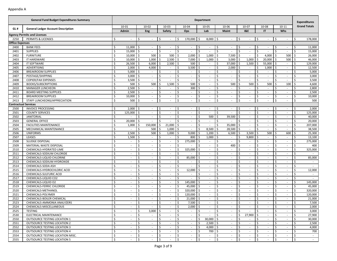|                        | <b>General Fund Budget Expenditures Summary</b> | <b>Department</b>  |                          |                     |                          |      |           |     |                          | <b>Expenditures</b> |                          |                     |                          |                     |                          |     |           |                     |                             |    |                             |
|------------------------|-------------------------------------------------|--------------------|--------------------------|---------------------|--------------------------|------|-----------|-----|--------------------------|---------------------|--------------------------|---------------------|--------------------------|---------------------|--------------------------|-----|-----------|---------------------|-----------------------------|----|-----------------------------|
|                        |                                                 |                    | 10-01                    |                     | $10 - 02$                |      | $10 - 03$ |     | $10 - 04$                |                     | 10-05                    |                     | 10-06                    |                     | 10-07                    |     | 10-08     |                     | $10 - 11$                   |    | <b>Grand Totals</b>         |
| GL#                    | <b>General Ledger Account Description</b>       |                    | Admin                    |                     | Eng                      |      | Safety    |     | Ops                      |                     | Lab                      |                     | <b>Maint</b>             |                     | <b>1&amp;E</b>           |     | IT        |                     | Whs                         |    |                             |
|                        | <b>Agency Permits and Licenses</b>              |                    |                          |                     |                          |      |           |     |                          |                     |                          |                     |                          |                     |                          |     |           |                     |                             |    |                             |
| 2250                   | PERMITS & LICENSES                              | \$                 |                          | \$                  | $\sim$                   | Ś    | $\sim$    | \$  | 170,000                  | \$                  | 8,000 \$                 |                     |                          | \$                  | $\sim$                   | \$  |           | \$                  | $\sim$                      | \$ | 178,000                     |
| <b>Office Expenses</b> |                                                 |                    |                          |                     |                          |      |           |     |                          |                     |                          |                     |                          |                     |                          |     |           |                     |                             |    |                             |
| 2400                   | <b>BANK FEES</b>                                | \$                 | 11,000                   |                     | $\sim$                   | \$   | $\sim$    | \$  | $\sim$                   | \$                  |                          | \$                  |                          | Ś                   | $\sim$                   | Ś.  |           | \$.                 | $\sim$                      | \$ | 11,000                      |
| 2401                   | <b>SUPPLIES</b>                                 | \$                 | 15,000                   | Ś.                  | $\sim$                   | \$   | $\sim$    | \$  | ÷.                       | \$                  |                          | \$                  |                          | \$                  | ÷.                       | \$  |           | \$                  | ÷.                          | \$ | 15,000                      |
| 2402                   | <b>FURNITURE</b>                                | Ś                  | 10,000                   | \$                  | 500                      | Ś.   | 500       | \$  | 2,000                    | \$                  | 1,000                    | -\$                 | 7,500                    | \$                  | $\sim$                   | \$  | 4,000     | -\$                 | 500                         | Ś  | 26,000                      |
| 2403                   | <b>IT HARDWARE</b>                              | \$                 | 10,000                   | \$                  | 1,000                    | Ś    | 2,500     | \$  | 7,000                    | \$                  | 1,000                    | \$                  | 3,000                    | \$                  | 1,000                    |     | 20,000    | \$                  | 500                         | \$ | 46,000                      |
| 2404                   | <b>IT SOFTWARE</b>                              | \$                 | 26,500                   | \$                  | 6,000                    | l \$ | 2,500     | \$  | 500                      | \$                  | $\sim$                   | -\$                 | 37,000                   | \$                  | 1,500                    | \$  | 55,000 \$ |                     | $\sim$                      | \$ | 129,000                     |
| 2405                   | <b>ADVERTISING</b>                              | Ś                  | 2,000                    | \$                  | 4,000                    | \$   | $\sim$    | \$  | 3,500                    | \$                  | $\sim$                   | \$                  | 2,000                    | <sup>\$</sup>       | $\sim$                   | \$  | 1,000     | -\$                 | $\sim$                      | \$ | 12,500                      |
| 2406                   | <b>BREAKROOM SUPPLIES</b>                       | \$                 | 5,000                    | \$                  | $\omega$                 | Ś    | $\sim$    | Ś   | $\sim$                   | \$                  |                          | Ŝ.                  |                          | \$                  | $\sim$                   | Ś.  |           | -\$                 | $\sim$                      | \$ | 5,000                       |
| 2407                   | POSTAGE/SHIPPING                                | Ś                  | 3,000                    | Ś                   | $\overline{\phantom{a}}$ | Ś.   | $\sim$    | Ś   | $\sim$                   | Ŝ.                  |                          | <sup>\$</sup>       |                          | Ŝ.                  | $\sim$                   | Ś.  |           | \$                  | $\sim$                      | Ś. | 3,000                       |
| 2408                   | <b>COPIER/FAX EXPENSES</b>                      | \$                 | 3,500                    | \$                  | $\overline{\phantom{a}}$ | \$   | $\sim$    | \$  | $\sim$                   | \$                  | $\sim$                   | \$                  |                          | \$                  | ÷.                       | \$  |           | $\zeta$             | $\overline{\phantom{a}}$    | \$ | 3,500                       |
| 2409                   | <b>BOOKS/SUBSCRIPTIONS</b>                      | \$                 | 500                      |                     | 500                      | \$   | 1,500     | \$  | 500                      | \$                  | $\sim$                   | \$                  | 500                      | \$                  | 500                      | Ś.  | 500       | -\$                 | 100                         | \$ | 4,600                       |
| 2410                   | <b>MANAGER LUNCHEON</b>                         | Ś                  | 2,500                    | Ś                   | $\sim$                   | Ś    | $\sim$    | \$  | 300                      | \$                  | $\sim$                   | <sup>\$</sup>       | $\sim$                   | Ŝ.                  | $\sim$                   | Ś.  | $\sim$    | \$.                 | $\sim$                      | Ŝ. | 2,800                       |
| 2411                   | <b>BOARD MEETING SUPPLIES</b>                   | \$                 | 2,500                    | Ś.                  | $\sim$                   | Ś    | ×.        | \$  | $\sim$                   | \$                  |                          | Ŝ.                  |                          | \$                  | $\sim$                   | \$  |           | \$.                 | $\sim$                      | \$ | 2,500                       |
| 2412                   | <b>BREAKROOM SUPPLIES</b>                       | \$                 | 10,000                   |                     |                          | Ś.   | $\sim$    | Ś.  | $\sim$                   | Ŝ.                  |                          | <sup>\$</sup>       |                          | Ŝ.                  | $\sim$                   | Ś.  |           | \$                  | $\sim$                      | Ś. | 10,000                      |
| 2413                   | STAFF LUNCHEONS/APPRECIATION                    | \$                 | 500                      |                     |                          | Ś    |           | \$  | $\overline{\phantom{a}}$ | \$                  |                          | \$                  |                          | \$                  |                          | Ś   |           | $\zeta$             | $\sim$                      | \$ | 500                         |
|                        | <b>Contractual Services</b>                     |                    |                          |                     |                          |      |           |     |                          |                     |                          |                     |                          |                     |                          |     |           |                     |                             |    |                             |
| 2500                   | <b>INVOICE PROCESSING</b>                       | Ś                  | 2,000                    |                     | $\overline{\phantom{a}}$ | \$   | $\sim$    | Ś   | $\sim$                   | \$                  | $\sim$                   | Ŝ.                  |                          | Ś                   | $\sim$                   | Ś.  |           | \$                  | $\sim$                      | Ś. | 2,000                       |
| 2501                   | <b>COUNTY SERVICES</b>                          | \$                 | 125,000                  | Ś                   | $\sim$                   | \$   | ä,        | Ś   | $\overline{\phantom{a}}$ | \$                  |                          | \$                  |                          | \$                  |                          | \$  |           | \$                  | $\sim$                      | \$ | 125,000                     |
| 2502                   | <b>JANITORIAL</b>                               | Ś                  |                          |                     |                          | Ś.   | $\sim$    | Ś   | $\sim$                   | \$                  | 500                      | -Ś                  | 39,500                   | Ŝ.                  | ÷.                       | Ś.  |           | \$                  | $\sim$                      | Ś. | 40,000                      |
| 2503                   | <b>GENERAL OFFICE</b>                           | \$                 | 20,000                   |                     | $\overline{\phantom{a}}$ | Ś    | $\sim$    | \$  | $\sim$                   | \$                  | $\sim$                   | \$                  |                          | \$                  | $\overline{\phantom{a}}$ | \$  |           | $\zeta$             | $\sim$                      | \$ | 20,000                      |
| 2504                   | <b>FACILITIES MAINTENANCE</b>                   | \$                 | 1,000                    | Ś                   | 150,000                  | \$   | 21,000    | \$  | $\sim$                   | \$                  | $\sim$                   | $\mathsf{\hat{S}}$  | 35,000                   | \$                  | $\sim$                   | \$  | $\sim$    | \$                  | $\sim$                      | \$ | 207,000                     |
| 2505                   | MECHANICAL MAINTENANCE                          | Ś                  | $\sim$                   | Ś.                  | 500                      | \$   | 1,000     | \$  | $\sim$                   | \$                  | 8,500                    | ۱Ś                  | 28,500                   | $\varsigma$         | $\sim$                   | Ś.  | $\sim$    | \$.                 | $\sim$                      | Ŝ. | 38,500                      |
| 2506                   | <b>UNIFORMS</b>                                 | \$                 | 2,500                    | Ś.                  | 500                      | \$   | 1,000     | Ś   | 9,000                    | Ś                   | 1,200                    | \$                  | 6,500                    | Ś                   | 3,500                    | \$  | 500       | \$.                 | 600                         | \$ | 25,300                      |
| 2507                   | LEASES                                          | Ś                  | 1,500                    | Ś                   | $\sim$                   | Ś.   | $\sim$    | Ś   | 800                      | Ś                   | 1,000                    | Ś                   |                          | Ś                   | 9,800                    | Ś.  |           | \$                  | $\sim$                      | Ś. | 13,100                      |
| 2508                   | SLUDGE DISPOSAL                                 | $\mathsf{\hat{S}}$ | $\overline{\phantom{a}}$ | \$                  | $\sim$                   | \$   | $\sim$    | \$  | 275,000                  | \$                  | $\overline{\phantom{a}}$ | \$                  |                          | \$                  | $\sim$                   | \$  |           | $\zeta$             | $\sim$                      | \$ | 275,000                     |
| 2509                   | MATERIAL WASTE DISPOSAL                         | \$                 | $\overline{\phantom{a}}$ | \$                  | $\sim$                   | Ś    | $\sim$    | \$  | $\sim$                   | Ŝ.                  | $\sim$                   | \$                  | 400                      | \$                  | $\sim$                   | \$  | $\sim$    | \$                  | $\sim$                      | \$ | 400                         |
| 2510                   | CHEMICALS-HYDRATED LIME                         | Ś                  | $\overline{\phantom{a}}$ | Ś                   | $\sim$                   | Ś    | $\sim$    | \$  | 325,000                  | \$                  | $\sim$                   | <sup>\$</sup>       | $\overline{\phantom{a}}$ | Ŝ.                  | $\sim$                   | \$  | $\sim$    | \$                  | $\sim$                      | \$ | 325,000                     |
| 2511                   | CHEMICALS-SODIUM CHLORIDE                       | \$                 |                          | \$                  | $\sim$                   | Ś    | $\sim$    | \$  |                          | Ś                   |                          | \$                  |                          | \$                  | ÷.                       | \$  |           | \$                  | $\sim$                      | \$ |                             |
| 2512                   | CHEMICALS-LIQUID CHLORINE                       | Ś                  |                          | Ś                   |                          | Ś.   | $\sim$    | \$  | 85,000                   | Ŝ.                  |                          | <sup>\$</sup>       |                          | \$                  | ÷.                       | Ś.  |           | \$                  | $\sim$                      | Ś. | 85,000                      |
| 2513                   | CHEMICALS-SODIUM HYDROXIDE                      | $\mathsf{\hat{S}}$ | $\overline{\phantom{a}}$ | \$                  | $\overline{\phantom{a}}$ | \$   | $\sim$    | \$  | $\sim$                   | \$                  | $\sim$                   | \$                  |                          | \$                  | $\sim$                   | \$  |           | $\zeta$             | $\sim$                      | \$ | $\sim$                      |
| 2514                   | CHEMICALS-SODA ASH                              | \$                 | $\overline{\phantom{a}}$ | \$                  | $\sim$                   | \$   | $\sim$    | \$  | $\sim$                   | Ś                   | $\sim$                   | \$                  | $\overline{\phantom{a}}$ | \$                  | $\sim$                   | \$  | $\sim$    | \$                  | $\sim$                      | Ś. | $\sim$                      |
| 2515                   | CHEMICALS-HYDROCHLORIC ACID                     | Ś                  | $\sim$                   | Ś                   | $\sim$                   | Ś    | $\sim$    | \$  | 12,000                   | Ŝ.                  | $\sim$                   | <sup>\$</sup>       | $\overline{\phantom{a}}$ | Ŝ.                  | $\sim$                   | \$  | $\sim$    | \$.                 | $\sim$                      | \$ | 12,000                      |
| 2516                   | CHEMICALS-SULFURIC ACID                         | \$                 | $\overline{\phantom{a}}$ | \$                  | $\overline{\phantom{a}}$ | Ś    | $\sim$    | Ś   | $\sim$                   | \$                  |                          | Ŝ.                  |                          | \$                  | $\sim$                   | Ś.  |           | \$                  | $\sim$                      | \$ | $\sim$                      |
| 2517                   | CHEMICALS-LIQUID CO2                            | Ś                  |                          | Ś                   | $\overline{\phantom{a}}$ | Ś.   | $\sim$    | Ś   |                          | \$                  |                          | <sup>\$</sup>       |                          | Ŝ.                  | ÷.                       | Ś.  |           | \$                  | $\sim$                      | Ś. |                             |
| 2518                   | CHEMICALS-LIQUID O2                             | $\mathsf{\hat{S}}$ | $\overline{\phantom{a}}$ | \$                  | $\overline{\phantom{a}}$ | \$   | $\sim$    | \$  | 145,000                  | \$                  | $\sim$                   | \$                  |                          | \$                  | $\overline{\phantom{a}}$ | \$  |           | $\zeta$             | $\sim$                      | \$ | 145,000                     |
| 2519                   | CHEMICALS-FERRIC CHLORIDE                       | \$                 | $\sim$                   | \$                  | $\sim$                   | Ś    | $\sim$    | \$  | 45,000                   | \$                  | $\sim$                   | \$                  | $\overline{\phantom{a}}$ | \$                  | $\sim$                   | \$  | $\sim$    | \$                  | $\sim$                      | \$ | 45,000                      |
| 2520                   | CHEMICALS-METHANOL                              | Ś                  | $\overline{\phantom{a}}$ | Ś                   | $\sim$                   | Ś    | $\sim$    | \$  | 320,000                  | Ŝ.                  | $\sim$                   | <sup>\$</sup>       |                          | Ŝ.                  | $\sim$                   | \$  | $\sim$    | \$.                 | $\sim$                      | \$ | 320,000                     |
| 2521                   | CHEMICALS-POLYMER                               | \$                 | $\overline{\phantom{a}}$ | \$                  | $\sim$                   | Ś    | $\sim$    | Ś   | 120,000                  | \$                  |                          | Ŝ.                  |                          | \$                  | $\sim$                   | \$  |           | \$.                 | $\sim$                      | \$ | 120,000                     |
| 2522                   | CHEMICALS-BOILER CHEMICAL                       | \$                 |                          | Ś                   |                          | Ś.   | $\sim$    | Ś   | 21,000                   | \$                  |                          | Ś                   |                          | <sup>\$</sup>       | $\sim$                   | Ś   |           | \$                  | $\sim$                      | Ś. | 21,000                      |
| 2523                   | CHEMICALS-AMMONIA ANALYZERS                     | \$                 |                          | \$                  | $\overline{\phantom{a}}$ | \$   | $\sim$    | \$  | 7,500                    | \$                  |                          | \$                  |                          | \$                  | $\overline{\phantom{a}}$ | \$  |           | \$                  | $\sim$                      | \$ | 7,500                       |
| 2524                   | CHEMICALS-MISCELLANEOUS                         | Ş                  | $\sim$                   | IŞ.                 | $\sim$                   | 1 Ş  | $\sim$    | l Ş | $2,000$   \$             |                     | $\sim$                   | $\mathsf{I}$        |                          | $\ddot{\mathbf{v}}$ | $\sim$                   | IŞ. | $\sim$    | 15.                 | $\sim$                      | -S | 2,000                       |
| 2525                   | TESTING                                         | \$                 | $\sim$                   | $\ddot{\mathsf{S}}$ | $3,000$ \$               |      | $\sim$    | \$  | $\sim$                   | \$                  | $\sim$                   | l\$                 |                          | \$                  | $\sim$                   | Ŝ.  | $\sim$    | \$                  | $\sim$                      | \$ | 3,000                       |
| 2530                   | ELECTRICAL MAINTENANCE                          | \$                 | $\sim$                   | \$                  | $\sim$                   | \$   | $\sim$    | \$  | $\sim$                   | \$                  | $\sim$                   | 5                   | $\sim$                   | \$                  | $27,900$ \$              |     | $\sim$    | \$                  | $\sim$                      | \$ | 27,900                      |
| 2550                   | <b>OUTSOURCE TESTING LOCATION 1</b>             | \$                 | $\sim$                   | \$                  | $\sim$                   | Ś    | $\sim$    | \$  | $\sim$                   | \$                  | $30,000$ \$              |                     |                          | \$                  | $\sim$                   | Ś.  |           | \$                  | $\sim$                      | \$ | 30,000                      |
| 2551                   | OUTSOURCE TESTING LOCATION 2                    | \$                 | $\sim$                   | \$                  | $\sim$                   | \$   | $\sim$    | \$  | $\sim$                   | \$                  | $2,500$ \$               |                     | $\overline{\phantom{a}}$ | \$                  | $\sim$                   | \$  | $\sim$    | $\ddot{\mathsf{S}}$ | $\sim$                      | \$ | 2,500                       |
| 2552                   | <b>OUTSOURCE TESTING LOCATION 3</b>             | \$                 | $\sim$                   | \$                  | $\sim$                   | \$   | $\sim$    | \$  | $\sim$                   | \$                  | $4,000$ \$               |                     | $\sim$                   | \$                  | $\sim$                   | \$  | $\sim$    | \$                  | $\sim$                      | \$ | 4,000                       |
| 2553                   | OUTSOURCE TESTING LOCATION 4                    | \$                 | $\sim$                   | \$                  | $\sim$                   | \$   | $\sim$    | \$  | $\sim$                   | $\mathsf{S}$        | 700 \$                   |                     | $\sim$                   | \$                  | $\sim$                   | \$  | $\sim$    | \$                  | $\sim$                      | S. | 700                         |
| 2554                   | OUTSOURCE TESTING LOCATION MISC.                | \$                 | $\sim$                   | \$                  | $\sim$                   | \$   | $\sim$    | \$  | $\sim$                   | \$                  | $\sim$                   | <b>S</b>            | $\sim$                   | \$                  | $\sim$                   | \$  | $\sim$    | \$                  | $\sim$                      | \$ | $\sim$                      |
| 2555                   | <b>OUTSOURCE TESTING LOCATION 5</b>             | \$                 |                          | $\ddot{\mathsf{S}}$ |                          | \$   | $\sim$    | \$  | $\sim$                   | \$                  |                          | $\ddot{\mathsf{S}}$ |                          | \$                  | $\sim$                   | \$  |           | $\ddot{\mathsf{S}}$ | $\mathcal{L}_{\mathcal{A}}$ | \$ | $\mathcal{L}_{\mathcal{A}}$ |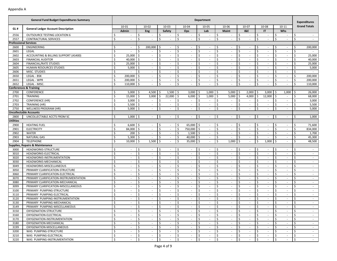|           | <b>General Fund Budget Expenditures Summary</b> | <b>Department</b> |                          |                     |                          |                     |            |                     |             |                    | <b>Expenditures</b>      |                     |                          |     |                             |     |                          |                         |                             |               |                     |
|-----------|-------------------------------------------------|-------------------|--------------------------|---------------------|--------------------------|---------------------|------------|---------------------|-------------|--------------------|--------------------------|---------------------|--------------------------|-----|-----------------------------|-----|--------------------------|-------------------------|-----------------------------|---------------|---------------------|
|           |                                                 |                   | 10-01                    |                     | $10 - 02$                |                     | 10-03      |                     | 10-04       |                    | 10-05                    |                     | 10-06                    |     | $10-07$                     |     | 10-08                    |                         | $10 - 11$                   |               | <b>Grand Totals</b> |
| GL#       | <b>General Ledger Account Description</b>       |                   | Admin                    |                     | <b>Eng</b>               |                     | Safety     |                     | Ops         |                    | Lab                      |                     | Maint                    |     | <b>I&amp;E</b>              |     | IT                       |                         | Whs                         |               |                     |
| 2556      | <b>OUTSOURCE TESTING LOCATION 6</b>             | Ŝ.                |                          | Ŝ.                  |                          | Ŝ.                  |            | Ŝ.                  |             | \$                 |                          | \$                  |                          | Ŝ.  | $\sim$                      | Ś.  |                          | \$                      |                             | Ŝ.            | $\sim$              |
| 2557      | CONTRACTURAL SERVICES                           | \$                |                          | $\ddot{\mathsf{S}}$ |                          | \$                  |            | \$                  |             | \$                 |                          | $\ddot{\mathsf{s}}$ | $\overline{\phantom{a}}$ | \$  |                             | \$  |                          | $\mathsf{\hat{S}}$      |                             | \$            | $\sim$              |
|           | <b>Professional Services</b>                    |                   |                          |                     |                          |                     |            |                     |             |                    |                          |                     |                          |     |                             |     |                          |                         |                             |               |                     |
| 2600      | ENGINEERING                                     | <sup>\$</sup>     | $\overline{\phantom{a}}$ | Ś                   | 200,000                  | Ś.                  |            | Ŝ.                  | $\sim$      | -\$                | $\sim$                   | -\$                 |                          | Ŝ   | $\sim$                      | Ŝ.  | $\sim$                   | \$                      | $\sim$                      | \$            | 200,000             |
| 2601      | LEGAL                                           | Ś.                | ÷.                       | $\zeta$             |                          | \$                  |            | Ŝ.                  |             | \$                 |                          | $\mathsf{\hat{S}}$  |                          | Ś   |                             | \$  |                          | $\zeta$                 |                             | \$            |                     |
| 2602      | ACCOUNTING & BILLING SUPPORT (AS400)            | Ś.                | 25,000                   | Ŝ.                  | $\overline{\phantom{a}}$ | Ŝ.                  |            | Ŝ.                  | $\sim$      | \$                 |                          | $\mathsf{\hat{S}}$  |                          | Ś.  | $\overline{\phantom{a}}$    | Ś.  |                          | \$                      | $\sim$                      | Ŝ.            | 25,000              |
| 2603      | <b>FINANCIAL AUDITOR</b>                        | \$                | 40,000                   | \$                  | $\overline{\phantom{a}}$ | \$                  | $\sim$     | \$                  | $\sim$      | $\ddot{\varsigma}$ | $\overline{\phantom{a}}$ | $\ddot{\varsigma}$  | $\overline{\phantom{a}}$ | \$  | $\sim$                      | \$  | $\overline{\phantom{a}}$ | \$                      | $\sim$                      | \$            | 40,000              |
| 2604      | <b>FINANCIAL/RATE STUDIES</b>                   | \$                | 25,000                   | \$                  | $\sim$                   | \$                  | $\sim$     | Ŝ.                  | $\sim$      | \$                 | $\sim$                   | \$                  | $\sim$                   | \$  | $\sim$                      | \$  | $\sim$                   | \$                      | $\sim$                      | \$            | 25,000              |
| 2605      | <b>HUMAN RESOURCES STUDIES</b>                  | <sup>\$</sup>     | 5,000                    | -\$                 | $\sim$                   | \$                  | $\sim$     | Ŝ.                  | $\sim$      | \$                 | $\sim$                   | -\$                 | $\sim$                   | Ś.  | $\sim$                      | Ś.  | $\sim$                   | Ŝ.                      | $\sim$                      | Ŝ.            | 5,000               |
| 2606      | MISC. STUDIES                                   | \$                |                          | \$                  | $\sim$                   | \$                  |            | \$                  | $\sim$      | \$                 | $\sim$                   | $\mathsf{\hat{S}}$  | $\sim$                   | Ś   | $\sim$                      | \$  | $\sim$                   | \$                      | ÷                           | \$            | $\sim$              |
| 2650      | LEGAL - BSK                                     | \$                | 200,000                  | Ś.                  | $\sim$                   | Ŝ.                  |            | Ŝ.                  | $\sim$      | \$                 | $\overline{\phantom{a}}$ | $\mathsf{\hat{S}}$  | $\overline{\phantom{a}}$ | Ś.  | $\sim$                      | Ś.  | $\overline{\phantom{a}}$ | Ŝ.                      | $\sim$                      | Ŝ.            | 200,000             |
| 2651      | LEGAL - WPR                                     | \$                | 200,000                  | \$                  | $\sim$                   | \$                  |            | \$                  | $\sim$      | $\ddot{\varsigma}$ | $\overline{\phantom{a}}$ | $\ddot{\varsigma}$  | $\overline{\phantom{a}}$ | \$  | $\sim$                      | \$  | $\overline{\phantom{a}}$ | \$                      | $\sim$                      | \$            | 200,000             |
| 2652      | LEGAL - MISC.                                   | Ŝ.                | 110,000 \$               |                     | $\sim$                   | Ś                   | $\sim$     | Ŝ.                  | $\sim$      | $\zeta$            | $\sim$                   | \$                  | $\sim$                   | Ś.  | $\sim$                      | \$  | $\sim$                   | \$                      | $\sim$                      | \$            | 110,000             |
|           | Conferences & Training                          |                   |                          |                     |                          |                     |            |                     |             |                    |                          |                     |                          |     |                             |     |                          |                         |                             |               |                     |
| 2700      | CONFERENCE                                      | \$                | $5,000$ \$               |                     | $4,500$ \$               |                     | $1,500$ \$ |                     | $3,000$ \$  |                    | 1,000                    | I\$                 | 5,000                    | -S  | 2,000                       | -Ś  | 3,000                    | I\$                     | 1,000                       | Ŝ.            | 26,000              |
| 2701      | <b>TRAINING</b>                                 | Ś.                | 15,000                   | Ŝ.                  | 3,000                    | Ś.                  | 22,000     | Ŝ.                  | 6,000       | Ŝ.                 | 1,000                    | -Ś                  | 5,000                    | -Ś  | 4,000                       | Ś   | 12,000                   | l \$                    | $\sim$                      | Ŝ.            | 68,000              |
| 2702      | <b>CONFERENCE (HR)</b>                          | \$                | 3,000                    | \$                  | $\sim$                   | \$                  | $\sim$     | \$                  | $\sim$      | \$                 | $\sim$                   | \$                  | $\overline{\phantom{a}}$ | \$  | $\sim$                      | \$  | $\sim$                   | \$                      | $\sim$                      | \$            | 3,000               |
| 2703      | TRAINING (HR)                                   | \$                | 5,500                    | l \$                | $\sim$                   | \$                  | $\sim$     | \$                  | $\sim$      | \$                 | $\sim$                   | \$                  | $\sim$                   | \$  | $\sim$                      | \$  | $\sim$                   | \$                      | $\sim$                      | \$            | 5,500               |
| 2750      | <b>WELLNESS PROGRAM (HR)</b>                    | <sup>\$</sup>     | 5,000                    | l\$                 | $\sim$                   | \$                  | $\sim$     | Ŝ.                  | $\sim$      | \$                 | $\sim$                   | \$                  | $\sim$                   | Ś.  | $\sim$                      | \$  | $\sim$                   | Ŝ.                      | $\sim$                      | Ŝ.            | 5,000               |
|           | <b>Uncollectable Accounts</b>                   |                   |                          |                     |                          |                     |            |                     |             |                    |                          |                     |                          |     |                             |     |                          |                         |                             |               |                     |
| 2800      | UNCOLLECTABLE ACCTS FROM SC                     | Ŝ.                | $1,000$ \$               |                     | $\overline{\phantom{a}}$ | -\$                 |            | -\$                 | $\sim$      | \$                 | $\sim$                   | \$                  |                          | Ŝ.  | $\sim$                      | \$  | $\overline{\phantom{a}}$ | \$                      |                             | Ŝ.            | 1,000               |
| Utilities |                                                 |                   |                          |                     |                          |                     |            |                     |             |                    |                          |                     |                          |     |                             |     |                          |                         |                             |               |                     |
| 2900      | <b>HEATING FUEL</b>                             | \$                | $6,600$ \$               |                     | $\sim$                   | \$                  | $\sim$     | \$                  | $65,000$ \$ |                    | $\sim$                   | -\$                 | $\sim$                   | \$  | $\sim$                      | \$  | $\sim$                   | \$                      | $\sim$                      | \$            | 71,600              |
| 2901      | <b>ELECTRICITY</b>                              | <sup>\$</sup>     | 84,000                   | Ŝ.                  | $\sim$                   | \$                  | $\sim$     | \$                  | 750,000     | $\zeta$            | $\sim$                   | $\mathsf{S}$        | $\overline{\phantom{a}}$ | \$  | $\sim$                      | Ś.  | $\sim$                   | Ŝ.                      | $\sim$                      | \$            | 834,000             |
| 2902      | <b>WATER</b>                                    | Ś.                | 200                      | -\$                 | $\sim$                   | \$                  |            | \$                  | 1,500       | \$                 | $\sim$                   | -\$                 | $\overline{\phantom{a}}$ | Ś   | $\sim$                      | \$  | $\overline{\phantom{a}}$ | \$                      |                             | \$            | 1,700               |
| 2903      | <b>NATURAL GAS</b>                              | <sup>\$</sup>     | 5,300                    | Ŝ.                  |                          | Ŝ.                  |            | Ŝ.                  | 40,000      | Ŝ.                 |                          | $\ddot{\mathsf{s}}$ |                          | Ś   | $\overline{\phantom{a}}$    | Ś   |                          | Ŝ.                      |                             | Ŝ.            | 45,300              |
| 2904      | <b>TELEPHONE</b>                                | Ś                 | 10,000                   | -\$                 | 1,500                    | \$                  |            | Ś.                  | 35,000      | \$                 |                          | $\ddot{\varsigma}$  | 1,000                    | Ś   | $\sim$                      | Ś   | 1,000                    | $\overline{\mathsf{S}}$ |                             | \$            | 48,500              |
|           | <b>Supplies, Repairs &amp; Maintenance</b>      |                   |                          |                     |                          |                     |            |                     |             |                    |                          |                     |                          |     |                             |     |                          |                         |                             |               |                     |
| 3000      | HEADWORKS-STRUCTURE                             | Ŝ.                | $\sim$                   | -\$                 | $\sim$                   | \$                  | $\sim$     | Ŝ.                  | $\sim$      | \$                 | $\sim$                   | \$                  | $\overline{\phantom{a}}$ | Ś.  | $\sim$                      | \$  | $\overline{\phantom{a}}$ | \$                      | $\sim$                      | <sup>\$</sup> | $\sim$              |
| 3010      | HEADWORKS-ELECTRICAL                            | \$                | $\overline{\phantom{a}}$ | $\mathsf{\hat{S}}$  | $\sim$                   | \$                  |            | \$                  | $\sim$      | \$                 | $\sim$                   | $\mathsf{\hat{S}}$  | $\sim$                   | \$  | $\mathbf{r}$                | \$  | ÷.                       | $\zeta$                 | ÷                           | Ŝ.            | $\sim$              |
| 3020      | HEADWORKS-INSTRUMENTATION                       | \$                |                          | Ŝ.                  | $\sim$                   | Ŝ.                  |            | \$                  | $\sim$      | \$                 | $\overline{\phantom{a}}$ | $\ddot{\mathsf{s}}$ | $\overline{\phantom{a}}$ | Ś.  | $\sim$                      | Ś.  | $\overline{\phantom{a}}$ | $\zeta$                 | $\sim$                      | Ŝ.            | $\sim$              |
| 3030      | HEADWORKS-MECHANICAL                            | $\zeta$           | $\overline{\phantom{a}}$ | $\zeta$             | $\overline{\phantom{a}}$ | \$                  | $\sim$     | \$                  | $\sim$      | $\ddot{\varsigma}$ | $\overline{\phantom{a}}$ | $\ddot{\varsigma}$  | $\overline{\phantom{a}}$ | \$  | $\sim$                      | \$  | $\overline{\phantom{a}}$ | \$                      | $\sim$                      | $\zeta$       | $\sim$              |
| 3049      | HEADWORKS-MISCELLANEOUS                         | \$                | $\sim$                   | $\mathsf{\hat{S}}$  | $\sim$                   | \$                  | $\sim$     | Ŝ.                  | $\sim$      | \$                 | $\sim$                   | $\zeta$             | $\overline{\phantom{a}}$ | \$  | $\sim$                      | \$  | $\sim$                   | \$                      | $\sim$                      | \$            | $\sim$              |
| 3050      | PRIMARY CLARIFICATION-STRUCTURE                 | <sup>\$</sup>     | $\overline{\phantom{a}}$ | <sup>\$</sup>       | $\sim$                   | \$                  | $\sim$     | Ŝ.                  | $\sim$      | \$                 | $\sim$                   | -\$                 | $\overline{\phantom{a}}$ | Ś   | $\sim$                      | Ś.  | $\sim$                   | Ŝ.                      | $\sim$                      | Ŝ.            | $\sim$              |
| 3060      | PRIMARY CLARIFICATION-ELECTRICAL                | Ś.                |                          | -\$                 | $\sim$                   | \$                  |            | \$                  | $\sim$      | \$                 | $\sim$                   | $\mathsf{\hat{S}}$  | $\overline{\phantom{a}}$ | Ś   | $\sim$                      | \$  | $\overline{\phantom{a}}$ | \$                      |                             | \$            | $\sim$              |
| 3070      | PRIMARY CLARIFICATION-INSTRUMENTATION           | <sup>\$</sup>     |                          | <sup>\$</sup>       | $\overline{\phantom{a}}$ | \$                  |            | Ŝ.                  | $\sim$      | \$                 |                          | $\mathsf{\hat{S}}$  |                          | Ś.  | $\overline{\phantom{a}}$    | Ś.  | $\overline{\phantom{a}}$ | Ŝ.                      |                             | Ŝ.            | $\sim$              |
| 3080      | PRIMARY CLARIFICATION-MECHANICAL                | \$                | $\overline{\phantom{a}}$ | \$                  | $\overline{\phantom{a}}$ | \$                  | $\sim$     | \$                  | $\sim$      | $\ddot{\varsigma}$ | $\overline{\phantom{a}}$ | $\ddot{\varsigma}$  | $\overline{\phantom{a}}$ | \$  | $\sim$                      | \$  | $\overline{\phantom{a}}$ | \$                      | $\sim$                      | \$            | $\sim$              |
| 3099      | PRIMARY CLARIFICATION-MISCELLANEOUS             | \$                | $\sim$                   | \$                  | $\sim$                   | \$                  | $\sim$     | Ŝ.                  | $\sim$      | \$                 | $\sim$                   | \$                  | $\sim$                   | \$  | $\sim$                      | \$  | $\sim$                   | \$                      | $\sim$                      | \$            | $\sim$              |
| 3100      | PRIMARY PUMPING-STRUCTURE                       | <sup>\$</sup>     | $\sim$                   | <sup>\$</sup>       | $\sim$                   | Ŝ.                  | $\sim$     | Ŝ.                  | $\sim$      | \$                 | $\sim$                   | -\$                 | $\sim$                   | Ś   | $\sim$                      | Ś.  | $\sim$                   | Ŝ.                      | $\sim$                      | Ŝ.            | $\sim$              |
| 3110      | PRIMARY PUMPING-ELECTRICAL                      | \$                | $\overline{\phantom{a}}$ | -\$                 | $\sim$                   | \$                  |            | \$                  | $\sim$      | \$                 | ÷.                       | $\mathsf{\hat{S}}$  | $\sim$                   | Ś   | $\sim$                      | \$  | $\sim$                   | \$                      | $\sim$                      | Ŝ.            | $\sim$              |
| 3120      | PRIMARY PUMPING-INSTRUMENTATION                 | Ś.                |                          | <sup>\$</sup>       | $\overline{\phantom{a}}$ | Ŝ.                  |            | Ŝ.                  | $\sim$      | \$                 |                          | \$                  |                          | Ś.  | $\overline{\phantom{a}}$    | Ś.  |                          | Ŝ.                      |                             | Ŝ.            | $\sim$              |
| 3130      | PRIMARY PUMPING-MECHANICAL                      | $\zeta$           |                          | \$                  | $\overline{\phantom{a}}$ | \$                  |            | \$                  | $\sim$      | $\ddot{\varsigma}$ |                          | $\ddot{\varsigma}$  | $\overline{\phantom{a}}$ | \$  | $\sim$                      | \$  | $\sim$                   | \$                      | $\sim$                      | \$            |                     |
| 3149      | PRIMARY PUMPING-MISCELLANEOUS                   | $\ddot{ }$        | $\sim$                   | I Ş                 | $\sim$                   | I Ş                 | $\sim$     | 15                  | $\sim$      | I Ş                | $\sim$                   | l Ş                 | $\sim$                   | I Ş | $\sim$                      | l Ş | $\sim$                   | I Ş                     | $\sim$                      | I Ş           |                     |
| 3150      | OXYGENATION-STRUCTURE                           | \$                | $\sim$                   | $\zeta$             | $\sim$                   | \$                  | $\sim$     | \$                  | $\sim$      | \$                 | $\sim$                   | l\$                 | $\sim$                   | \$  | $\sim$                      | Ŝ.  | $\sim$                   | l \$                    | $\sim$                      | Ŝ.            | $\sim$              |
| 3160      | OXYGENATION-ELECTRICAL                          | \$                | $\sim$                   | \$                  | $\sim$                   | \$                  | $\sim$     | \$                  | $\sim$      | \$                 | $\sim$                   | $\ddot{\mathsf{S}}$ | $\sim$                   | \$  | $\sim$                      | \$  | $\sim$                   | l\$                     | $\sim$                      | \$            | $\sim$              |
| 3170      | OXYGENATION-INSTRUMENTATION                     | \$                | $\sim$                   | \$                  | $\sim$                   | \$                  |            | \$                  | $\sim$      | \$                 | $\sim$                   | $\ddot{\mathsf{s}}$ | $\sim$                   | Ś.  | $\sim$                      | \$  | $\sim$                   | \$                      | $\sim$                      | \$            | $\sim$              |
| 3180      | OXYGENATION-MECHANICAL                          | \$                | $\sim$                   | \$                  | $\sim$                   | \$                  | $\sim$     | \$                  | $\sim$      | \$                 | $\sim$                   | $\ddot{\mathsf{S}}$ | $\sim$                   | \$  | $\sim$                      | \$  | $\sim$                   | \$                      | $\sim$                      | \$            | $\sim$              |
| 3199      | OXYGENATION-MISCELLANEOUS                       | \$                | $\sim$                   | \$                  | $\sim$                   | \$                  | $\sim$     | \$                  | $\sim$      | \$                 | $\sim$                   | <b>S</b>            | $\sim$                   | \$  | $\sim$                      | \$  | $\sim$                   | \$                      | $\sim$                      | \$            | $\sim$              |
| 3200      | WAS PUMPING-STRUCTURE                           | \$                | $\sim$                   | \$                  | $\sim$                   | \$                  | $\sim$     | \$                  | $\sim$      | \$                 | $\sim$                   | $\ddot{\mathsf{S}}$ | $\sim$                   | \$  | $\sim$                      | \$  | $\sim$                   | \$                      | $\sim$                      | \$            | $\sim$              |
| 3210      | WAS PUMPING-ELECTRICAL                          | \$                | $\sim$                   | \$                  | $\sim$                   | \$                  | $\sim$     | \$                  | $\sim$      | \$                 | $\sim$                   | $\ddot{\mathsf{S}}$ | $\sim$                   | \$  | $\sim$                      | \$  | $\sim$                   | $\ddot{\mathsf{S}}$     | $\sim$                      | \$            | $\sim$              |
| 3220      | WAS PUMPING-INSTRUMENTATION                     | \$                |                          | $\zeta$             |                          | $\ddot{\mathsf{S}}$ |            | $\ddot{\mathsf{S}}$ | $\sim$      | \$                 |                          | $\ddot{s}$          | $\sim$                   | \$  | $\mathcal{L}_{\mathcal{A}}$ | \$  |                          | $\ddot{\mathsf{S}}$     | $\mathcal{L}_{\mathcal{A}}$ | \$            | $\sim$              |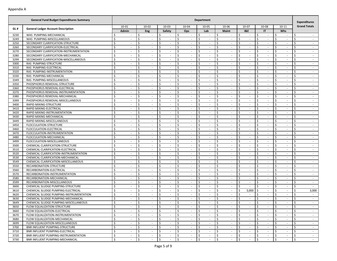|      | <b>General Fund Budget Expenditures Summary</b> | Department                                      |                                |                                     |                              |                                |                                                |                                |                               |                                |                        |
|------|-------------------------------------------------|-------------------------------------------------|--------------------------------|-------------------------------------|------------------------------|--------------------------------|------------------------------------------------|--------------------------------|-------------------------------|--------------------------------|------------------------|
|      |                                                 | 10-01                                           | $10 - 02$                      | $10 - 03$                           | 10-04                        | 10-05                          | 10-06                                          | 10-07                          | 10-08                         | $10 - 11$                      | <b>Grand Totals</b>    |
| GL#  | <b>General Ledger Account Description</b>       | Admin                                           | Eng                            | <b>Safety</b>                       | Ops                          | Lab                            | Maint                                          | <b>I&amp;E</b>                 | IT                            | Whs                            |                        |
| 3230 | WAS PUMPING-MECHANICAL                          | <sup>\$</sup><br>$\sim$                         | Ŝ.<br>$\overline{\phantom{a}}$ | Ś.<br>$\sim$                        | Ŝ.<br>$\sim$                 | Ś.<br>$\overline{\phantom{a}}$ | Ŝ.<br>$\overline{\phantom{a}}$                 | \$<br>$\overline{\phantom{a}}$ | Ś<br>$\overline{\phantom{a}}$ | Ŝ.<br>$\sim$                   | Ŝ.<br>$\sim$           |
| 3249 | WAS PUMPING-MISCELLANEOUS                       | \$                                              | \$<br>$\overline{\phantom{a}}$ | \$<br>$\sim$                        | \$<br>$\sim$                 | \$<br>$\overline{\phantom{a}}$ | \$                                             | \$<br>$\sim$                   | \$                            | \$<br>$\sim$                   | \$<br>$\sim$           |
| 3250 | SECONDARY CLARIFICATION-STRUCTURE               | \$<br>$\overline{\phantom{a}}$                  | Ś.<br>$\overline{\phantom{a}}$ | Ś.<br>$\sim$                        | \$<br>$\sim$                 | Ś.<br>$\sim$                   | \$<br>$\overline{\phantom{a}}$                 | \$<br>$\sim$                   | \$<br>$\sim$                  | \$<br>$\sim$                   | Ś.<br>$\sim$           |
| 3260 | SECONDARY CLARIFICATION-ELECTRICAL              | Ŝ.<br>$\sim$                                    | Ś<br>$\sim$                    | \$<br>$\sim$                        | Ś.<br>$\sim$                 | Ŝ.<br>$\sim$                   | Ŝ.<br>$\sim$                                   | Ŝ.<br>$\sim$                   | \$<br>$\sim$                  | -\$<br>$\sim$                  | Ś<br>$\sim$            |
| 3270 | SECONDARY CLARIFICATION-INSTRUMENTATION         | $\zeta$<br>$\overline{\phantom{a}}$             | Ś<br>$\sim$                    | Ś                                   | Ś.<br>$\sim$                 | \$<br>÷.                       | \$                                             | Ŝ.<br>÷.                       | \$                            | $\zeta$<br>×.                  | Ś.<br>$\sim$           |
| 3280 | SECONDARY CLARIFICATION-MECHANICAL              | S.<br>$\sim$                                    | Ŝ.<br>$\sim$                   | $\mathsf{\dot{S}}$<br>$\sim$        | Ś.<br>$\sim$                 | Ŝ.<br>$\sim$                   | $\mathsf{\hat{S}}$<br>$\overline{\phantom{a}}$ | Ŝ.<br>$\sim$                   | Ś.<br>$\sim$                  | $\mathsf{\hat{S}}$<br>$\omega$ | Ś.<br>$\sim$           |
| 3299 | SECONDARY CLARIFICATION-MISCELLANEOUS           | \$                                              | Ś<br>$\overline{\phantom{a}}$  | \$<br>$\sim$                        | \$<br>$\sim$                 | \$                             | Ś                                              | \$<br>$\sim$                   | \$                            | \$<br>$\sim$                   | Ś<br>$\sim$            |
| 3300 | RAS PUMPING-STRUCTURE                           | \$<br>$\sim$                                    | \$<br>$\sim$                   | Ś<br>$\sim$                         | \$<br>$\sim$                 | \$<br>$\sim$                   | \$<br>$\overline{\phantom{a}}$                 | \$<br>$\sim$                   | \$<br>$\sim$                  | $\zeta$<br>$\sim$              | \$<br>$\sim$           |
| 3310 | RAS PUMPING-ELECTRICAL                          | \$<br>$\sim$                                    | Ś<br>$\sim$                    | \$<br>$\sim$                        | Ŝ.<br>$\sim$                 | Ś.<br>$\sim$                   | Ŝ.<br>$\sim$                                   | Ŝ.<br>$\sim$                   | \$<br>$\sim$                  | -\$<br>$\sim$                  | Ś.<br>$\sim$           |
| 3320 | RAS PUMPING-INSTRUMENTATION                     | $\ddot{\mathsf{S}}$<br>$\overline{\phantom{a}}$ | \$<br>$\sim$                   | \$                                  | \$<br>$\sim$                 | \$<br>÷.                       | \$                                             | \$<br>$\sim$                   | \$                            | $\zeta$<br>$\sim$              | Ś.<br>$\sim$           |
| 3330 | RAS PUMPING-MECHANICAL                          | Ś.<br>$\overline{\phantom{a}}$                  | Ś<br>$\sim$                    | $\mathsf{\dot{S}}$<br>$\sim$        | Ś.<br>$\sim$                 | Ŝ.<br>$\sim$                   | \$<br>$\overline{\phantom{a}}$                 | Ŝ.<br>$\sim$                   | Ś.<br>$\sim$                  | $\mathsf{\hat{S}}$<br>$\sim$   | Ś.<br>$\sim$           |
| 3349 | RAS PUMPING-MISCELLANEOUS                       | \$<br>$\overline{\phantom{a}}$                  | Ś<br>$\overline{\phantom{a}}$  | \$<br>$\sim$                        | Ś<br>$\sim$                  | \$                             | Ś                                              | \$<br>$\sim$                   | \$                            | \$<br>$\sim$                   | Ś<br>$\sim$            |
| 3350 | PHOSPHORUS REMOVAL-STRUCTURE                    | \$<br>$\overline{\phantom{a}}$                  | Ś<br>$\sim$                    | Ŝ.<br>$\sim$                        | \$<br>$\sim$                 | Ś.<br>$\sim$                   | \$<br>$\overline{\phantom{a}}$                 | \$<br>$\sim$                   | \$<br>$\sim$                  | \$<br>$\sim$                   | Ś.<br>$\sim$           |
| 3360 | PHOSPHORUS REMOVAL-ELECTRICAL                   | Ś.<br>$\sim$                                    | Ś<br>$\sim$                    | Ŝ.<br>$\sim$                        | Ś.<br>$\sim$                 | Ś.<br>$\sim$                   | Ŝ.<br>$\sim$                                   | Ŝ.<br>$\sim$                   | \$<br>$\sim$                  | \$<br>$\sim$                   | Ś<br>$\sim$            |
| 3370 | PHOSPHORUS REMOVAL-INSTRUMENTATION              | $\zeta$<br>$\overline{\phantom{a}}$             | Ś<br>$\sim$                    | Ś                                   | Ś.<br>$\sim$                 | \$<br>÷.                       | \$                                             | Ŝ.<br>÷.                       | \$                            | $\zeta$<br>×.                  | \$<br>$\sim$           |
| 3380 | PHOSPHORUS REMOVAL-MECHANICAL                   | Ś.<br>$\sim$                                    | Ŝ.<br>$\sim$                   | $\mathsf{\dot{S}}$<br>$\sim$        | Ś.<br>$\sim$                 | Ŝ.<br>$\overline{\phantom{a}}$ | $\mathsf{\hat{S}}$<br>$\overline{\phantom{a}}$ | \$<br>$\sim$                   | Ś.<br>$\sim$                  | $\mathsf{\hat{S}}$<br>$\omega$ | Ś.<br>$\sim$           |
| 3399 | PHOSPHORUS REMOVAL-MISCELLANEOUS                | $\zeta$                                         | Ś<br>$\overline{\phantom{a}}$  | \$<br>$\sim$                        | \$<br>$\sim$                 | \$                             | Ś                                              | \$<br>$\sim$                   | \$                            | \$<br>$\sim$                   | Ś<br>$\sim$            |
| 3400 | RAPID MIXING-STRUCTURE                          | \$<br>$\overline{\phantom{a}}$                  | \$<br>$\sim$                   | Ś<br>$\sim$                         | \$<br>$\sim$                 | \$<br>$\sim$                   | \$<br>$\overline{\phantom{a}}$                 | \$<br>$\sim$                   | \$<br>$\sim$                  | $\zeta$<br>$\sim$              | \$<br>$\sim$           |
| 3410 | RAPID MIXING-ELECTRICAL                         | \$<br>$\sim$                                    | Ś<br>$\sim$                    | \$<br>$\sim$                        | Ŝ.<br>$\sim$                 | Ś.<br>$\sim$                   | Ŝ.<br>$\sim$                                   | Ŝ.<br>$\sim$                   | \$<br>$\sim$                  | -\$<br>$\sim$                  | Ś.<br>$\sim$           |
| 3420 | RAPID MIXING-INSTRUMENTATION                    | $\ddot{\mathsf{S}}$<br>$\overline{\phantom{a}}$ | \$<br>$\sim$                   | \$<br>×.                            | \$<br>$\sim$                 | \$                             | \$                                             | \$<br>$\sim$                   | \$                            | $\zeta$<br>$\sim$              | Ś.<br>$\sim$           |
| 3430 | RAPID MIXING-MECHANICAL                         | S.<br>$\sim$                                    | Ś<br>$\sim$                    | $\boldsymbol{\mathsf{S}}$<br>$\sim$ | Ś.<br>$\sim$                 | Ŝ.<br>$\sim$                   | \$<br>$\overline{\phantom{a}}$                 | Ŝ.<br>$\sim$                   | Ś.<br>$\sim$                  | $\mathsf{\hat{S}}$<br>$\sim$   | Ś.<br>$\sim$           |
| 3449 | RAPID MIXING-MISCELLANEOUS                      | \$<br>$\overline{\phantom{a}}$                  | Ś<br>$\overline{\phantom{a}}$  | \$<br>$\sim$                        | Ś<br>$\sim$                  | \$                             | Ś                                              | \$<br>$\sim$                   | \$                            | \$<br>$\sim$                   | Ś<br>$\sim$            |
| 3450 | FLOCCULATION-STRUCTURE                          | \$<br>$\overline{\phantom{a}}$                  | Ś<br>$\sim$                    | Ś.<br>$\sim$                        | \$<br>$\sim$                 | Ś.<br>$\sim$                   | \$<br>$\overline{\phantom{a}}$                 | \$<br>$\sim$                   | \$<br>$\sim$                  | \$<br>$\sim$                   | Ś.<br>$\sim$           |
| 3460 | FLOCCULATION-ELECTRICAL                         | Ś.<br>$\sim$                                    | Ś<br>$\sim$                    | Ś.<br>$\sim$                        | Ś.<br>$\sim$                 | Ś.<br>$\sim$                   | Ŝ.<br>$\sim$                                   | Ŝ.<br>$\sim$                   | \$<br>$\sim$                  | \$<br>$\sim$                   | Ś<br>$\sim$            |
| 3470 | FLOCCULATION-INSTRUMENTATION                    | $\zeta$<br>$\overline{\phantom{a}}$             | Ś<br>$\sim$                    | Ś                                   | Ś.<br>$\sim$                 | \$<br>÷.                       | \$                                             | Ŝ.<br>÷.                       | \$                            | $\zeta$<br>×.                  | \$<br>$\sim$           |
| 3480 | FLOCCULATION-MECHANICAL                         | Ś.<br>$\sim$                                    | Ŝ.<br>$\sim$                   | $\mathsf{\dot{S}}$<br>$\sim$        | $\mathsf{\hat{S}}$<br>$\sim$ | Ŝ.<br>$\sim$                   | $\mathsf{\hat{S}}$<br>$\overline{\phantom{a}}$ | Ŝ.<br>$\sim$                   | Ś.<br>$\sim$                  | $\mathsf{\hat{S}}$<br>$\omega$ | $\mathsf{S}$<br>$\sim$ |
| 3499 | FLOCCULATION-MISCELLANEOUS                      | \$                                              | Ś<br>$\overline{\phantom{a}}$  | \$<br>$\sim$                        | \$<br>$\sim$                 | \$                             | Ś                                              | \$<br>$\sim$                   | \$                            | \$<br>$\sim$                   | Ś<br>$\sim$            |
| 3500 | CHEMICAL CLARIFICATION-STRUCTURE                | \$<br>$\overline{\phantom{a}}$                  | Ś<br>$\sim$                    | Ś<br>$\sim$                         | \$<br>$\sim$                 | \$<br>$\sim$                   | \$<br>$\overline{\phantom{a}}$                 | \$<br>$\sim$                   | \$<br>$\sim$                  | $\zeta$<br>$\sim$              | \$<br>$\sim$           |
| 3510 | CHEMICAL CLARIFICATION-ELECTRICAL               | -\$<br>$\sim$                                   | Ś<br>$\sim$                    | \$<br>$\sim$                        | Ŝ.<br>$\sim$                 | Ś.<br>$\sim$                   | Ŝ.<br>$\sim$                                   | Ŝ.<br>$\sim$                   | \$<br>$\sim$                  | -\$<br>$\sim$                  | Ś.<br>$\sim$           |
| 3520 | CHEMICAL CLARIFICATION-INSTRUMENTATION          | $\ddot{\mathsf{S}}$<br>$\overline{\phantom{a}}$ | \$<br>$\sim$                   | \$<br>×.                            | \$<br>$\sim$                 | \$<br>÷.                       | \$                                             | \$<br>$\sim$                   | \$                            | $\zeta$<br>$\sim$              | Ś.<br>$\sim$           |
| 3530 | CHEMICAL CLARIFICATION-MECHANICAL               | S.<br>$\overline{\phantom{a}}$                  | Ś<br>$\sim$                    | $\mathsf{\dot{S}}$<br>$\sim$        | Ś.<br>$\sim$                 | Ŝ.<br>$\sim$                   | \$<br>$\overline{\phantom{a}}$                 | Ŝ.<br>$\sim$                   | Ś.<br>$\sim$                  | $\mathsf{\hat{S}}$<br>$\sim$   | Ŝ.<br>$\sim$           |
| 3549 | CHEMICAL CLARIFICATION-MISCELLANEOUS            | \$<br>$\overline{\phantom{a}}$                  | Ś<br>$\overline{\phantom{a}}$  | \$<br>$\sim$                        | Ś<br>$\sim$                  | \$<br>$\overline{\phantom{a}}$ | Ś                                              | \$<br>$\sim$                   | \$                            | \$<br>$\sim$                   | Ś<br>$\sim$            |
| 3550 | RECARBONATION-STRUCTURE                         | \$<br>$\overline{\phantom{a}}$                  | Ś<br>$\sim$                    | Ś.<br>$\sim$                        | \$<br>$\sim$                 | Ś.<br>$\sim$                   | \$<br>$\overline{\phantom{a}}$                 | \$<br>$\sim$                   | \$<br>$\sim$                  | \$<br>$\sim$                   | Ś.<br>$\sim$           |
| 3560 | RECARBONATION-ELECTRICAL                        | Ś.<br>$\sim$                                    | Ś<br>$\sim$                    | Ś.<br>$\sim$                        | Ś.<br>$\sim$                 | \$<br>$\sim$                   | Ŝ.<br>$\sim$                                   | Ŝ.<br>$\sim$                   | \$<br>$\sim$                  | \$<br>$\sim$                   | Ś<br>$\sim$            |
| 3570 | RECARBONATION-INSTRUMENTATION                   | $\zeta$<br>$\overline{\phantom{a}}$             | Ś<br>$\sim$                    | Ś.<br>×.                            | \$<br>$\sim$                 | \$<br>$\sim$                   | \$                                             | Ŝ.<br>÷.                       | \$                            | $\zeta$<br>×.                  | \$<br>$\sim$           |
| 3580 | RECARBONATION-MECHANICAL                        | S.<br>$\sim$                                    | Ŝ.<br>$\sim$                   | $\mathsf{\dot{S}}$<br>$\sim$        | $\mathsf{\hat{S}}$<br>$\sim$ | Ŝ.<br>$\sim$                   | $\mathsf{\hat{S}}$<br>$\overline{\phantom{a}}$ | \$<br>$\sim$                   | Ś.<br>$\sim$                  | $\mathsf{\hat{S}}$<br>$\omega$ | Ś.<br>$\sim$           |
| 3599 | RECARBONATION-MISCELLANEOUS                     | \$                                              | Ś<br>$\overline{\phantom{a}}$  | \$<br>$\sim$                        | \$<br>$\sim$                 | \$                             | \$                                             | \$<br>$\sim$                   | \$                            | \$<br>$\sim$                   | \$<br>$\sim$           |
| 3600 | CHEMICAL SLUDGE PUMPING-STRUCTURE               | \$<br>$\overline{\phantom{a}}$                  | \$<br>$\sim$                   | Ś<br>$\sim$                         | \$<br>$\sim$                 | \$<br>$\sim$                   | \$<br>$\overline{\phantom{a}}$                 | \$<br>$\sim$                   | Ś.<br>$\sim$                  | $\zeta$<br>$\sim$              | \$<br>$\sim$           |
| 3610 | CHEMICAL SLUDGE PUMPING-ELECTRICAL              | \$<br>$\sim$                                    | Ŝ.<br>$\sim$                   | \$<br>$\sim$                        | Ŝ.<br>$\sim$                 | \$<br>$\sim$                   | Ŝ.<br>$\sim$                                   | 3,000<br>\$                    | \$<br>$\sim$                  | \$<br>$\sim$                   | Ś.<br>3,000            |
| 3620 | CHEMICAL SLUDGE PUMPING-INSTRUMENTATION         | $\ddot{\mathsf{S}}$<br>$\overline{\phantom{a}}$ | \$<br>$\sim$                   | \$<br>×.                            | \$<br>$\sim$                 | \$<br>$\sim$                   | \$<br>$\overline{\phantom{a}}$                 | Ŝ.<br>$\sim$                   | \$                            | $\zeta$<br>$\sim$              | \$<br>$\sim$           |
| 3630 | CHEMICAL SLUDGE PUMPING-MECHANICAL              | Ś.<br>$\overline{\phantom{a}}$                  | Ś<br>$\sim$                    | Ś<br>$\sim$                         | Ś.<br>$\sim$                 | Ŝ.<br>$\sim$                   | \$<br>$\overline{\phantom{a}}$                 | Ś<br>$\sim$                    | Ś.<br>$\sim$                  | $\mathsf{\hat{S}}$<br>$\sim$   | Ŝ.<br>$\sim$           |
| 3649 | CHEMICAL SLUDGE PUMPING-MISCELLANEOUS           | \$                                              | Ś                              | Ś<br>$\sim$                         | \$<br>$\sim$                 | Ś.                             | Ś                                              | Ś<br>$\sim$                    | Ś                             | \$<br>$\sim$                   | \$<br>$\sim$           |
| 3650 | FLOW EQUALIZATION-STRUCTURE                     | $\Rightarrow$<br>$\sim$                         | l ><br>$\sim$                  | $\rightarrow$                       | $\rightarrow$<br>$\sim$      | $\overline{\phantom{0}}$       | I >                                            | ∣ ><br>$\sim$                  | l >                           | $\rightarrow$<br>$\sim$        | $\rightarrow$          |
| 3660 | FLOW EQUALIZATION-ELECTRICAL                    | $\ddot{\mathsf{S}}$<br>$\sim$                   | $\ddot{\mathsf{S}}$<br>$\sim$  | \$<br>$\sim$                        | \$<br>$\sim$                 | \$<br>$\sim$                   | I\$<br>$\sim$                                  | \$<br>$\sim$                   | \$<br>$\sim$                  | $\mathsf{S}$<br>$\sim$         | \$<br>$\sim$           |
| 3670 | FLOW EQUALIZATION-INSTRUMENTATION               | \$<br>$\sim$                                    | \$<br>$\sim$                   | \$<br>$\sim$                        | \$<br>$\sim$                 | \$<br>$\sim$                   | \$<br>$\sim$                                   | \$<br>$\sim$                   | \$<br>$\sim$                  | \$<br>$\sim$                   | \$                     |
| 3680 | FLOW EQUALIZATION-MECHANICAL                    | $\mathsf{\hat{S}}$<br>$\sim$                    | \$<br>$\sim$                   | $\boldsymbol{\zeta}$<br>$\sim$      | $\mathsf{\hat{S}}$<br>$\sim$ | $\zeta$<br>$\sim$              | $\mathsf{S}$<br>$\sim$                         | \$<br>$\sim$                   | \$<br>$\sim$                  | $\mathsf{\hat{S}}$<br>$\sim$   | \$<br>$\sim$           |
| 3699 | FLOW EQUALIZATION-MISCELLANEOUS                 | \$<br>$\sim$                                    | \$<br>$\sim$                   | \$<br>$\sim$                        | \$<br>$\sim$                 | \$<br>$\sim$                   | \$<br>$\sim$                                   | \$<br>$\sim$                   | \$<br>$\sim$                  | \$<br>$\sim$                   | \$<br>$\sim$           |
| 3700 | BNR INFLUENT PUMPING-STRUCTURE                  | $\ddot{\mathsf{S}}$<br>$\sim$                   | \$<br>$\sim$                   | \$<br>$\sim$                        | \$<br>$\sim$                 | \$<br>$\sim$                   | \$<br>$\sim$                                   | \$<br>$\sim$                   | \$<br>$\sim$                  | \$<br>$\sim$                   | \$<br>$\sim$           |
| 3710 | BNR INFLUENT PUMPING-ELECTRICAL                 | \$<br>$\sim$                                    | l\$<br>$\sim$                  | \$<br>$\sim$                        | \$<br>$\sim$                 | \$<br>$\sim$                   | l \$<br>$\sim$                                 | \$<br>$\sim$                   | \$<br>$\sim$                  | $\mathsf{S}$<br>$\sim$         | \$<br>$\sim$           |
| 3720 | BNR INFLUENT PUMPING-INSTRUMENTATION            | \$<br>$\sim$                                    | \$<br>$\sim$                   | \$<br>$\sim$                        | \$<br>$\sim$                 | \$<br>$\sim$                   | \$<br>$\sim$                                   | \$<br>$\sim$                   | \$<br>$\sim$                  | \$<br>$\sim$                   | \$<br>$\sim$           |
| 3730 | BNR INFLUENT PUMPING-MECHANICAL                 | $\mathsf{\hat{S}}$<br>$\sim$                    | \$<br>$\sim$                   | \$<br>$\sim$                        | \$<br>$\sim$                 | $\zeta$                        | $\zeta$<br>$\sim$                              | \$<br>$\sim$                   | \$<br>$\sim$                  | $\mathsf{\hat{S}}$<br>$\omega$ | \$<br>$\sim$           |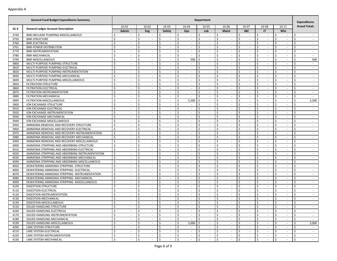|      | <b>General Fund Budget Expenditures Summary</b> |                                                |                                                  |                               |                                | <b>Department</b>              |                                 |                         |                                |                              | <b>Expenditures</b> |
|------|-------------------------------------------------|------------------------------------------------|--------------------------------------------------|-------------------------------|--------------------------------|--------------------------------|---------------------------------|-------------------------|--------------------------------|------------------------------|---------------------|
|      |                                                 | $10 - 01$                                      | $10 - 02$                                        | $10 - 03$                     | 10-04                          | 10-05                          | 10-06                           | 10-07                   | 10-08                          | $10 - 11$                    | <b>Grand Totals</b> |
| GL#  | <b>General Ledger Account Description</b>       | Admin                                          | Eng                                              | Safety                        | Ops                            | Lab                            | <b>Maint</b>                    | <b>I&amp;E</b>          | IT                             | Whs                          |                     |
| 3749 | BNR INFLUENT PUMPING-MISCELLANEOUS              | Ś                                              | \$                                               | \$                            | Ŝ.<br>$\sim$                   | Ś<br>$\overline{\phantom{a}}$  | -\$                             | Ŝ.<br>$\sim$            | Ŝ.                             | Ŝ.<br>$\sim$                 | Ś                   |
| 3750 | <b>BNR-STRUCTURE</b>                            | \$<br>$\overline{\phantom{a}}$                 | \$<br>$\overline{\phantom{a}}$                   | \$<br>$\sim$                  | \$<br>$\sim$                   | \$<br>$\overline{\phantom{a}}$ | $\zeta$<br>$\sim$               | \$<br>$\sim$            | \$<br>$\overline{\phantom{a}}$ | \$<br>$\sim$                 | \$<br>$\sim$        |
| 3760 | <b>BNR-ELECTRICAL</b>                           | \$<br>$\overline{\phantom{a}}$                 | \$<br>$\sim$                                     | \$<br>$\sim$                  | \$<br>$\sim$                   | \$<br>$\sim$                   | \$<br>$\sim$                    | Ŝ.<br>$\sim$            | Ś.<br>$\sim$                   | \$<br>$\sim$                 | \$<br>$\sim$        |
| 3761 | <b>BNR-POWER DISTRIBUTION</b>                   | Ś<br>$\overline{\phantom{a}}$                  | Ś<br>$\sim$                                      | \$<br>$\sim$                  | Ŝ.<br>$\sim$                   | Ś.<br>$\sim$                   | Ŝ.<br>$\overline{\phantom{a}}$  | Ŝ.<br>$\sim$            | Ŝ.<br>$\sim$                   | Ŝ.<br>$\sim$                 | Ś.<br>$\sim$        |
| 3770 | BNR-INSTRUMENTATION                             | \$<br>$\overline{\phantom{a}}$                 | Ś<br>$\overline{\phantom{a}}$                    | \$                            | \$<br>$\sim$                   | \$<br>$\sim$                   | -\$<br>$\overline{\phantom{a}}$ | Ŝ.<br>$\sim$            | \$                             | \$<br>$\sim$                 | Ś<br>$\sim$         |
| 3780 | <b>BNR-MECHANICAL</b>                           | \$                                             | Ś                                                | Ś.                            | \$<br>$\sim$                   | Ś.                             | <sup>\$</sup>                   | $\zeta$<br>$\sim$       | Ŝ.                             | Ŝ.<br>$\sim$                 | Ś<br>$\sim$         |
| 3799 | <b>BNR-MISCELLANEOUS</b>                        | $\mathsf{\hat{S}}$<br>$\overline{\phantom{a}}$ | \$<br>$\overline{\phantom{a}}$                   | \$<br>$\sim$                  | 500<br>\$                      | \$<br>$\sim$                   | \$<br>$\overline{\phantom{a}}$  | \$<br>$\sim$            | \$<br>$\sim$                   | \$<br>$\sim$                 | 500<br>\$           |
| 3800 | MULTI-PURPOSE PUMPING-STRUCTURE                 | \$<br>$\sim$                                   | \$<br>$\sim$                                     | \$<br>$\sim$                  | Ŝ.<br>$\sim$                   | \$<br>$\sim$                   | \$<br>$\overline{\phantom{a}}$  | Ŝ.<br>$\sim$            | Ś.<br>$\sim$                   | \$<br>$\sim$                 | Ś.<br>$\sim$        |
| 3810 | MULTI-PURPOSE PUMPING-ELECTRICAL                | Ŝ.<br>$\overline{\phantom{a}}$                 | Ś<br>$\sim$                                      | \$<br>$\sim$                  | Ś.<br>$\sim$                   | Ś.<br>$\sim$                   | Ŝ.<br>$\overline{\phantom{a}}$  | Ŝ.<br>$\sim$            | Ŝ.<br>$\sim$                   | Ŝ.<br>$\sim$                 | Ś.<br>$\sim$        |
| 3820 | MULTI-PURPOSE PUMPING-INSTRUMENTATION           | \$<br>$\overline{\phantom{a}}$                 | Ś<br>$\sim$                                      | \$                            | \$<br>$\sim$                   | \$<br>×.                       | -\$<br>$\overline{\phantom{a}}$ | Ŝ.<br>$\sim$            | \$<br>$\sim$                   | \$<br>$\sim$                 | Ś<br>$\sim$         |
| 3830 | MULTI-PURPOSE PUMPING-MECHANICAL                | Ŝ.                                             | Ś<br>$\overline{\phantom{a}}$                    | Ś.                            | \$<br>$\sim$                   | Ś.<br>$\sim$                   | Ŝ.                              | $\zeta$<br>$\sim$       | Ŝ.                             | Ŝ.<br>$\sim$                 | Ś<br>$\sim$         |
| 3849 | MULTI-PURPOSE PUMPING-MISCELLANEOUS             | \$<br>$\overline{\phantom{a}}$                 | \$<br>$\overline{\phantom{a}}$                   | \$<br>$\sim$                  | \$<br>$\sim$                   | \$<br>$\sim$                   | \$<br>$\overline{\phantom{a}}$  | \$<br>$\sim$            | \$<br>$\sim$                   | \$<br>$\sim$                 | \$<br>$\sim$        |
| 3850 | FILTRATION-STRUCTURE                            | \$<br>$\overline{\phantom{a}}$                 | \$<br>$\sim$                                     | \$<br>$\sim$                  | \$<br>$\sim$                   | \$<br>$\sim$                   | \$<br>$\sim$                    | Ŝ.<br>$\sim$            | Ś.<br>$\sim$                   | \$<br>$\sim$                 | \$<br>$\sim$        |
| 3860 | FILTRATION-ELECTRICAL                           | <sup>\$</sup><br>$\overline{\phantom{a}}$      | Ś<br>$\sim$                                      | \$<br>$\sim$                  | Ś.<br>$\sim$                   | Ś.<br>$\sim$                   | Ŝ.<br>$\blacksquare$            | <sup>\$</sup><br>$\sim$ | Ŝ.<br>$\sim$                   | Ŝ.<br>$\sim$                 | Ś.<br>$\sim$        |
| 3870 | FILTRATION-INSTRUMENTATION                      | \$<br>$\overline{\phantom{a}}$                 | Ś<br>$\overline{\phantom{a}}$                    | \$                            | \$<br>$\sim$                   | \$<br>$\sim$                   | -\$<br>$\overline{\phantom{a}}$ | Ŝ.<br>$\sim$            | \$                             | \$<br>$\sim$                 | Ś<br>$\sim$         |
| 3880 | FILTRATION-MECHANICAL                           | \$                                             | Ś                                                | Ś.                            | \$<br>$\overline{\phantom{a}}$ | Ś.                             | <sup>\$</sup>                   | $\zeta$<br>$\sim$       | Ŝ.                             | Ŝ.<br>$\sim$                 | Ś                   |
| 3899 | FILTRATION-MISCELLANEOUS                        | $\mathsf{\hat{S}}$<br>$\overline{\phantom{a}}$ | \$<br>$\overline{\phantom{a}}$                   | \$<br>$\sim$                  | \$<br>5,500                    | \$<br>$\sim$                   | \$<br>$\overline{\phantom{a}}$  | \$<br>$\sim$            | \$<br>$\sim$                   | \$<br>$\sim$                 | \$<br>5,500         |
| 3900 | ION EXCHANGE-STRUCTURE                          | \$<br>$\sim$                                   | \$<br>$\sim$                                     | \$<br>$\sim$                  | Ŝ.<br>$\sim$                   | \$<br>$\sim$                   | \$<br>$\overline{\phantom{a}}$  | Ŝ.<br>$\sim$            | Ś.<br>$\sim$                   | \$<br>$\sim$                 | Ś.<br>$\sim$        |
| 3910 | ION EXCHANGE-ELECTRICAL                         | Ŝ.<br>$\overline{\phantom{a}}$                 | Ś<br>$\sim$                                      | \$<br>$\sim$                  | Ś.<br>$\sim$                   | Ś.<br>$\sim$                   | Ŝ.<br>$\overline{\phantom{a}}$  | Ŝ.<br>$\sim$            | Ŝ.<br>$\sim$                   | Ŝ.<br>$\sim$                 | Ś.<br>$\sim$        |
| 3920 | ION EXCHANGE-INSTRUMENTATION                    | \$<br>$\overline{\phantom{a}}$                 | Ś<br>$\sim$                                      | \$                            | \$<br>$\sim$                   | \$<br>×.                       | -\$<br>$\overline{\phantom{a}}$ | Ŝ.<br>$\sim$            | \$<br>$\sim$                   | \$<br>$\sim$                 | Ś<br>$\sim$         |
| 3930 | ION EXCHANGE-MECHANICAL                         | Ŝ.                                             | Ś<br>$\overline{\phantom{a}}$                    | Ś.                            | Ś.<br>$\sim$                   | Ś.<br>$\sim$                   | Ŝ.                              | $\zeta$<br>$\sim$       | Ŝ.                             | Ŝ.<br>$\sim$                 | Ś<br>$\sim$         |
| 3949 | ION EXCHANGE-MISCELLANEOUS                      | \$<br>$\overline{\phantom{a}}$                 | \$<br>$\overline{\phantom{a}}$                   | \$<br>$\sim$                  | \$<br>$\sim$                   | \$<br>$\overline{\phantom{a}}$ | \$<br>$\overline{\phantom{a}}$  | \$<br>$\sim$            | \$<br>$\sim$                   | \$<br>$\sim$                 | \$<br>$\sim$        |
| 3950 | AMMONIA REMOVAL AND RECOVERY-STRUCTURE          | \$<br>$\overline{\phantom{a}}$                 | \$<br>$\sim$                                     | \$<br>$\sim$                  | \$<br>$\sim$                   | \$<br>$\sim$                   | \$<br>$\overline{\phantom{a}}$  | Ŝ.<br>$\sim$            | Ś.<br>$\sim$                   | \$<br>$\sim$                 | \$<br>$\sim$        |
| 3960 | AMMONIA REMOVAL AND RECOVERY-ELECTRICAL         | Ŝ.<br>$\overline{\phantom{a}}$                 | Ś<br>$\sim$                                      | \$<br>$\sim$                  | Ś.<br>$\sim$                   | Ś.<br>$\sim$                   | Ŝ.<br>$\overline{\phantom{a}}$  | <sup>\$</sup><br>$\sim$ | Ŝ.<br>$\sim$                   | Ŝ.<br>$\sim$                 | Ś.<br>$\sim$        |
| 3970 | AMMONIA REMOVAL AND RECOVERY-INSTRUMENTATION    | \$<br>$\overline{\phantom{a}}$                 | Ś<br>$\overline{\phantom{a}}$                    | \$                            | \$<br>$\sim$                   | \$<br>$\sim$                   | -\$<br>$\overline{\phantom{a}}$ | Ŝ.<br>$\sim$            | \$                             | \$<br>$\sim$                 | Ś<br>$\sim$         |
| 3980 | AMMONIA REMOVAL AND RECOVERY-MECHANICAL         | \$                                             | Ś                                                | Ś.                            | \$<br>$\sim$                   | Ś.                             | <sup>\$</sup>                   | $\zeta$<br>$\sim$       | Ŝ.                             | Ŝ.<br>$\sim$                 | Ś<br>$\sim$         |
| 3999 | AMMONIA REMOVAL AND RECOVERY-MISCELLANEOUS      | \$<br>$\overline{\phantom{a}}$                 | \$<br>$\overline{\phantom{a}}$                   | \$<br>$\sim$                  | \$<br>$\sim$                   | \$<br>$\overline{\phantom{a}}$ | \$<br>$\overline{\phantom{a}}$  | \$<br>$\sim$            | \$<br>$\sim$                   | \$<br>$\sim$                 | \$<br>$\sim$        |
| 4000 | AMMONIA STRIPPING AND ABSORBING-STRUCTURE       | \$<br>$\overline{\phantom{a}}$                 | \$<br>$\sim$                                     | \$<br>$\sim$                  | Ŝ.<br>$\sim$                   | \$<br>$\sim$                   | \$<br>$\overline{\phantom{a}}$  | Ŝ.<br>$\sim$            | Ś.<br>$\sim$                   | \$<br>$\sim$                 | Ś.<br>$\sim$        |
| 4010 | AMMONIA STRIPPING AND ABSORBING-ELECTRICAL      | Ŝ.<br>$\overline{\phantom{a}}$                 | Ś<br>$\sim$                                      | \$<br>$\sim$                  | Ś.<br>$\sim$                   | \$<br>$\sim$                   | Ŝ.<br>$\overline{\phantom{a}}$  | Ŝ.<br>$\sim$            | Ŝ.<br>$\sim$                   | Ŝ.<br>$\sim$                 | Ś.<br>$\sim$        |
| 4020 | AMMONIA STRIPPING AND ABSORBING-INSTRUMENTATION | \$<br>$\overline{\phantom{a}}$                 | Ś<br>$\sim$                                      | \$                            | \$<br>$\sim$                   | \$<br>×.                       | -\$<br>$\overline{\phantom{a}}$ | Ŝ.<br>$\sim$            | \$<br>$\sim$                   | \$<br>$\sim$                 | Ś<br>$\sim$         |
| 4030 | AMMONIA STRIPPING AND ABSORBING-MECHANICAL      | \$                                             | Ś<br>$\overline{\phantom{a}}$                    | Ś.<br>$\sim$                  | \$<br>$\sim$                   | Ś.<br>$\sim$                   | Ŝ.                              | $\zeta$<br>$\sim$       | Ŝ.                             | Ŝ.<br>$\sim$                 | Ś<br>$\sim$         |
| 4049 | AMMONIA STRIPPING AND ABSORBING-MISCELLANEOUS   | \$<br>$\overline{\phantom{a}}$                 | $\boldsymbol{\zeta}$<br>$\overline{\phantom{a}}$ | \$<br>$\sim$                  | \$<br>$\sim$                   | \$<br>$\overline{\phantom{a}}$ | \$<br>$\overline{\phantom{a}}$  | \$<br>$\sim$            | \$<br>$\sim$                   | \$<br>$\sim$                 | \$<br>$\sim$        |
| 4050 | DEWATERING AMMONIA STRIPPING -STRUCTURE         | \$<br>$\overline{\phantom{a}}$                 | \$<br>$\sim$                                     | \$<br>$\sim$                  | \$<br>$\sim$                   | \$<br>$\sim$                   | \$<br>$\sim$                    | Ŝ.<br>$\sim$            | Ś.<br>$\sim$                   | \$<br>$\sim$                 | \$<br>$\sim$        |
| 4060 | DEWATERING AMMONIA STRIPPING - ELECTRICAL       | Ŝ.<br>$\overline{\phantom{a}}$                 | Ś<br>$\sim$                                      | \$<br>$\sim$                  | Ś.<br>$\sim$                   | Ś.<br>$\sim$                   | Ŝ.<br>$\overline{\phantom{a}}$  | <sup>\$</sup><br>$\sim$ | Ŝ.<br>$\sim$                   | Ŝ.<br>$\sim$                 | Ś.<br>$\sim$        |
| 4070 | DEWATERING AMMONIA STRIPPING -INSTRUMENTATION   | \$<br>$\overline{\phantom{a}}$                 | Ś<br>$\overline{\phantom{a}}$                    | \$                            | \$<br>$\sim$                   | \$<br>$\sim$                   | -\$<br>$\overline{\phantom{a}}$ | Ŝ.<br>$\sim$            | \$                             | \$<br>$\sim$                 | Ś<br>$\sim$         |
| 4080 | DEWATERING AMMONIA STRIPPING -MECHANICAL        | \$                                             | Ś                                                | Ś.                            | \$<br>$\sim$                   | Ś.                             | <sup>\$</sup>                   | $\zeta$<br>$\sim$       | Ŝ.                             | Ŝ.<br>$\sim$                 | Ś<br>$\sim$         |
| 4099 | DEWATERING AMMONIA STRIPPING - MISCELLANEOUS    | \$<br>$\overline{\phantom{a}}$                 | \$<br>$\overline{\phantom{a}}$                   | \$<br>$\sim$                  | \$<br>$\sim$                   | \$<br>$\overline{\phantom{a}}$ | \$<br>$\overline{\phantom{a}}$  | \$<br>$\sim$            | \$<br>$\sim$                   | \$<br>$\sim$                 | \$                  |
| 4100 | DIGESTION-STRUCTURE                             | \$<br>$\sim$                                   | \$<br>$\sim$                                     | \$<br>$\sim$                  | Ŝ.<br>$\sim$                   | \$<br>$\sim$                   | \$<br>$\overline{\phantom{a}}$  | Ŝ.<br>$\sim$            | \$<br>$\sim$                   | \$<br>$\sim$                 | Ś.<br>$\sim$        |
| 4110 | DIGESTION-ELECTRICAL                            | Ŝ.<br>$\overline{\phantom{a}}$                 | Ś<br>$\sim$                                      | \$<br>$\sim$                  | Ŝ.<br>$\sim$                   | \$<br>$\sim$                   | Ŝ.<br>$\overline{\phantom{a}}$  | <sup>\$</sup><br>$\sim$ | Ŝ.<br>$\sim$                   | Ŝ.<br>$\sim$                 | Ś.<br>$\sim$        |
| 4120 | DIGESTION-INSTRUMENTATION                       | \$<br>$\overline{\phantom{a}}$                 | Ś<br>$\sim$                                      | \$                            | \$<br>$\sim$                   | \$<br>×.                       | -\$<br>$\overline{\phantom{a}}$ | Ŝ.<br>$\sim$            | \$<br>$\sim$                   | \$<br>$\sim$                 | Ś<br>$\sim$         |
| 4130 | DIGESTION-MECHANICAL                            | \$                                             | Ś<br>$\overline{\phantom{a}}$                    | Ś.                            | \$<br>$\sim$                   | Ś.                             | <sup>\$</sup>                   | $\zeta$<br>$\sim$       | Ŝ.                             | <sup>\$</sup><br>$\sim$      | Ś<br>$\sim$         |
| 4149 | DIGESTION-MISCELLANEOUS                         | \$<br>$\overline{\phantom{a}}$                 | $\boldsymbol{\zeta}$<br>$\sim$                   | \$<br>$\sim$                  | \$<br>$\sim$                   | \$                             | Ŝ.                              | \$<br>$\sim$            | \$                             | \$<br>$\sim$                 | \$                  |
| 4150 | SOLIDS HANDLING-STRUCTURE                       | Ş<br>$\sim$                                    | I Ş<br>$\sim$                                    | IŞ.<br>$\sim$                 | ٦\$<br>$\sim$                  | I Ş<br>$\sim$                  | ΙŞ<br>$\sim$                    | 15<br>$\sim$            | I Ş<br>$\sim$                  | 15<br>$\sim$                 | I Ş                 |
| 4160 | SOLIDS HANDLING-ELECTRICAL                      | \$<br>$\sim$                                   | \$<br>$\sim$                                     | $\ddot{\mathsf{S}}$<br>$\sim$ | \$<br>$\sim$                   | \$<br>$\sim$                   | $\mathsf{S}$<br>$\sim$          | \$<br>$\sim$            | \$<br>$\sim$                   | l\$<br>$\sim$                | \$<br>$\sim$        |
| 4170 | SOLIDS HANDLING-INSTRUMENTATION                 | \$<br>$\sim$                                   | \$<br>$\sim$                                     | \$<br>$\sim$                  | \$<br>$\sim$                   | \$<br>$\sim$                   | \$<br>$\sim$                    | \$<br>$\sim$            | \$<br>$\sim$                   | I\$<br>$\sim$                | \$<br>$\sim$        |
| 4180 | SOLIDS HANDLING-MECHANICAL                      | \$<br>$\sim$                                   | \$<br>$\sim$                                     | \$<br>$\sim$                  | \$<br>$\sim$                   | \$<br>$\sim$                   | \$<br>$\sim$                    | Ŝ.<br>$\sim$            | \$<br>$\sim$                   | -\$<br>$\sim$                | \$                  |
| 4199 | SOLIDS HANDLING-MISCELLANEOUS                   | \$<br>$\sim$                                   | \$<br>$\sim$                                     | \$<br>$\sim$                  | \$<br>5,000                    | \$<br>$\sim$                   | \$<br>$\sim$                    | \$<br>$\sim$            | \$<br>$\sim$                   | \$<br>$\sim$                 | \$<br>5,000         |
| 4200 | LIME SYSTEM-STRUCTURE                           | \$<br>$\sim$                                   | \$<br>$\sim$                                     | \$<br>$\sim$                  | \$<br>$\sim$                   | \$<br>$\sim$                   | \$<br>$\sim$                    | -\$<br>$\sim$           | \$<br>$\sim$                   | <b>S</b><br>$\sim$           | \$<br>$\sim$        |
| 4210 | LIME SYSTEM-ELECTRICAL                          | \$<br>$\sim$                                   | \$<br>$\sim$                                     | \$<br>$\sim$                  | \$<br>$\sim$                   | \$<br>$\sim$                   | \$<br>$\sim$                    | \$<br>$\sim$            | \$<br>$\sim$                   | <b>S</b><br>$\sim$           | \$<br>$\sim$        |
| 4220 | LIME SYSTEM-INSTRUMENTATION                     | \$<br>$\sim$                                   | \$<br>$\sim$                                     | \$<br>$\sim$                  | \$<br>$\sim$                   | \$<br>$\sim$                   | \$<br>$\sim$                    | \$<br>$\sim$            | \$<br>$\sim$                   | I\$<br>$\sim$                | \$<br>$\sim$        |
| 4230 | LIME SYSTEM-MECHANICAL                          | \$                                             | \$                                               | \$                            | \$<br>÷.                       | \$                             | $\ddot{\mathsf{S}}$             | \$<br>$\sim$            | \$                             | $\mathsf{\hat{S}}$<br>$\sim$ | \$<br>$\sim$        |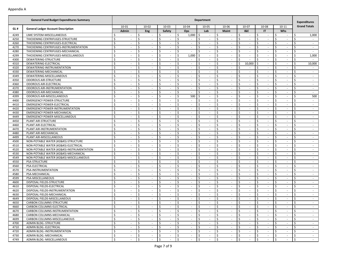|      | <b>General Fund Budget Expenditures Summary</b> |                                |                                |                               |                                | <b>Department</b>              |                                 |                         |                                |                              | <b>Expenditures</b> |
|------|-------------------------------------------------|--------------------------------|--------------------------------|-------------------------------|--------------------------------|--------------------------------|---------------------------------|-------------------------|--------------------------------|------------------------------|---------------------|
|      |                                                 | $10 - 01$                      | $10 - 02$                      | $10 - 03$                     | 10-04                          | $10 - 05$                      | 10-06                           | 10-07                   | 10-08                          | $10 - 11$                    | <b>Grand Totals</b> |
| GL#  | <b>General Ledger Account Description</b>       | Admin                          | Eng                            | Safety                        | Ops                            | Lab                            | <b>Maint</b>                    | <b>I&amp;E</b>          | IT                             | Whs                          |                     |
| 4249 | LIME SYSTEM-MISCELLANEOUS                       | Ś                              | \$                             | \$                            | Ŝ.<br>1,000                    | \$<br>$\overline{\phantom{a}}$ | -\$                             | Ŝ.<br>$\sim$            | Ŝ.                             | Ŝ.<br>$\sim$                 | Ś.<br>1,000         |
| 4250 | THICKENING CENTRIFUGES-STRUCTURE                | \$<br>$\overline{\phantom{a}}$ | \$<br>$\overline{\phantom{a}}$ | \$<br>$\sim$                  | \$<br>$\overline{\phantom{a}}$ | \$<br>$\overline{\phantom{a}}$ | $\zeta$<br>$\sim$               | \$<br>$\sim$            | \$<br>$\overline{\phantom{a}}$ | \$<br>$\sim$                 | \$<br>$\sim$        |
| 4260 | THICKENING CENTRIFUGES-ELECTRICAL               | \$<br>$\overline{\phantom{a}}$ | \$<br>$\sim$                   | \$<br>$\sim$                  | \$<br>$\sim$                   | \$<br>$\sim$                   | \$<br>$\sim$                    | \$<br>$\sim$            | Ś.<br>$\sim$                   | \$<br>$\sim$                 | \$<br>$\sim$        |
| 4270 | THICKENING CENTRIFUGES-INSTRUMENTATION          | Ŝ.<br>$\overline{\phantom{a}}$ | Ś<br>$\sim$                    | \$<br>$\sim$                  | Ŝ.<br>$\sim$                   | Ś.<br>$\sim$                   | Ŝ.<br>$\overline{\phantom{a}}$  | <sup>\$</sup><br>$\sim$ | Ŝ.<br>$\sim$                   | Ŝ.<br>$\sim$                 | Ś.<br>$\sim$        |
| 4280 | THICKENING CENTRIFUGES-MECHANICAL               | \$<br>$\overline{\phantom{a}}$ | Ś<br>$\overline{\phantom{a}}$  | \$                            | \$<br>$\sim$                   | \$<br>$\sim$                   | -\$<br>$\overline{\phantom{a}}$ | Ŝ.<br>$\sim$            | \$                             | \$<br>$\sim$                 | Ś<br>$\sim$         |
| 4299 | THICKENING CENTRIFUGES-MISCELLANEOUS            | \$                             | Ś                              | Ś.                            | Ś.<br>1,000                    | Ŝ.                             | <sup>\$</sup>                   | <sup>\$</sup><br>$\sim$ | Ŝ.                             | Ŝ.<br>$\sim$                 | Ś<br>1,000          |
| 4300 | DEWATERING-STRUCTURE                            | \$<br>$\overline{\phantom{a}}$ | \$<br>$\overline{\phantom{a}}$ | \$<br>$\sim$                  | \$<br>$\sim$                   | \$<br>$\sim$                   | \$<br>$\sim$                    | \$<br>$\sim$            | \$<br>$\sim$                   | \$<br>$\sim$                 | \$<br>$\sim$        |
| 4310 | DEWATERING-ELECTRICAL                           | \$<br>$\sim$                   | \$<br>$\sim$                   | \$<br>$\sim$                  | \$<br>$\sim$                   | \$<br>$\sim$                   | \$<br>$\sim$                    | 10,000<br>-\$           | Ŝ.<br>$\sim$                   | \$<br>$\sim$                 | \$<br>10,000        |
| 4320 | DEWATERING-INSTRUMENTATION                      | Ŝ.<br>$\sim$                   | Ś<br>$\sim$                    | \$<br>$\sim$                  | Ś.<br>$\sim$                   | \$<br>$\sim$                   | Ŝ.<br>$\overline{\phantom{a}}$  | <sup>\$</sup><br>$\sim$ | Ŝ.<br>$\sim$                   | Ŝ.<br>$\sim$                 | Ś.<br>$\sim$        |
| 4330 | DEWATERING-MECHANICAL                           | \$<br>$\overline{\phantom{a}}$ | Ś<br>$\sim$                    | \$                            | \$<br>$\sim$                   | \$<br>$\sim$                   | -\$<br>$\overline{\phantom{a}}$ | Ŝ.<br>$\sim$            | \$<br>$\sim$                   | \$<br>$\sim$                 | Ś<br>$\sim$         |
| 4349 | DEWATERING-MISCELLANEOUS                        | \$<br>$\overline{\phantom{a}}$ | Ś<br>$\overline{\phantom{a}}$  | Ś.<br>$\sim$                  | \$<br>$\sim$                   | Ś.<br>$\sim$                   | Ŝ.                              | $\zeta$<br>$\sim$       | Ŝ.                             | Ŝ.<br>$\sim$                 | Ś<br>$\sim$         |
| 4350 | <b>ODOROUS AIR-STRUCTURE</b>                    | \$<br>$\overline{\phantom{a}}$ | \$<br>$\overline{\phantom{a}}$ | \$<br>$\sim$                  | \$<br>$\sim$                   | \$<br>$\overline{\phantom{a}}$ | \$<br>$\overline{\phantom{a}}$  | \$<br>$\sim$            | \$<br>$\sim$                   | \$<br>$\sim$                 | \$<br>$\sim$        |
| 4360 | ODOROUS AIR-ELECTRICAL                          | \$<br>$\overline{\phantom{a}}$ | \$<br>$\sim$                   | \$<br>$\sim$                  | \$<br>$\sim$                   | \$<br>$\sim$                   | \$<br>$\sim$                    | Ŝ.<br>$\sim$            | Ś.<br>$\sim$                   | \$<br>$\sim$                 | \$<br>$\sim$        |
| 4370 | ODOROUS AIR-INSTRUMENTATION                     | \$<br>$\overline{\phantom{a}}$ | Ś<br>$\sim$                    | \$<br>$\sim$                  | Ś.<br>$\sim$                   | Ś.<br>$\sim$                   | Ŝ.<br>$\overline{\phantom{a}}$  | <sup>\$</sup><br>$\sim$ | Ŝ.<br>$\sim$                   | Ŝ.<br>$\sim$                 | Ś.<br>$\sim$        |
| 4380 | ODOROUS AIR-MECHANICAL                          | \$<br>$\overline{\phantom{a}}$ | Ś<br>$\overline{\phantom{a}}$  | \$                            | \$<br>$\sim$                   | \$<br>$\sim$                   | -\$<br>$\overline{\phantom{a}}$ | Ŝ.<br>$\sim$            | \$                             | \$<br>$\sim$                 | Ś<br>$\sim$         |
| 4399 | ODOROUS AIR-MISCELLANEOUS                       | \$                             | Ś                              | Ś.                            | \$<br>500                      | Ś                              | <sup>\$</sup>                   | $\zeta$<br>$\sim$       | Ŝ.                             | Ŝ.<br>$\sim$                 | Ś<br>500            |
| 4400 | <b>EMERGENCY POWER-STRUCTURE</b>                | \$<br>$\overline{\phantom{a}}$ | \$<br>$\overline{\phantom{a}}$ | \$<br>$\sim$                  | \$<br>$\sim$                   | \$<br>$\sim$                   | \$<br>$\overline{\phantom{a}}$  | \$<br>$\sim$            | \$<br>$\sim$                   | \$<br>$\sim$                 | \$<br>$\sim$        |
| 4410 | <b>EMERGENCY POWER-ELECTRICAL</b>               | \$<br>$\sim$                   | \$<br>$\sim$                   | \$<br>$\sim$                  | Ŝ.<br>$\sim$                   | \$<br>$\sim$                   | \$<br>$\sim$                    | Ŝ.<br>$\sim$            | \$<br>$\sim$                   | \$<br>$\sim$                 | Ś.<br>$\sim$        |
| 4420 | <b>EMERGENCY POWER-INSTRUMENTATION</b>          | Ŝ.<br>$\sim$                   | Ś<br>$\sim$                    | \$<br>$\sim$                  | Ś.<br>$\sim$                   | \$<br>$\sim$                   | Ŝ.<br>$\overline{\phantom{a}}$  | <sup>\$</sup><br>$\sim$ | Ŝ.<br>$\sim$                   | Ŝ.<br>$\sim$                 | Ś.<br>$\sim$        |
| 4430 | <b>EMERGENCY POWER-MECHANICAL</b>               | \$<br>$\overline{\phantom{a}}$ | Ś<br>$\sim$                    | \$                            | \$<br>$\sim$                   | \$<br>$\sim$                   | -\$<br>$\overline{\phantom{a}}$ | Ŝ.<br>$\sim$            | \$<br>$\sim$                   | \$<br>$\sim$                 | Ś<br>$\sim$         |
| 4449 | <b>EMERGENCY POWER-MISCELLANEOUS</b>            | \$<br>$\overline{\phantom{a}}$ | Ś<br>$\overline{\phantom{a}}$  | Ś.<br>$\sim$                  | \$<br>$\sim$                   | Ś.<br>$\sim$                   | Ŝ.                              | $\zeta$<br>$\sim$       | Ŝ.                             | Ŝ.<br>$\sim$                 | Ś<br>$\sim$         |
| 4450 | PLANT AIR-STRUCTURE                             | \$<br>$\overline{\phantom{a}}$ | \$<br>$\overline{\phantom{a}}$ | \$<br>$\sim$                  | \$<br>$\sim$                   | \$<br>$\overline{\phantom{a}}$ | \$<br>$\overline{\phantom{a}}$  | \$<br>$\sim$            | \$<br>$\sim$                   | \$<br>$\sim$                 | \$<br>$\sim$        |
| 4460 | PLANT AIR-ELECTRICAL                            | \$<br>$\overline{\phantom{a}}$ | \$<br>$\sim$                   | \$<br>$\sim$                  | \$<br>$\sim$                   | \$<br>$\sim$                   | \$<br>$\sim$                    | Ŝ.<br>$\sim$            | Ś.<br>$\sim$                   | \$<br>$\sim$                 | \$<br>$\sim$        |
| 4470 | PLANT AIR-INSTRUMENTATION                       | \$<br>$\overline{\phantom{a}}$ | Ś<br>$\sim$                    | \$<br>$\sim$                  | Ś.<br>$\sim$                   | \$<br>$\sim$                   | Ŝ.<br>$\overline{\phantom{a}}$  | <sup>\$</sup><br>$\sim$ | Ŝ.<br>$\sim$                   | Ŝ.<br>$\sim$                 | Ś.<br>$\sim$        |
| 4480 | PLANT AIR-MECHANICAL                            | \$<br>$\overline{\phantom{a}}$ | Ś<br>$\overline{\phantom{a}}$  | \$                            | \$<br>$\sim$                   | \$<br>$\sim$                   | -\$<br>$\overline{\phantom{a}}$ | Ŝ.<br>$\sim$            | \$                             | \$<br>$\sim$                 | Ś<br>$\sim$         |
| 4499 | PLANT AIR-MISCELLANEOUS                         | \$                             | Ś                              | Ś.                            | \$<br>$\sim$                   | Ś.                             | <sup>\$</sup>                   | $\zeta$<br>$\sim$       | Ŝ.                             | Ŝ.<br>$\sim$                 | Ś<br>$\sim$         |
| 4500 | NON-POTABLE WATER (#2)-STRUCTURE               | \$<br>$\overline{\phantom{a}}$ | \$<br>$\overline{\phantom{a}}$ | \$<br>$\sim$                  | \$<br>$\sim$                   | \$<br>$\sim$                   | \$<br>$\overline{\phantom{a}}$  | \$<br>$\sim$            | \$<br>$\sim$                   | \$<br>$\sim$                 | \$<br>$\sim$        |
| 4510 | NON-POTABLE WATER (#2)-ELECTRICAL              | \$<br>$\sim$                   | \$<br>$\sim$                   | \$<br>$\sim$                  | Ŝ.<br>$\sim$                   | \$<br>$\sim$                   | \$<br>$\sim$                    | Ŝ.<br>$\sim$            | \$<br>$\sim$                   | \$<br>$\sim$                 | Ś.<br>$\sim$        |
| 4520 | NON-POTABLE WATER (#2)-INSTRUMENTATION         | Ŝ.<br>$\sim$                   | Ś<br>$\sim$                    | \$<br>$\sim$                  | Ś.<br>$\sim$                   | \$<br>$\sim$                   | Ŝ.<br>$\overline{\phantom{a}}$  | <sup>\$</sup><br>$\sim$ | Ŝ.<br>$\sim$                   | Ŝ.<br>$\sim$                 | Ś.<br>$\sim$        |
| 4530 | NON-POTABLE WATER (#2)-MECHANICAL              | \$<br>$\overline{\phantom{a}}$ | Ś<br>$\sim$                    | \$                            | \$<br>$\sim$                   | \$<br>$\sim$                   | -\$<br>$\overline{\phantom{a}}$ | Ŝ.<br>$\sim$            | \$<br>$\sim$                   | \$<br>$\sim$                 | Ś<br>$\sim$         |
| 4549 | NON-POTABLE WATER (#2)-MISCELLANEOUS           | \$                             | Ś<br>$\overline{\phantom{a}}$  | \$<br>$\sim$                  | \$<br>$\sim$                   | Ś.<br>$\sim$                   | Ŝ.                              | $\zeta$<br>$\sim$       | Ŝ.                             | Ŝ.<br>$\sim$                 | Ś<br>$\sim$         |
| 4550 | PSA-STRUCTURE                                   | \$<br>$\overline{\phantom{a}}$ | \$<br>$\overline{\phantom{a}}$ | \$<br>$\sim$                  | \$<br>$\sim$                   | \$<br>$\overline{\phantom{a}}$ | \$<br>$\overline{\phantom{a}}$  | \$<br>$\sim$            | \$<br>$\sim$                   | \$<br>$\sim$                 | \$<br>$\sim$        |
| 4560 | PSA-ELECTRICAL                                  | \$<br>$\overline{\phantom{a}}$ | \$<br>$\sim$                   | \$<br>$\sim$                  | \$<br>$\sim$                   | \$<br>$\sim$                   | \$<br>$\sim$                    | Ŝ.<br>$\sim$            | \$<br>$\sim$                   | \$<br>$\sim$                 | \$<br>$\sim$        |
| 4570 | PSA-INSTRUMENTATION                             | \$<br>$\overline{\phantom{a}}$ | Ś<br>$\sim$                    | \$<br>$\sim$                  | Ś.<br>$\sim$                   | \$<br>$\sim$                   | Ŝ.<br>$\overline{\phantom{a}}$  | <sup>\$</sup><br>$\sim$ | Ŝ.<br>$\sim$                   | Ŝ.<br>$\sim$                 | Ś.<br>$\sim$        |
| 4580 | PSA-MECHANICAL                                  | \$<br>$\overline{\phantom{a}}$ | Ś<br>$\overline{\phantom{a}}$  | \$                            | \$<br>$\sim$                   | \$<br>$\sim$                   | -\$<br>$\overline{\phantom{a}}$ | Ŝ.<br>$\sim$            | \$                             | \$<br>$\sim$                 | Ś<br>$\sim$         |
| 4599 | PSA-MISCELLANEOUS                               | \$                             | Ś                              | \$                            | \$<br>$\sim$                   | Ś.                             | <sup>\$</sup>                   | $\zeta$<br>$\sim$       | Ŝ.                             | Ŝ.<br>$\sim$                 | Ś<br>$\sim$         |
| 4600 | DISPOSAL FIELDS-STRUCTURE                       | \$<br>$\overline{\phantom{a}}$ | \$<br>$\overline{\phantom{a}}$ | \$<br>$\sim$                  | \$<br>$\sim$                   | \$<br>$\sim$                   | \$<br>$\overline{\phantom{a}}$  | \$<br>$\sim$            | \$<br>$\sim$                   | \$<br>$\sim$                 | \$<br>$\sim$        |
| 4610 | DISPOSAL FIELDS-ELECTRICAL                      | \$<br>$\sim$                   | \$<br>$\sim$                   | \$<br>$\sim$                  | Ŝ.<br>$\sim$                   | \$<br>$\sim$                   | \$<br>$\sim$                    | Ŝ.<br>$\sim$            | \$<br>$\sim$                   | \$<br>$\sim$                 | Ś.<br>$\sim$        |
| 4620 | DISPOSAL FIELDS-INSTRUMENTATION                 | Ŝ.<br>$\sim$                   | Ś<br>$\sim$                    | \$<br>$\sim$                  | Ŝ.<br>$\sim$                   | \$<br>$\sim$                   | Ŝ.<br>$\overline{\phantom{a}}$  | <sup>\$</sup><br>$\sim$ | Ŝ.<br>$\sim$                   | Ŝ.<br>$\sim$                 | Ś.<br>$\sim$        |
| 4630 | DISPOSAL FIELDS-MECHANICAL                      | \$<br>$\overline{\phantom{a}}$ | Ś<br>$\sim$                    | \$                            | \$<br>$\sim$                   | \$<br>$\sim$                   | -\$<br>$\overline{\phantom{a}}$ | Ŝ.<br>$\sim$            | \$<br>$\sim$                   | \$<br>$\sim$                 | Ś<br>$\sim$         |
| 4649 | DISPOSAL FIELDS-MISCELLANEOUS                   | \$                             | Ś<br>$\overline{\phantom{a}}$  | \$                            | \$<br>$\sim$                   | Ś.                             | <sup>\$</sup>                   | <sup>\$</sup><br>$\sim$ | Ŝ.                             | Ŝ.<br>$\sim$                 | Ś<br>$\sim$         |
| 4650 | CARBON COLUMNS-STRUCTURE                        | \$<br>$\overline{\phantom{a}}$ | \$<br>$\sim$                   | \$<br>$\sim$                  | \$<br>$\sim$                   | \$                             | Ŝ.                              | \$<br>$\sim$            | \$                             | \$<br>$\sim$                 | \$                  |
| 4660 | CARBON COLUMNS-ELECTRICAL                       | Ş<br>$\sim$                    | I Ş<br>$\sim$                  | IŞ.<br>$\sim$                 | ٦\$<br>$\sim$                  | I Ş<br>$\sim$                  | ΙŞ<br>$\sim$                    | 15<br>$\sim$            | I Ş<br>$\sim$                  | 15<br>$\sim$                 | I Ş                 |
| 4670 | CARBON COLUMNS-INSTRUMENTATION                  | \$<br>$\sim$                   | \$<br>$\sim$                   | $\ddot{\mathsf{S}}$<br>$\sim$ | \$<br>$\sim$                   | \$<br>$\sim$                   | $\mathsf{S}$<br>$\sim$          | \$<br>$\sim$            | \$<br>$\sim$                   | l\$<br>$\sim$                | \$<br>$\sim$        |
| 4680 | CARBON COLUMNS-MECHANICAL                       | \$<br>$\sim$                   | \$<br>$\sim$                   | \$<br>$\sim$                  | \$<br>$\sim$                   | \$<br>$\sim$                   | \$<br>$\sim$                    | \$<br>$\sim$            | \$<br>$\sim$                   | I\$<br>$\sim$                | \$<br>$\sim$        |
| 4699 | CARBON COLUMNS-MISCELLANEOUS                    | \$<br>$\sim$                   | \$<br>$\sim$                   | \$<br>$\sim$                  | \$<br>$\sim$                   | \$<br>$\overline{\phantom{a}}$ | \$<br>$\sim$                    | Ŝ.<br>$\sim$            | \$<br>$\sim$                   | -\$<br>$\sim$                | \$<br>$\sim$        |
| 4700 | ADMIN BLDG.-STRUCTURE                           | \$<br>$\sim$                   | \$<br>$\sim$                   | \$<br>$\sim$                  | \$<br>$\sim$                   | \$<br>$\sim$                   | \$<br>$\sim$                    | \$<br>$\sim$            | \$<br>$\sim$                   | \$<br>$\sim$                 | \$<br>$\sim$        |
| 4710 | ADMIN BLDG.-ELECTRICAL                          | \$<br>$\sim$                   | \$<br>$\sim$                   | \$<br>$\sim$                  | \$<br>$\sim$                   | \$<br>$\sim$                   | \$<br>$\sim$                    | \$<br>$\sim$            | \$<br>$\sim$                   | <b>S</b><br>$\sim$           | \$<br>$\sim$        |
| 4720 | ADMIN BLDG.-INSTRUMENTATION                     | \$<br>$\sim$                   | \$<br>$\sim$                   | \$<br>$\sim$                  | \$<br>$\sim$                   | \$<br>$\sim$                   | \$<br>$\sim$                    | \$<br>$\sim$            | \$<br>$\sim$                   | l\$<br>$\sim$                | \$<br>$\sim$        |
| 4730 | ADMIN BLDG.-MECHANICAL                          | \$<br>$\sim$                   | \$<br>$\sim$                   | \$<br>$\sim$                  | \$<br>$\sim$                   | \$<br>$\sim$                   | \$<br>$\sim$                    | \$<br>$\sim$            | \$<br>$\sim$                   | I\$<br>$\sim$                | \$<br>$\sim$        |
| 4749 | ADMIN BLDG.-MISCELLANEOUS                       | \$                             | \$                             | \$                            | \$<br>÷.                       | \$                             | $\ddot{\mathsf{S}}$             | \$<br>$\mathcal{L}$     | \$                             | $\mathsf{\hat{S}}$<br>$\sim$ | \$<br>$\sim$        |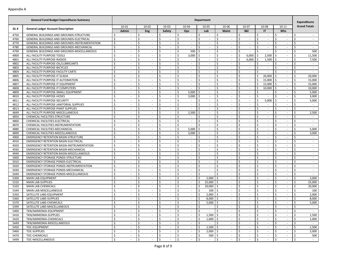|      | <b>General Fund Budget Expenditures Summary</b> |                                           |                                |                               |                   | <b>Department</b>              |                                 |                                   |                                |                               | <b>Expenditures</b> |
|------|-------------------------------------------------|-------------------------------------------|--------------------------------|-------------------------------|-------------------|--------------------------------|---------------------------------|-----------------------------------|--------------------------------|-------------------------------|---------------------|
|      |                                                 | 10-01                                     | $10 - 02$                      | $10 - 03$                     | 10-04             | 10-05                          | 10-06                           | 10-07                             | 10-08                          | $10 - 11$                     | <b>Grand Totals</b> |
| GL#  | <b>General Ledger Account Description</b>       | Admin                                     | Eng                            | Safety                        | Ops               | Lab                            | <b>Maint</b>                    | <b>I&amp;E</b>                    | IT                             | Whs                           |                     |
| 4750 | GENERAL BUILDINGS AND GROUNDS-STRUCTURE         | \$                                        | Ś.                             | \$                            | Ŝ.<br>$\sim$      | \$<br>$\sim$                   | \$                              | Ŝ.<br>$\sim$                      | Ś.                             | Ŝ.<br>$\sim$                  | Ś                   |
| 4760 | GENERAL BUILDINGS AND GROUNDS-ELECTRICAL        | \$<br>$\sim$                              | \$<br>$\overline{\phantom{a}}$ | \$<br>$\sim$                  | \$<br>$\sim$      | \$<br>$\overline{\phantom{a}}$ | \$<br>$\overline{\phantom{a}}$  | \$<br>$\sim$                      | \$<br>$\overline{\phantom{a}}$ | \$<br>$\sim$                  | \$<br>$\sim$        |
| 4770 | GENERAL BUILDINGS AND GROUNDS-INSTRUMENTATION   | \$<br>$\sim$                              | \$<br>$\sim$                   | \$<br>$\sim$                  | \$<br>$\sim$      | \$<br>$\sim$                   | \$<br>$\sim$                    | Ŝ.<br>$\sim$                      | Ś.<br>$\sim$                   | \$<br>$\sim$                  | Ś.<br>$\sim$        |
| 4780 | GENERAL BUILDINGS AND GROUNDS-MECHANICAL        | <sup>\$</sup><br>$\overline{\phantom{a}}$ | Ś<br>$\overline{\phantom{a}}$  | \$<br>$\sim$                  | Ŝ.<br>$\sim$      | Ś.<br>$\sim$                   | Ŝ.<br>$\overline{\phantom{a}}$  | Ŝ.<br>$\sim$                      | Ŝ.<br>$\sim$                   | Ŝ.<br>$\sim$                  | Ś.<br>$\sim$        |
| 4799 | GENERAL BUILDINGS AND GROUNDS-MISCELLANEOUS     | \$                                        | Ŝ.<br>$\overline{\phantom{a}}$ | \$                            | 500<br>Ś.         | \$<br>$\overline{\phantom{a}}$ | \$<br>$\overline{\phantom{a}}$  | Ŝ.<br>$\sim$                      | \$<br>$\sim$                   | -\$<br>$\sim$                 | 500<br>Ś            |
| 4800 | ALL FACILITY PURPOSE-TOOLS                      | <sup>\$</sup>                             | Ś                              | Ś.                            | $\zeta$<br>3,000  | Ŝ.                             | Ŝ.                              | 6,000                             | 2,500<br>\$                    | -Ś<br>$\sim$                  | Ś<br>11,500         |
| 4801 | ALL FACILITY PURPOSE-RADIOS                     | \$<br>$\overline{\phantom{a}}$            | \$<br>$\overline{\phantom{a}}$ | \$                            | \$<br>$\sim$      | \$<br>$\sim$                   | \$<br>٠                         | 6,000                             | 1,500<br>\$                    | -\$<br>$\sim$                 | \$<br>7,500         |
| 4802 | ALL FACILITY PURPOSE-OIL/LUBRICANTS             | Ś.<br>$\sim$                              | Ŝ.<br>$\sim$                   | \$<br>$\sim$                  | Ś.<br>$\sim$      | Ŝ.<br>$\sim$                   | \$<br>$\sim$                    | Ŝ.<br>$\sim$                      | Ŝ.<br>$\sim$                   | Ŝ.<br>$\sim$                  | Ś.<br>$\sim$        |
| 4803 | ALL FACILITY PURPOSE-BICYCLES                   | <sup>\$</sup><br>$\overline{\phantom{a}}$ | Ś<br>$\sim$                    | \$<br>$\sim$                  | Ŝ.<br>$\sim$      | Ś.<br>$\sim$                   | Ŝ.<br>$\sim$                    | Ŝ.<br>$\sim$                      | Ŝ.<br>$\sim$                   | Ŝ.<br>$\sim$                  | Ś.<br>$\sim$        |
| 4804 | ALL FACILITY PURPOSE-FACILITY CARTS             | \$<br>$\overline{\phantom{a}}$            | Ś<br>$\overline{\phantom{a}}$  | \$                            | Ś<br>$\sim$       | \$<br>×.                       | \$<br>$\overline{\phantom{a}}$  | Ŝ.<br>$\sim$                      | Ś.<br>×.                       | -\$<br>$\sim$                 | Ś<br>$\sim$         |
| 4805 | ALL FACILITY PURPOSE-IT SCADA                   | <sup>\$</sup>                             | Ś<br>$\overline{\phantom{a}}$  | Ś.                            | $\zeta$<br>$\sim$ | Ś.<br>$\overline{\phantom{a}}$ | Ŝ.                              | $\zeta$<br>$\sim$                 | 20,000<br>\$                   | l \$<br>$\sim$                | Ś<br>20,000         |
| 4806 | ALL FACILITY PURPOSE-IT AUTOMATION              | \$<br>$\overline{\phantom{a}}$            | \$<br>$\overline{\phantom{a}}$ | \$                            | \$<br>$\sim$      | \$<br>$\overline{\phantom{a}}$ | \$<br>٠                         | \$<br>$\sim$                      | Ś<br>15,000                    | -\$<br>$\sim$                 | \$<br>15,000        |
| 4807 | ALL FACILITY PURPOSE-IT EQUIPMENT               | Ŝ.<br>$\sim$                              | \$<br>$\sim$                   | \$<br>$\sim$                  | Ś.<br>$\sim$      | \$<br>$\sim$                   | \$<br>$\sim$                    | Ŝ.<br>$\sim$                      | 15,000<br>Ŝ.                   | l s<br>$\sim$                 | \$<br>15,000        |
| 4808 | ALL FACILITY PURPOSE-IT COMPUTERS               | <sup>\$</sup><br>$\overline{\phantom{a}}$ | Ś<br>$\sim$                    | \$<br>$\sim$                  | Ŝ.<br>$\sim$      | Ŝ.<br>$\sim$                   | Ŝ.<br>$\overline{\phantom{a}}$  | Ŝ.<br>$\sim$                      | \$<br>10,000                   | Ś.<br>$\sim$                  | 10,000<br>\$        |
| 4809 | ALL FACILITY PURPOSE-SMALL EQUIPMENT            | \$                                        | Ś<br>$\overline{\phantom{a}}$  | Ś                             | \$<br>5,000       | \$                             | \$                              | Ŝ.<br>$\sim$                      | \$                             | Ś<br>$\sim$                   | 5,000<br>Ś          |
| 4810 | ALL FACILITY PURPOSE-HOSES                      | <sup>\$</sup>                             | Ś                              | Ś.                            | $\zeta$<br>3,000  | Ŝ.                             | Ŝ.                              | Š.<br>$\sim$                      | Ŝ.                             | Š,<br>$\sim$                  | Ś<br>3,000          |
| 4811 | ALL FACILITY PURPOSE-SECURITY                   | \$<br>$\overline{\phantom{a}}$            | \$<br>$\overline{\phantom{a}}$ | \$                            | \$<br>$\sim$      | \$<br>$\overline{\phantom{a}}$ | \$<br>٠                         | \$<br>$\sim$                      | 5,000<br>\$                    | Ś<br>$\sim$                   | \$<br>5,000         |
| 4812 | ALL FACILITY PURPOSE-JANITORIAL SUPPLIES        | Ŝ.<br>$\sim$                              | Ś.<br>$\sim$                   | \$<br>$\sim$                  | Ś.<br>$\sim$      | Ŝ.<br>$\sim$                   | \$<br>$\sim$                    | Ŝ.<br>$\sim$                      | Ś.<br>$\sim$                   | Ŝ.<br>$\sim$                  | Ś.<br>$\sim$        |
| 4813 | ALL FACILITY PURPOSE-PAINT SUPPLIES             | <sup>\$</sup><br>$\sim$                   | Ś<br>$\sim$                    | \$<br>$\sim$                  | Ŝ.<br>$\sim$      | Ŝ.<br>$\sim$                   | Ŝ.<br>$\sim$                    | Ŝ.<br>$\sim$                      | \$<br>$\sim$                   | Ŝ.<br>$\sim$                  | Ś.<br>$\sim$        |
| 4849 | ALL FACILITY PURPOSE-MISCELLANEOUS              | \$<br>$\overline{\phantom{a}}$            | Ś<br>$\overline{\phantom{a}}$  | \$                            | \$<br>2,500       | \$<br>$\overline{\phantom{a}}$ | \$<br>$\overline{\phantom{a}}$  | Ŝ.<br>$\sim$                      | \$<br>$\sim$                   | -\$<br>$\sim$                 | 2,500<br>Ś          |
| 4850 | CHEMICAL FACILITIES-STRUCTURE                   | <sup>\$</sup>                             | Ś<br>$\overline{\phantom{a}}$  | Ś.                            | $\zeta$<br>$\sim$ | Ś.<br>$\overline{\phantom{a}}$ | Ŝ.                              | $\zeta$<br>$\sim$                 | Ŝ.                             | Ś<br>$\sim$                   | Ś<br>$\sim$         |
| 4860 | CHEMICAL FACILITIES-ELECTRICAL                  | \$<br>$\overline{\phantom{a}}$            | \$<br>$\blacksquare$           | \$                            | \$<br>$\sim$      | \$<br>$\overline{\phantom{a}}$ | \$<br>٠                         | \$<br>$\sim$                      | \$<br>$\overline{\phantom{a}}$ | \$<br>$\sim$                  | \$<br>$\sim$        |
| 4870 | CHEMICAL FACILITIES-INSTRUMENTATION             | Ś.<br>$\sim$                              | Ŝ.<br>$\sim$                   | \$<br>$\sim$                  | Ś.<br>$\sim$      | Ŝ.<br>$\sim$                   | \$<br>$\overline{\phantom{a}}$  | Ŝ.<br>$\sim$                      | \$<br>$\sim$                   | \$<br>$\sim$                  | Ś.<br>$\sim$        |
| 4880 | CHEMICAL FACILITIES-MECHANICAL                  | <sup>\$</sup><br>$\blacksquare$           | Ś<br>$\sim$                    | \$<br>$\sim$                  | Ŝ.<br>5,000       | Ś.<br>$\sim$                   | Ŝ.<br>$\overline{\phantom{a}}$  | Ŝ.<br>$\sim$                      | Ŝ.<br>$\sim$                   | Ŝ.<br>$\sim$                  | 5,000<br>Ś.         |
| 4899 | CHEMICAL FACILITIES-MISCELLANEOUS               | \$                                        | Ś<br>$\overline{\phantom{a}}$  | Ś                             | \$<br>3,000       | \$<br>$\overline{\phantom{a}}$ | \$                              | Ŝ.<br>$\sim$                      | \$                             | -\$<br>$\sim$                 | Ś<br>3,000          |
| 4900 | <b>EMERGENCY RETENTION BASIN-STRUCTURE</b>      | <sup>\$</sup>                             | Ś                              | Ś.                            | $\zeta$<br>$\sim$ | Ś.<br>$\overline{\phantom{a}}$ | Ŝ.                              | Š.<br>$\sim$                      | Ŝ.                             | Ś<br>$\sim$                   | Ś<br>$\sim$         |
| 4910 | <b>EMERGENCY RETENTION BASIN-ELECTRICAL</b>     | \$<br>$\overline{\phantom{a}}$            | \$<br>$\overline{\phantom{a}}$ | \$                            | \$<br>$\sim$      | \$<br>$\overline{\phantom{a}}$ | \$<br>٠                         | \$<br>$\overline{\phantom{a}}$    | \$<br>$\overline{\phantom{a}}$ | \$<br>$\sim$                  | \$<br>$\sim$        |
| 4920 | EMERGENCY RETENTION BASIN-INSTRUMENTATION       | \$<br>$\sim$                              | Ś.<br>$\sim$                   | \$<br>$\sim$                  | Ŝ.<br>$\sim$      | \$<br>$\sim$                   | \$<br>$\sim$                    | Ŝ.<br>$\sim$                      | Ś.<br>$\sim$                   | \$<br>$\sim$                  | Ś.<br>$\sim$        |
| 4930 | <b>EMERGENCY RETENTION BASIN-MECHANICAL</b>     | <sup>\$</sup><br>$\overline{\phantom{a}}$ | Ś<br>$\sim$                    | \$<br>$\sim$                  | Ś.<br>$\sim$      | Ś.<br>$\sim$                   | Ŝ.<br>$\sim$                    | Ŝ.<br>$\sim$                      | Ŝ.<br>$\sim$                   | Ŝ.<br>$\sim$                  | Ś<br>$\sim$         |
| 4949 | <b>EMERGENCY RETENTION BASIN-MISCELLANEOUS</b>  | \$<br>$\overline{\phantom{a}}$            | Ś<br>$\overline{\phantom{a}}$  | Ś                             | Ś<br>$\sim$       | \$<br>×.                       | \$<br>$\overline{\phantom{a}}$  | Ŝ.<br>$\sim$                      | \$<br>$\sim$                   | -\$<br>$\sim$                 | Ś<br>$\sim$         |
| 5000 | <b>EMERGENCY STORAGE PONDS-STRUCTURE</b>        | <sup>\$</sup>                             | Ś<br>$\overline{\phantom{a}}$  | Ś.                            | $\zeta$<br>$\sim$ | Ś.<br>$\overline{\phantom{a}}$ | Ŝ.                              | $\zeta$<br>$\sim$                 | Ŝ.                             | Ś<br>$\sim$                   | Ś<br>$\sim$         |
| 5010 | EMERGENCY STORAGE PONDS-ELECTRICAL              | \$<br>$\overline{\phantom{a}}$            | \$<br>$\overline{\phantom{a}}$ | \$                            | \$<br>$\sim$      | \$<br>$\sim$                   | \$<br>٠                         | \$<br>$\sim$                      | \$<br>$\overline{\phantom{a}}$ | \$<br>$\sim$                  | \$<br>$\sim$        |
| 5020 | EMERGENCY STORAGE PONDS-INSTRUMENTATION         | \$<br>$\sim$                              | Ŝ.<br>$\sim$                   | \$<br>$\sim$                  | Ś.<br>$\sim$      | \$<br>$\sim$                   | \$<br>$\overline{\phantom{a}}$  | Ŝ.<br>$\sim$                      | \$<br>$\sim$                   | \$<br>$\sim$                  | Ś.<br>$\sim$        |
| 5030 | EMERGENCY STORAGE PONDS-MECHANICAL              | <sup>\$</sup><br>$\overline{\phantom{a}}$ | Ś<br>$\sim$                    | \$<br>$\sim$                  | Ś.<br>$\sim$      | Ŝ.<br>$\sim$                   | Ŝ.<br>$\overline{\phantom{a}}$  | Ŝ.<br>$\sim$                      | Ŝ.<br>$\sim$                   | Ŝ.<br>$\sim$                  | Ś.<br>$\sim$        |
| 5049 | EMERGENCY STORAGE PONDS-MISCELLANEOUS           | \$<br>$\overline{\phantom{a}}$            | Ś<br>$\overline{\phantom{a}}$  | Ś                             | Ŝ.<br>$\sim$      | \$<br>$\overline{\phantom{a}}$ | Ŝ.                              | Ŝ.<br>$\sim$                      | \$                             | -\$<br>$\sim$                 | Ś<br>$\sim$         |
| 5300 | MAIN LAB-EQUIPMENT                              | <sup>\$</sup>                             | Ś                              | Ś.                            | $\zeta$<br>$\sim$ | Ś<br>2,000                     | Ŝ.                              | $\zeta$<br>$\sim$                 | Ŝ.                             | Ś<br>$\sim$                   | 2,000<br>Ś          |
| 5310 | MAIN LAB-SUPPLIES                               | \$<br>$\sim$                              | \$<br>$\overline{\phantom{a}}$ | \$<br>$\sim$                  | \$<br>$\sim$      | Ś<br>25,000                    | \$<br>٠                         | \$<br>$\overline{\phantom{a}}$    | \$<br>$\sim$                   | \$<br>$\sim$                  | \$<br>25,000        |
| 5320 | MAIN LAB-CHEMICALS                              | \$<br>$\sim$                              | Ś.<br>$\sim$                   | Ś<br>$\sim$                   | Ŝ.<br>$\sim$      | 20,000<br>\$                   | Ŝ.<br>$\sim$                    | Ŝ.<br>$\sim$                      | \$<br>$\sim$                   | \$<br>$\sim$                  | Ś.<br>20,000        |
| 5349 | MAIN LAB-MISCELLANEOUS                          | <sup>\$</sup><br>$\overline{\phantom{a}}$ | Ś.<br>$\sim$                   | \$<br>$\sim$                  | Ŝ.<br>$\sim$      | \$<br>100                      | Ŝ.<br>$\sim$                    | <sup>\$</sup><br>$\sim$           | Ŝ.<br>$\sim$                   | Ŝ.<br>$\sim$                  | Ś.<br>100           |
| 5350 | SATELLITE LABS-EQUIPMENT                        | \$<br>$\overline{\phantom{a}}$            | Ś<br>$\overline{\phantom{a}}$  | \$                            | Ś<br>$\sim$       | \$<br>2,000                    | -\$<br>$\overline{\phantom{a}}$ | Ŝ.<br>$\sim$                      | \$<br>$\sim$                   | -\$<br>$\sim$                 | 2,000<br>Ś          |
| 5360 | SATELLITE LABS-SUPPLIES                         | <sup>\$</sup>                             | Ś<br>$\overline{\phantom{a}}$  | Ś.                            | $\zeta$<br>$\sim$ | Ś<br>8,000                     | Ŝ.                              | <sup>\$</sup><br>$\sim$           | Ś.                             | Ś<br>$\sim$                   | Ś<br>8,000          |
| 5370 | SATELLITE LABS-CHEMICALS                        | \$                                        | \$<br>$\overline{\phantom{a}}$ | \$<br>$\sim$                  | \$<br>$\sim$      | \$<br>5,000                    | \$                              | \$<br>$\sim$                      | \$                             | Ś<br>$\sim$                   | \$<br>5,000         |
| 5399 | SATELLITE LABS-MISCELLANEOUS                    | $\mathcal{S}$<br>$\sim$                   | ΙŞ<br>$\sim$                   | I Ş.<br>$\sim$                | ١\$<br>$\sim$     | IŞ.<br>$\sim$                  | I Ş<br>$\sim$                   | 1 Ş<br>$\sim$                     | l Ş<br>$\sim$                  | 15<br>$\sim$                  | I Ş                 |
| 5400 | TKN/AMMONIA-EQUIPMENT                           | \$<br>$\sim$                              | \$<br>$\sim$                   | <b>\$</b><br>$\sim$           | \$<br>$\sim$      | Ŝ.<br>$\sim$                   | S.<br>$\sim$                    | \$<br>$\sim$                      | \$<br>$\sim$                   | l\$<br>$\sim$                 | \$<br>$\sim$        |
| 5410 | TKN/AMMONIA-SUPPLIES                            | \$<br>$\sim$                              | \$<br>$\sim$                   | $\ddot{\mathsf{S}}$<br>$\sim$ | \$<br>$\sim$      | \$<br>$1,500$ \$               | $\sim$                          | \$<br>$\sim$                      | \$<br>$\sim$                   | 5<br>$\sim$                   | \$<br>1,500         |
| 5420 | TKN/AMMONIA-CHEMICALS                           | \$<br>$\overline{\phantom{a}}$            | \$<br>$\sim$                   | \$<br>$\sim$                  | \$<br>$\sim$      | \$<br>$1,000$ \$               | $\sim$                          | Ŝ.<br>$\sim$                      | \$<br>$\overline{\phantom{a}}$ | \$<br>$\sim$                  | \$<br>1,000         |
| 5449 | TKN/AMMONIA-MISCELLANEOUS                       | \$<br>$\sim$                              | \$<br>$\sim$                   | $\ddot{\mathsf{S}}$<br>$\sim$ | \$<br>$\sim$      | \$<br>$\sim$                   | \$<br>$\sim$                    | \$<br>$\sim$                      | \$<br>$\sim$                   | \$<br>$\sim$                  | \$<br>$\sim$        |
| 5450 | TOC-EQUIPMENT                                   | $\ddot{\mathsf{S}}$<br>$\sim$             | \$<br>$\sim$                   | $\ddot{\mathsf{S}}$<br>$\sim$ | \$<br>$\sim$      | \$<br>1,500                    | l \$<br>$\sim$                  | \$<br>$\sim$                      | \$<br>$\sim$                   | <b>S</b><br>$\sim$            | \$<br>1,500         |
| 5460 | <b>TOC-SUPPLIES</b>                             | \$<br>$\sim$                              | \$<br>$\sim$                   | $\ddot{\mathsf{S}}$<br>$\sim$ | \$<br>$\sim$      | \$<br>2,000                    | I\$<br>$\sim$                   | \$<br>$\sim$                      | \$<br>$\sim$                   | <b>S</b><br>$\sim$            | \$<br>2,000         |
| 5470 | TOC-CHEMICALS                                   | \$<br>$\sim$                              | \$<br>$\sim$                   | $\ddot{\mathsf{S}}$<br>$\sim$ | \$<br>$\sim$      | \$<br>$500 \mid \xi$           | $\sim$                          | \$<br>$\sim$                      | \$<br>$\sim$                   | l \$<br>$\sim$                | \$<br>500           |
| 5499 | TOC-MISCELLANEOUS                               | \$                                        | \$                             | $\ddot{s}$                    | \$<br>$\sim$      | \$<br>$\sim$                   | $\sqrt{5}$                      | \$<br>$\mathcal{L}_{\mathcal{A}}$ | \$                             | $\ddot{\mathsf{S}}$<br>$\sim$ | \$                  |